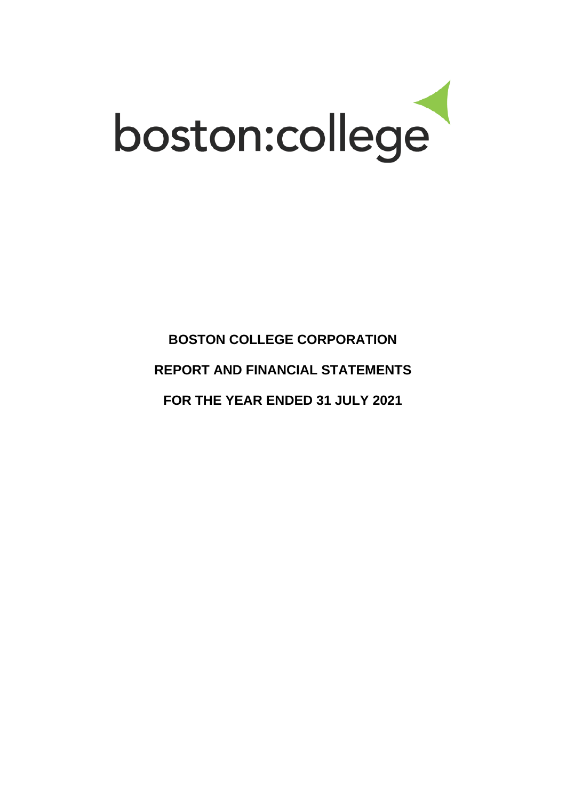

**BOSTON COLLEGE CORPORATION REPORT AND FINANCIAL STATEMENTS FOR THE YEAR ENDED 31 JULY 2021**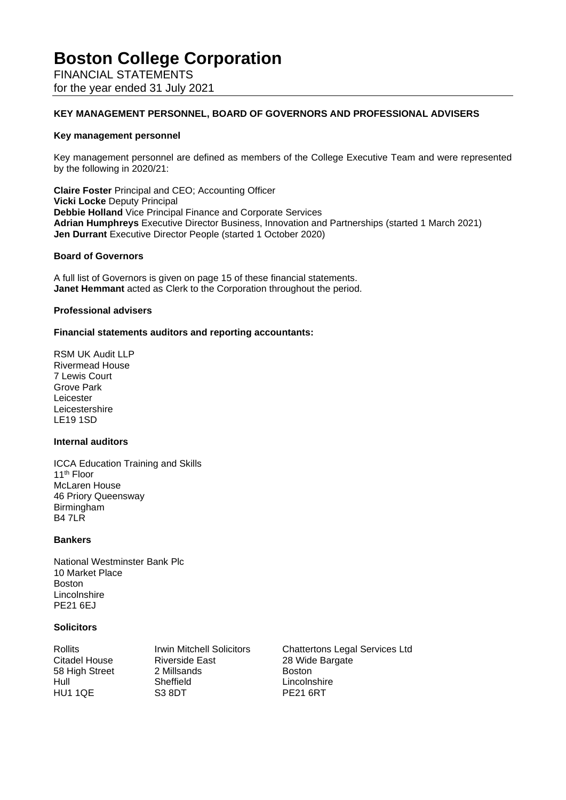FINANCIAL STATEMENTS for the year ended 31 July 2021

### **KEY MANAGEMENT PERSONNEL, BOARD OF GOVERNORS AND PROFESSIONAL ADVISERS**

#### **Key management personnel**

Key management personnel are defined as members of the College Executive Team and were represented by the following in 2020/21:

**Claire Foster** Principal and CEO; Accounting Officer **Vicki Locke** Deputy Principal **Debbie Holland** Vice Principal Finance and Corporate Services **Adrian Humphreys** Executive Director Business, Innovation and Partnerships (started 1 March 2021) **Jen Durrant** Executive Director People (started 1 October 2020)

#### **Board of Governors**

A full list of Governors is given on page 15 of these financial statements. **Janet Hemmant** acted as Clerk to the Corporation throughout the period.

#### **Professional advisers**

#### **Financial statements auditors and reporting accountants:**

RSM UK Audit LLP Rivermead House 7 Lewis Court Grove Park Leicester Leicestershire LE19 1SD

### **Internal auditors**

ICCA Education Training and Skills 11th Floor McLaren House 46 Priory Queensway Birmingham B4 7LR

### **Bankers**

National Westminster Bank Plc 10 Market Place Boston Lincolnshire PE21 6EJ

#### **Solicitors**

Riverside East 28 Wide Bargate<br>
2 Millsands 2 Boston 58 High Street 2 Millsands Boston Hull Sheffield Lincolnshire<br>
HU1 1QE S3 8DT PE21 6RT

Rollits Irwin Mitchell Solicitors Chattertons Legal Services Ltd<br>Citadel House Riverside East 28 Wide Bargate PE21 6RT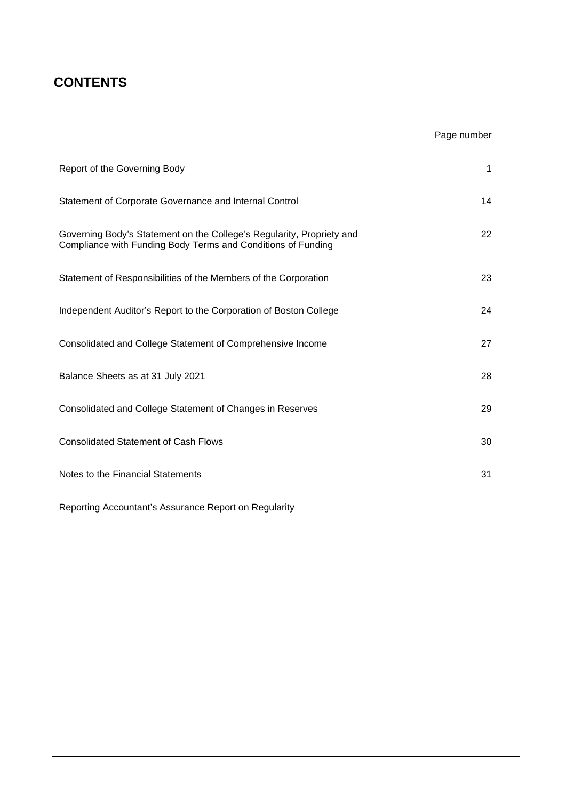# **CONTENTS**

# Page number

| Report of the Governing Body                                                                                                          | 1  |
|---------------------------------------------------------------------------------------------------------------------------------------|----|
| Statement of Corporate Governance and Internal Control                                                                                | 14 |
| Governing Body's Statement on the College's Regularity, Propriety and<br>Compliance with Funding Body Terms and Conditions of Funding | 22 |
| Statement of Responsibilities of the Members of the Corporation                                                                       | 23 |
| Independent Auditor's Report to the Corporation of Boston College                                                                     | 24 |
| Consolidated and College Statement of Comprehensive Income                                                                            | 27 |
| Balance Sheets as at 31 July 2021                                                                                                     | 28 |
| Consolidated and College Statement of Changes in Reserves                                                                             | 29 |
| <b>Consolidated Statement of Cash Flows</b>                                                                                           | 30 |
| Notes to the Financial Statements                                                                                                     | 31 |

Reporting Accountant's Assurance Report on Regularity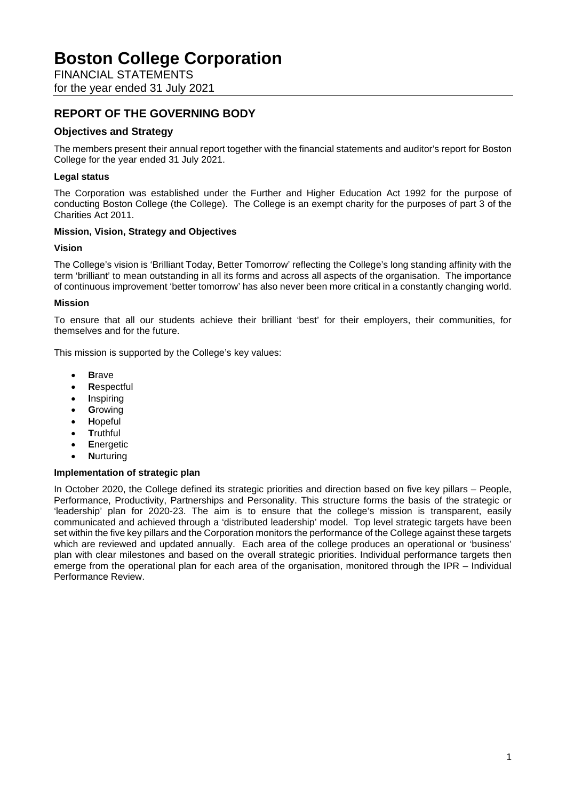FINANCIAL STATEMENTS for the year ended 31 July 2021

# **REPORT OF THE GOVERNING BODY**

# **Objectives and Strategy**

The members present their annual report together with the financial statements and auditor's report for Boston College for the year ended 31 July 2021.

## **Legal status**

The Corporation was established under the Further and Higher Education Act 1992 for the purpose of conducting Boston College (the College). The College is an exempt charity for the purposes of part 3 of the Charities Act 2011.

## **Mission, Vision, Strategy and Objectives**

### **Vision**

The College's vision is 'Brilliant Today, Better Tomorrow' reflecting the College's long standing affinity with the term 'brilliant' to mean outstanding in all its forms and across all aspects of the organisation. The importance of continuous improvement 'better tomorrow' has also never been more critical in a constantly changing world.

### **Mission**

To ensure that all our students achieve their brilliant 'best' for their employers, their communities, for themselves and for the future.

This mission is supported by the College's key values:

- **B**rave
- **R**espectful
- **I**nspiring
- **G**rowing
- **H**opeful
- **T**ruthful
- **E**nergetic
- **N**urturing

### **Implementation of strategic plan**

In October 2020, the College defined its strategic priorities and direction based on five key pillars – People, Performance, Productivity, Partnerships and Personality. This structure forms the basis of the strategic or 'leadership' plan for 2020-23. The aim is to ensure that the college's mission is transparent, easily communicated and achieved through a 'distributed leadership' model. Top level strategic targets have been set within the five key pillars and the Corporation monitors the performance of the College against these targets which are reviewed and updated annually. Each area of the college produces an operational or 'business' plan with clear milestones and based on the overall strategic priorities. Individual performance targets then emerge from the operational plan for each area of the organisation, monitored through the IPR – Individual Performance Review.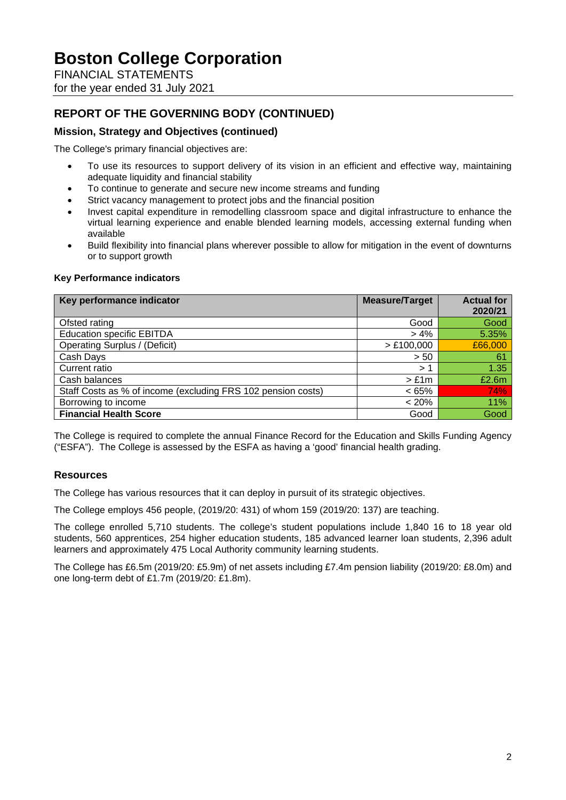FINANCIAL STATEMENTS for the year ended 31 July 2021

# **REPORT OF THE GOVERNING BODY (CONTINUED)**

## **Mission, Strategy and Objectives (continued)**

The College's primary financial objectives are:

- To use its resources to support delivery of its vision in an efficient and effective way, maintaining adequate liquidity and financial stability
- To continue to generate and secure new income streams and funding
- Strict vacancy management to protect jobs and the financial position
- Invest capital expenditure in remodelling classroom space and digital infrastructure to enhance the virtual learning experience and enable blended learning models, accessing external funding when available
- Build flexibility into financial plans wherever possible to allow for mitigation in the event of downturns or to support growth

### **Key Performance indicators**

| Key performance indicator                                    | <b>Measure/Target</b> | <b>Actual for</b><br>2020/21 |
|--------------------------------------------------------------|-----------------------|------------------------------|
| Ofsted rating                                                | Good                  | Good                         |
| <b>Education specific EBITDA</b>                             | $> 4\%$               | 5.35%                        |
| <b>Operating Surplus / (Deficit)</b>                         | > £100,000            | £66,000                      |
| Cash Days                                                    | > 50                  | 61                           |
| Current ratio                                                | > 1                   | 1.35                         |
| Cash balances                                                | $>$ £1m               | £2.6m                        |
| Staff Costs as % of income (excluding FRS 102 pension costs) | $< 65\%$              | 74%                          |
| Borrowing to income                                          | $< 20\%$              | 11%                          |
| <b>Financial Health Score</b>                                | Good                  | Good                         |

The College is required to complete the annual Finance Record for the Education and Skills Funding Agency ("ESFA"). The College is assessed by the ESFA as having a 'good' financial health grading.

## **Resources**

The College has various resources that it can deploy in pursuit of its strategic objectives.

The College employs 456 people, (2019/20: 431) of whom 159 (2019/20: 137) are teaching.

The college enrolled 5,710 students. The college's student populations include 1,840 16 to 18 year old students, 560 apprentices, 254 higher education students, 185 advanced learner loan students, 2,396 adult learners and approximately 475 Local Authority community learning students.

The College has £6.5m (2019/20: £5.9m) of net assets including £7.4m pension liability (2019/20: £8.0m) and one long-term debt of £1.7m (2019/20: £1.8m).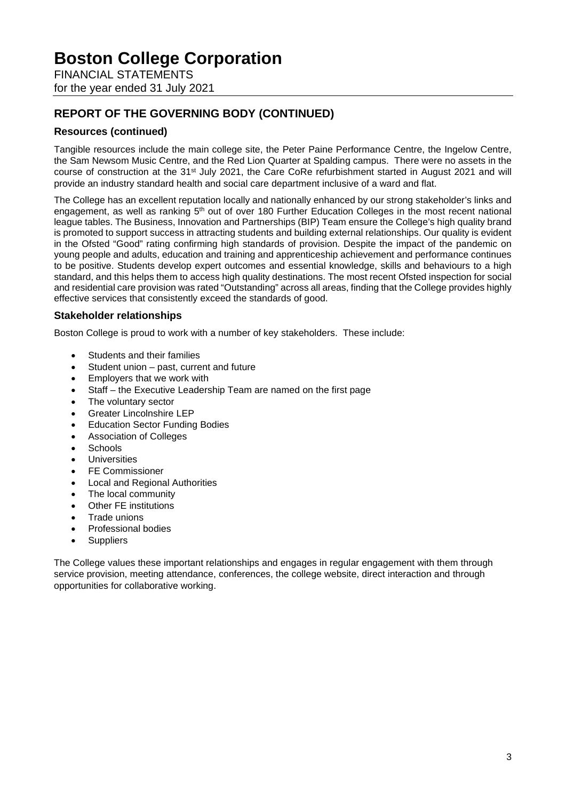FINANCIAL STATEMENTS for the year ended 31 July 2021

# **REPORT OF THE GOVERNING BODY (CONTINUED)**

# **Resources (continued)**

Tangible resources include the main college site, the Peter Paine Performance Centre, the Ingelow Centre, the Sam Newsom Music Centre, and the Red Lion Quarter at Spalding campus. There were no assets in the course of construction at the 31<sup>st</sup> July 2021, the Care CoRe refurbishment started in August 2021 and will provide an industry standard health and social care department inclusive of a ward and flat.

The College has an excellent reputation locally and nationally enhanced by our strong stakeholder's links and engagement, as well as ranking 5<sup>th</sup> out of over 180 Further Education Colleges in the most recent national league tables. The Business, Innovation and Partnerships (BIP) Team ensure the College's high quality brand is promoted to support success in attracting students and building external relationships. Our quality is evident in the Ofsted "Good" rating confirming high standards of provision. Despite the impact of the pandemic on young people and adults, education and training and apprenticeship achievement and performance continues to be positive. Students develop expert outcomes and essential knowledge, skills and behaviours to a high standard, and this helps them to access high quality destinations. The most recent Ofsted inspection for social and residential care provision was rated "Outstanding" across all areas, finding that the College provides highly effective services that consistently exceed the standards of good.

## **Stakeholder relationships**

Boston College is proud to work with a number of key stakeholders. These include:

- Students and their families
- Student union past, current and future
- Employers that we work with
- Staff the Executive Leadership Team are named on the first page
- The voluntary sector
- Greater Lincolnshire LEP
- Education Sector Funding Bodies
- Association of Colleges
- **Schools**
- Universities
- FE Commissioner
- Local and Regional Authorities
- The local community
- Other FE institutions
- Trade unions
- Professional bodies
- **Suppliers**

The College values these important relationships and engages in regular engagement with them through service provision, meeting attendance, conferences, the college website, direct interaction and through opportunities for collaborative working.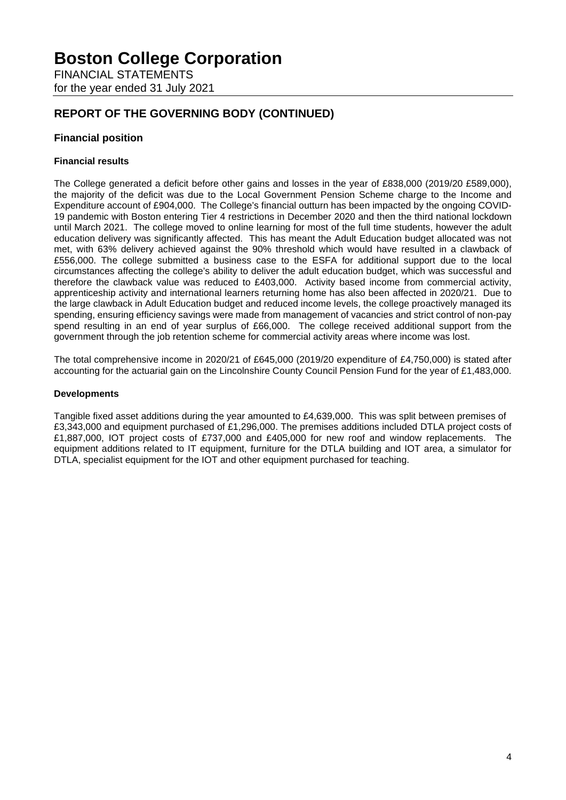FINANCIAL STATEMENTS for the year ended 31 July 2021

# **REPORT OF THE GOVERNING BODY (CONTINUED)**

## **Financial position**

## **Financial results**

The College generated a deficit before other gains and losses in the year of £838,000 (2019/20 £589,000), the majority of the deficit was due to the Local Government Pension Scheme charge to the Income and Expenditure account of £904,000. The College's financial outturn has been impacted by the ongoing COVID-19 pandemic with Boston entering Tier 4 restrictions in December 2020 and then the third national lockdown until March 2021. The college moved to online learning for most of the full time students, however the adult education delivery was significantly affected. This has meant the Adult Education budget allocated was not met, with 63% delivery achieved against the 90% threshold which would have resulted in a clawback of £556,000. The college submitted a business case to the ESFA for additional support due to the local circumstances affecting the college's ability to deliver the adult education budget, which was successful and therefore the clawback value was reduced to £403,000. Activity based income from commercial activity, apprenticeship activity and international learners returning home has also been affected in 2020/21. Due to the large clawback in Adult Education budget and reduced income levels, the college proactively managed its spending, ensuring efficiency savings were made from management of vacancies and strict control of non-pay spend resulting in an end of year surplus of £66,000. The college received additional support from the government through the job retention scheme for commercial activity areas where income was lost.

The total comprehensive income in 2020/21 of £645,000 (2019/20 expenditure of £4,750,000) is stated after accounting for the actuarial gain on the Lincolnshire County Council Pension Fund for the year of £1,483,000.

### **Developments**

Tangible fixed asset additions during the year amounted to £4,639,000. This was split between premises of £3,343,000 and equipment purchased of £1,296,000. The premises additions included DTLA project costs of £1,887,000, IOT project costs of £737,000 and £405,000 for new roof and window replacements. The equipment additions related to IT equipment, furniture for the DTLA building and IOT area, a simulator for DTLA, specialist equipment for the IOT and other equipment purchased for teaching.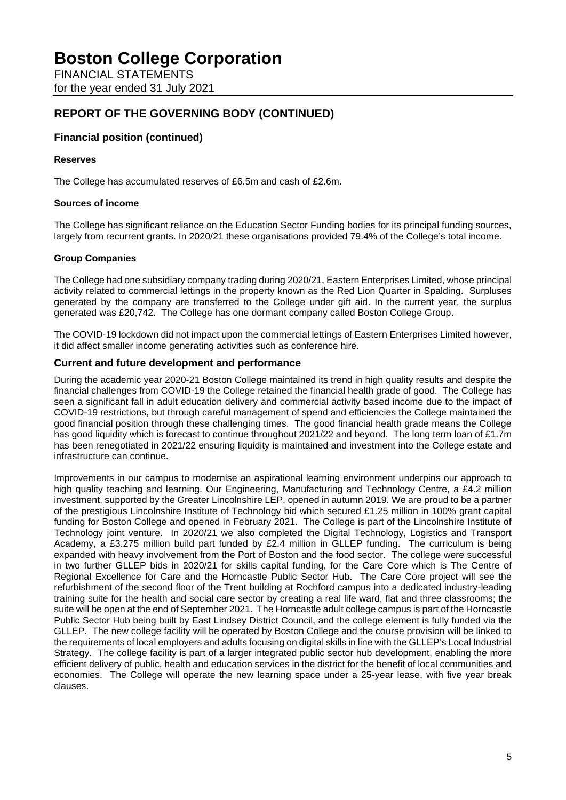FINANCIAL STATEMENTS for the year ended 31 July 2021

# **REPORT OF THE GOVERNING BODY (CONTINUED)**

## **Financial position (continued)**

## **Reserves**

The College has accumulated reserves of £6.5m and cash of £2.6m.

### **Sources of income**

The College has significant reliance on the Education Sector Funding bodies for its principal funding sources, largely from recurrent grants. In 2020/21 these organisations provided 79.4% of the College's total income.

## **Group Companies**

The College had one subsidiary company trading during 2020/21, Eastern Enterprises Limited, whose principal activity related to commercial lettings in the property known as the Red Lion Quarter in Spalding. Surpluses generated by the company are transferred to the College under gift aid. In the current year, the surplus generated was £20,742. The College has one dormant company called Boston College Group.

The COVID-19 lockdown did not impact upon the commercial lettings of Eastern Enterprises Limited however, it did affect smaller income generating activities such as conference hire.

## **Current and future development and performance**

During the academic year 2020-21 Boston College maintained its trend in high quality results and despite the financial challenges from COVID-19 the College retained the financial health grade of good. The College has seen a significant fall in adult education delivery and commercial activity based income due to the impact of COVID-19 restrictions, but through careful management of spend and efficiencies the College maintained the good financial position through these challenging times. The good financial health grade means the College has good liquidity which is forecast to continue throughout 2021/22 and beyond. The long term loan of £1.7m has been renegotiated in 2021/22 ensuring liquidity is maintained and investment into the College estate and infrastructure can continue.

Improvements in our campus to modernise an aspirational learning environment underpins our approach to high quality teaching and learning. Our Engineering, Manufacturing and Technology Centre, a £4.2 million investment, supported by the Greater Lincolnshire LEP, opened in autumn 2019. We are proud to be a partner of the prestigious Lincolnshire Institute of Technology bid which secured £1.25 million in 100% grant capital funding for Boston College and opened in February 2021. The College is part of the Lincolnshire Institute of Technology joint venture. In 2020/21 we also completed the Digital Technology, Logistics and Transport Academy, a £3.275 million build part funded by £2.4 million in GLLEP funding. The curriculum is being expanded with heavy involvement from the Port of Boston and the food sector. The college were successful in two further GLLEP bids in 2020/21 for skills capital funding, for the Care Core which is The Centre of Regional Excellence for Care and the Horncastle Public Sector Hub. The Care Core project will see the refurbishment of the second floor of the Trent building at Rochford campus into a dedicated industry-leading training suite for the health and social care sector by creating a real life ward, flat and three classrooms; the suite will be open at the end of September 2021. The Horncastle adult college campus is part of the Horncastle Public Sector Hub being built by East Lindsey District Council, and the college element is fully funded via the GLLEP. The new college facility will be operated by Boston College and the course provision will be linked to the requirements of local employers and adults focusing on digital skills in line with the GLLEP's Local Industrial Strategy. The college facility is part of a larger integrated public sector hub development, enabling the more efficient delivery of public, health and education services in the district for the benefit of local communities and economies. The College will operate the new learning space under a 25-year lease, with five year break clauses.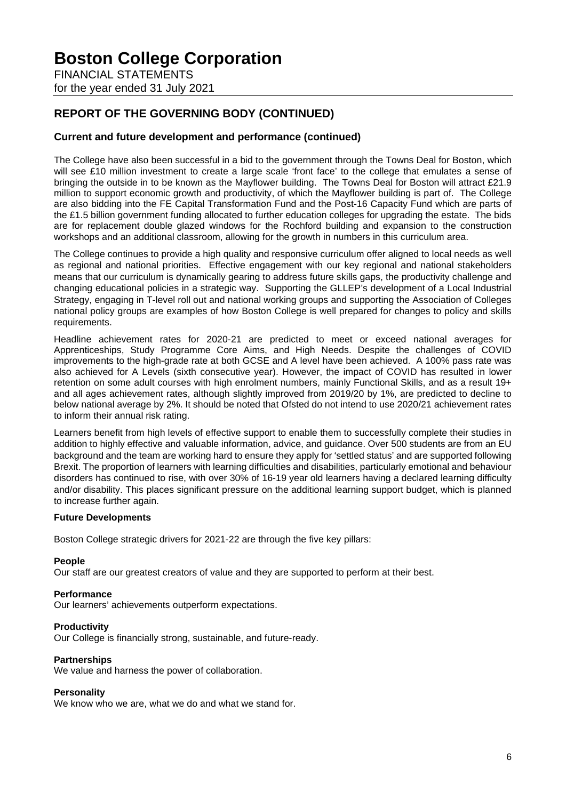FINANCIAL STATEMENTS for the year ended 31 July 2021

# **REPORT OF THE GOVERNING BODY (CONTINUED)**

## **Current and future development and performance (continued)**

The College have also been successful in a bid to the government through the Towns Deal for Boston, which will see £10 million investment to create a large scale 'front face' to the college that emulates a sense of bringing the outside in to be known as the Mayflower building. The Towns Deal for Boston will attract £21.9 million to support economic growth and productivity, of which the Mayflower building is part of. The College are also bidding into the FE Capital Transformation Fund and the Post-16 Capacity Fund which are parts of the £1.5 billion government funding allocated to further education colleges for upgrading the estate. The bids are for replacement double glazed windows for the Rochford building and expansion to the construction workshops and an additional classroom, allowing for the growth in numbers in this curriculum area.

The College continues to provide a high quality and responsive curriculum offer aligned to local needs as well as regional and national priorities. Effective engagement with our key regional and national stakeholders means that our curriculum is dynamically gearing to address future skills gaps, the productivity challenge and changing educational policies in a strategic way. Supporting the GLLEP's development of a Local Industrial Strategy, engaging in T-level roll out and national working groups and supporting the Association of Colleges national policy groups are examples of how Boston College is well prepared for changes to policy and skills requirements.

Headline achievement rates for 2020-21 are predicted to meet or exceed national averages for Apprenticeships, Study Programme Core Aims, and High Needs. Despite the challenges of COVID improvements to the high-grade rate at both GCSE and A level have been achieved. A 100% pass rate was also achieved for A Levels (sixth consecutive year). However, the impact of COVID has resulted in lower retention on some adult courses with high enrolment numbers, mainly Functional Skills, and as a result 19+ and all ages achievement rates, although slightly improved from 2019/20 by 1%, are predicted to decline to below national average by 2%. It should be noted that Ofsted do not intend to use 2020/21 achievement rates to inform their annual risk rating.

Learners benefit from high levels of effective support to enable them to successfully complete their studies in addition to highly effective and valuable information, advice, and guidance. Over 500 students are from an EU background and the team are working hard to ensure they apply for 'settled status' and are supported following Brexit. The proportion of learners with learning difficulties and disabilities, particularly emotional and behaviour disorders has continued to rise, with over 30% of 16-19 year old learners having a declared learning difficulty and/or disability. This places significant pressure on the additional learning support budget, which is planned to increase further again.

### **Future Developments**

Boston College strategic drivers for 2021-22 are through the five key pillars:

### **People**

Our staff are our greatest creators of value and they are supported to perform at their best.

### **Performance**

Our learners' achievements outperform expectations.

### **Productivity**

Our College is financially strong, sustainable, and future-ready.

### **Partnerships**

We value and harness the power of collaboration.

### **Personality**

We know who we are, what we do and what we stand for.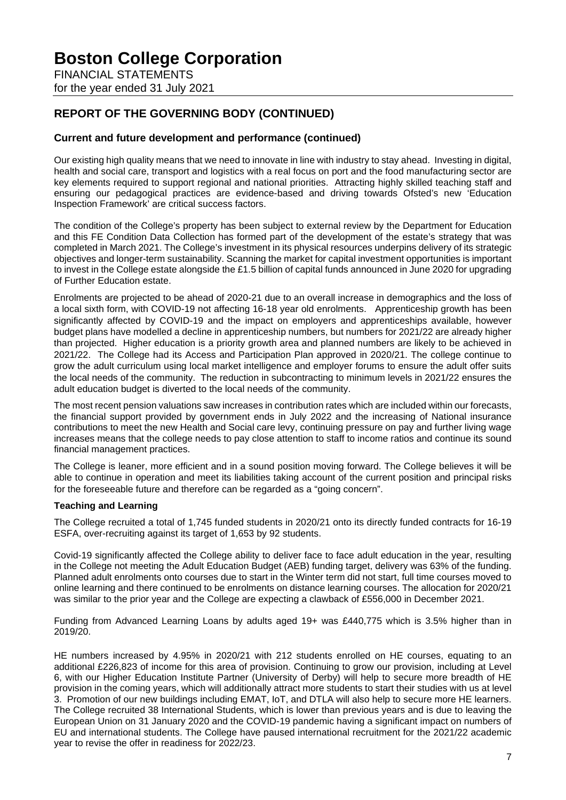FINANCIAL STATEMENTS for the year ended 31 July 2021

# **REPORT OF THE GOVERNING BODY (CONTINUED)**

## **Current and future development and performance (continued)**

Our existing high quality means that we need to innovate in line with industry to stay ahead. Investing in digital, health and social care, transport and logistics with a real focus on port and the food manufacturing sector are key elements required to support regional and national priorities. Attracting highly skilled teaching staff and ensuring our pedagogical practices are evidence-based and driving towards Ofsted's new 'Education Inspection Framework' are critical success factors.

The condition of the College's property has been subject to external review by the Department for Education and this FE Condition Data Collection has formed part of the development of the estate's strategy that was completed in March 2021. The College's investment in its physical resources underpins delivery of its strategic objectives and longer-term sustainability. Scanning the market for capital investment opportunities is important to invest in the College estate alongside the £1.5 billion of capital funds announced in June 2020 for upgrading of Further Education estate.

Enrolments are projected to be ahead of 2020-21 due to an overall increase in demographics and the loss of a local sixth form, with COVID-19 not affecting 16-18 year old enrolments. Apprenticeship growth has been significantly affected by COVID-19 and the impact on employers and apprenticeships available, however budget plans have modelled a decline in apprenticeship numbers, but numbers for 2021/22 are already higher than projected. Higher education is a priority growth area and planned numbers are likely to be achieved in 2021/22. The College had its Access and Participation Plan approved in 2020/21. The college continue to grow the adult curriculum using local market intelligence and employer forums to ensure the adult offer suits the local needs of the community. The reduction in subcontracting to minimum levels in 2021/22 ensures the adult education budget is diverted to the local needs of the community.

The most recent pension valuations saw increases in contribution rates which are included within our forecasts, the financial support provided by government ends in July 2022 and the increasing of National insurance contributions to meet the new Health and Social care levy, continuing pressure on pay and further living wage increases means that the college needs to pay close attention to staff to income ratios and continue its sound financial management practices.

The College is leaner, more efficient and in a sound position moving forward. The College believes it will be able to continue in operation and meet its liabilities taking account of the current position and principal risks for the foreseeable future and therefore can be regarded as a "going concern".

### **Teaching and Learning**

The College recruited a total of 1,745 funded students in 2020/21 onto its directly funded contracts for 16-19 ESFA, over-recruiting against its target of 1,653 by 92 students.

Covid-19 significantly affected the College ability to deliver face to face adult education in the year, resulting in the College not meeting the Adult Education Budget (AEB) funding target, delivery was 63% of the funding. Planned adult enrolments onto courses due to start in the Winter term did not start, full time courses moved to online learning and there continued to be enrolments on distance learning courses. The allocation for 2020/21 was similar to the prior year and the College are expecting a clawback of £556,000 in December 2021.

Funding from Advanced Learning Loans by adults aged 19+ was £440,775 which is 3.5% higher than in 2019/20.

HE numbers increased by 4.95% in 2020/21 with 212 students enrolled on HE courses, equating to an additional £226,823 of income for this area of provision. Continuing to grow our provision, including at Level 6, with our Higher Education Institute Partner (University of Derby) will help to secure more breadth of HE provision in the coming years, which will additionally attract more students to start their studies with us at level 3. Promotion of our new buildings including EMAT, IoT, and DTLA will also help to secure more HE learners. The College recruited 38 International Students, which is lower than previous years and is due to leaving the European Union on 31 January 2020 and the COVID-19 pandemic having a significant impact on numbers of EU and international students. The College have paused international recruitment for the 2021/22 academic year to revise the offer in readiness for 2022/23.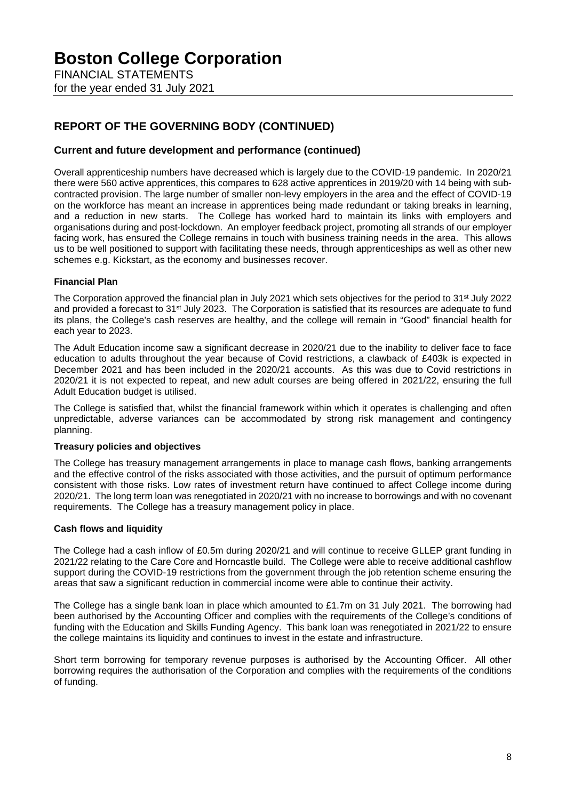FINANCIAL STATEMENTS for the year ended 31 July 2021

# **REPORT OF THE GOVERNING BODY (CONTINUED)**

## **Current and future development and performance (continued)**

Overall apprenticeship numbers have decreased which is largely due to the COVID-19 pandemic. In 2020/21 there were 560 active apprentices, this compares to 628 active apprentices in 2019/20 with 14 being with subcontracted provision. The large number of smaller non-levy employers in the area and the effect of COVID-19 on the workforce has meant an increase in apprentices being made redundant or taking breaks in learning, and a reduction in new starts. The College has worked hard to maintain its links with employers and organisations during and post-lockdown. An employer feedback project, promoting all strands of our employer facing work, has ensured the College remains in touch with business training needs in the area. This allows us to be well positioned to support with facilitating these needs, through apprenticeships as well as other new schemes e.g. Kickstart, as the economy and businesses recover.

## **Financial Plan**

The Corporation approved the financial plan in July 2021 which sets objectives for the period to 31<sup>st</sup> July 2022 and provided a forecast to 31st July 2023. The Corporation is satisfied that its resources are adequate to fund its plans, the College's cash reserves are healthy, and the college will remain in "Good" financial health for each year to 2023.

The Adult Education income saw a significant decrease in 2020/21 due to the inability to deliver face to face education to adults throughout the year because of Covid restrictions, a clawback of £403k is expected in December 2021 and has been included in the 2020/21 accounts. As this was due to Covid restrictions in 2020/21 it is not expected to repeat, and new adult courses are being offered in 2021/22, ensuring the full Adult Education budget is utilised.

The College is satisfied that, whilst the financial framework within which it operates is challenging and often unpredictable, adverse variances can be accommodated by strong risk management and contingency planning.

### **Treasury policies and objectives**

The College has treasury management arrangements in place to manage cash flows, banking arrangements and the effective control of the risks associated with those activities, and the pursuit of optimum performance consistent with those risks. Low rates of investment return have continued to affect College income during 2020/21. The long term loan was renegotiated in 2020/21 with no increase to borrowings and with no covenant requirements. The College has a treasury management policy in place.

### **Cash flows and liquidity**

The College had a cash inflow of £0.5m during 2020/21 and will continue to receive GLLEP grant funding in 2021/22 relating to the Care Core and Horncastle build. The College were able to receive additional cashflow support during the COVID-19 restrictions from the government through the job retention scheme ensuring the areas that saw a significant reduction in commercial income were able to continue their activity.

The College has a single bank loan in place which amounted to £1.7m on 31 July 2021. The borrowing had been authorised by the Accounting Officer and complies with the requirements of the College's conditions of funding with the Education and Skills Funding Agency. This bank loan was renegotiated in 2021/22 to ensure the college maintains its liquidity and continues to invest in the estate and infrastructure.

Short term borrowing for temporary revenue purposes is authorised by the Accounting Officer. All other borrowing requires the authorisation of the Corporation and complies with the requirements of the conditions of funding.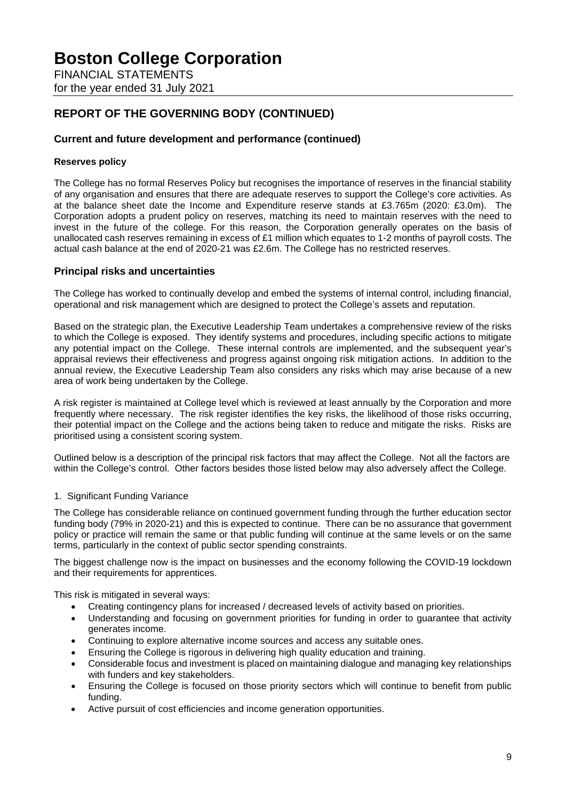FINANCIAL STATEMENTS for the year ended 31 July 2021

# **REPORT OF THE GOVERNING BODY (CONTINUED)**

## **Current and future development and performance (continued)**

## **Reserves policy**

The College has no formal Reserves Policy but recognises the importance of reserves in the financial stability of any organisation and ensures that there are adequate reserves to support the College's core activities. As at the balance sheet date the Income and Expenditure reserve stands at £3.765m (2020: £3.0m). The Corporation adopts a prudent policy on reserves, matching its need to maintain reserves with the need to invest in the future of the college. For this reason, the Corporation generally operates on the basis of unallocated cash reserves remaining in excess of £1 million which equates to 1-2 months of payroll costs. The actual cash balance at the end of 2020-21 was £2.6m. The College has no restricted reserves.

## **Principal risks and uncertainties**

The College has worked to continually develop and embed the systems of internal control, including financial, operational and risk management which are designed to protect the College's assets and reputation.

Based on the strategic plan, the Executive Leadership Team undertakes a comprehensive review of the risks to which the College is exposed. They identify systems and procedures, including specific actions to mitigate any potential impact on the College. These internal controls are implemented, and the subsequent year's appraisal reviews their effectiveness and progress against ongoing risk mitigation actions. In addition to the annual review, the Executive Leadership Team also considers any risks which may arise because of a new area of work being undertaken by the College.

A risk register is maintained at College level which is reviewed at least annually by the Corporation and more frequently where necessary. The risk register identifies the key risks, the likelihood of those risks occurring, their potential impact on the College and the actions being taken to reduce and mitigate the risks. Risks are prioritised using a consistent scoring system.

Outlined below is a description of the principal risk factors that may affect the College. Not all the factors are within the College's control. Other factors besides those listed below may also adversely affect the College.

### 1. Significant Funding Variance

The College has considerable reliance on continued government funding through the further education sector funding body (79% in 2020-21) and this is expected to continue. There can be no assurance that government policy or practice will remain the same or that public funding will continue at the same levels or on the same terms, particularly in the context of public sector spending constraints.

The biggest challenge now is the impact on businesses and the economy following the COVID-19 lockdown and their requirements for apprentices.

This risk is mitigated in several ways:

- Creating contingency plans for increased / decreased levels of activity based on priorities.
- Understanding and focusing on government priorities for funding in order to guarantee that activity generates income.
- Continuing to explore alternative income sources and access any suitable ones.
- Ensuring the College is rigorous in delivering high quality education and training.
- Considerable focus and investment is placed on maintaining dialogue and managing key relationships with funders and key stakeholders.
- Ensuring the College is focused on those priority sectors which will continue to benefit from public funding.
- Active pursuit of cost efficiencies and income generation opportunities.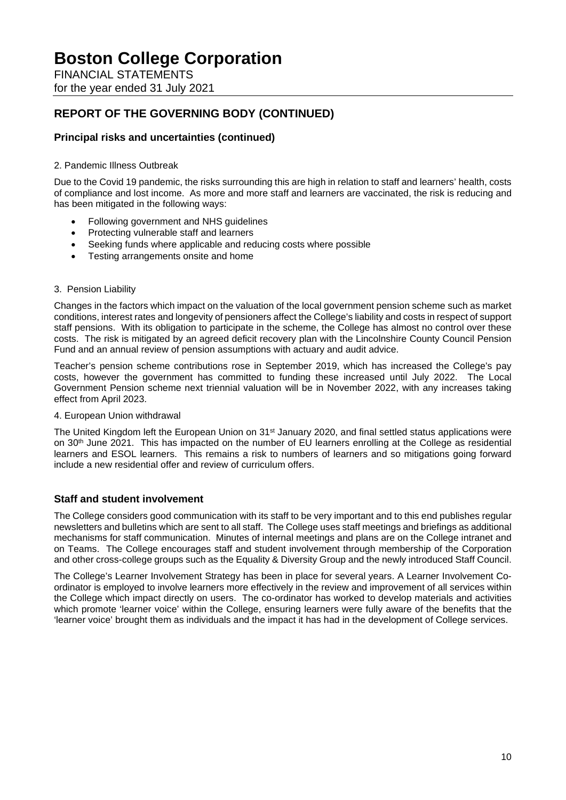FINANCIAL STATEMENTS for the year ended 31 July 2021

# **REPORT OF THE GOVERNING BODY (CONTINUED)**

# **Principal risks and uncertainties (continued)**

## 2. Pandemic Illness Outbreak

Due to the Covid 19 pandemic, the risks surrounding this are high in relation to staff and learners' health, costs of compliance and lost income. As more and more staff and learners are vaccinated, the risk is reducing and has been mitigated in the following ways:

- Following government and NHS guidelines
- Protecting vulnerable staff and learners
- Seeking funds where applicable and reducing costs where possible
- Testing arrangements onsite and home
- 3. Pension Liability

Changes in the factors which impact on the valuation of the local government pension scheme such as market conditions, interest rates and longevity of pensioners affect the College's liability and costs in respect of support staff pensions. With its obligation to participate in the scheme, the College has almost no control over these costs. The risk is mitigated by an agreed deficit recovery plan with the Lincolnshire County Council Pension Fund and an annual review of pension assumptions with actuary and audit advice.

Teacher's pension scheme contributions rose in September 2019, which has increased the College's pay costs, however the government has committed to funding these increased until July 2022. The Local Government Pension scheme next triennial valuation will be in November 2022, with any increases taking effect from April 2023.

### 4. European Union withdrawal

The United Kingdom left the European Union on 31<sup>st</sup> January 2020, and final settled status applications were on 30th June 2021. This has impacted on the number of EU learners enrolling at the College as residential learners and ESOL learners. This remains a risk to numbers of learners and so mitigations going forward include a new residential offer and review of curriculum offers.

## **Staff and student involvement**

The College considers good communication with its staff to be very important and to this end publishes regular newsletters and bulletins which are sent to all staff. The College uses staff meetings and briefings as additional mechanisms for staff communication. Minutes of internal meetings and plans are on the College intranet and on Teams. The College encourages staff and student involvement through membership of the Corporation and other cross-college groups such as the Equality & Diversity Group and the newly introduced Staff Council.

The College's Learner Involvement Strategy has been in place for several years. A Learner Involvement Coordinator is employed to involve learners more effectively in the review and improvement of all services within the College which impact directly on users. The co-ordinator has worked to develop materials and activities which promote 'learner voice' within the College, ensuring learners were fully aware of the benefits that the 'learner voice' brought them as individuals and the impact it has had in the development of College services.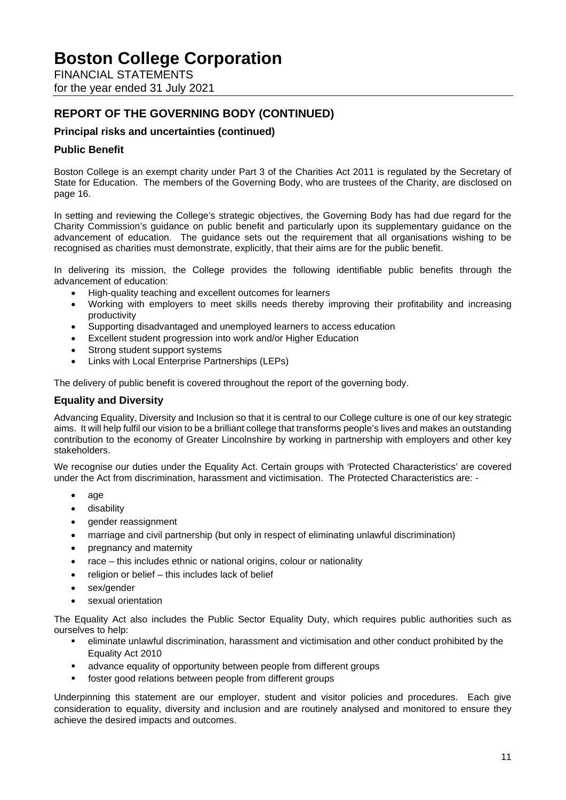FINANCIAL STATEMENTS for the year ended 31 July 2021

# **REPORT OF THE GOVERNING BODY (CONTINUED)**

# **Principal risks and uncertainties (continued)**

## **Public Benefit**

Boston College is an exempt charity under Part 3 of the Charities Act 2011 is regulated by the Secretary of State for Education. The members of the Governing Body, who are trustees of the Charity, are disclosed on page 16.

In setting and reviewing the College's strategic objectives, the Governing Body has had due regard for the Charity Commission's guidance on public benefit and particularly upon its supplementary guidance on the advancement of education. The guidance sets out the requirement that all organisations wishing to be recognised as charities must demonstrate, explicitly, that their aims are for the public benefit.

In delivering its mission, the College provides the following identifiable public benefits through the advancement of education:

- High-quality teaching and excellent outcomes for learners
- Working with employers to meet skills needs thereby improving their profitability and increasing productivity
- Supporting disadvantaged and unemployed learners to access education
- Excellent student progression into work and/or Higher Education
- Strong student support systems
- Links with Local Enterprise Partnerships (LEPs)

The delivery of public benefit is covered throughout the report of the governing body.

## **Equality and Diversity**

Advancing Equality, Diversity and Inclusion so that it is central to our College culture is one of our key strategic aims. It will help fulfil our vision to be a brilliant college that transforms people's lives and makes an outstanding contribution to the economy of Greater Lincolnshire by working in partnership with employers and other key stakeholders.

We recognise our duties under the Equality Act. Certain groups with 'Protected Characteristics' are covered under the Act from discrimination, harassment and victimisation. The Protected Characteristics are: -

- age
- disability
- gender reassignment
- marriage and civil partnership (but only in respect of eliminating unlawful discrimination)
- pregnancy and maternity
- race this includes ethnic or national origins, colour or nationality
- religion or belief this includes lack of belief
- sex/gender
- sexual orientation

The Equality Act also includes the Public Sector Equality Duty, which requires public authorities such as ourselves to help:

- eliminate unlawful discrimination, harassment and victimisation and other conduct prohibited by the Equality Act 2010
- advance equality of opportunity between people from different groups
- foster good relations between people from different groups

Underpinning this statement are our employer, student and visitor policies and procedures. Each give consideration to equality, diversity and inclusion and are routinely analysed and monitored to ensure they achieve the desired impacts and outcomes.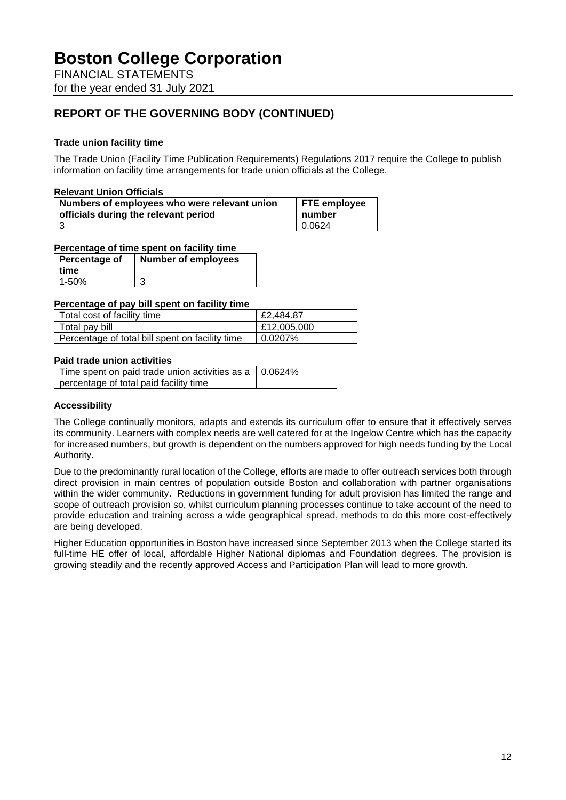FINANCIAL STATEMENTS for the year ended 31 July 2021

# **REPORT OF THE GOVERNING BODY (CONTINUED)**

## **Trade union facility time**

The Trade Union (Facility Time Publication Requirements) Regulations 2017 require the College to publish information on facility time arrangements for trade union officials at the College.

### **Relevant Union Officials**

| Numbers of employees who were relevant union | <b>FTE</b> employee |
|----------------------------------------------|---------------------|
| officials during the relevant period         | number              |
|                                              | 0.0624              |

## **Percentage of time spent on facility time**

| Percentage of | <b>Number of employees</b> |
|---------------|----------------------------|
| time          |                            |
| 1-50%         |                            |

#### **Percentage of pay bill spent on facility time**

| Total cost of facility time                     | £2,484.87   |
|-------------------------------------------------|-------------|
| Total pay bill                                  | £12,005,000 |
| Percentage of total bill spent on facility time | 0.0207%     |

#### **Paid trade union activities**

| Time spent on paid trade union activities as a $\vert$ 0.0624% |  |
|----------------------------------------------------------------|--|
| percentage of total paid facility time                         |  |

### **Accessibility**

The College continually monitors, adapts and extends its curriculum offer to ensure that it effectively serves its community. Learners with complex needs are well catered for at the Ingelow Centre which has the capacity for increased numbers, but growth is dependent on the numbers approved for high needs funding by the Local Authority.

Due to the predominantly rural location of the College, efforts are made to offer outreach services both through direct provision in main centres of population outside Boston and collaboration with partner organisations within the wider community. Reductions in government funding for adult provision has limited the range and scope of outreach provision so, whilst curriculum planning processes continue to take account of the need to provide education and training across a wide geographical spread, methods to do this more cost-effectively are being developed.

Higher Education opportunities in Boston have increased since September 2013 when the College started its full-time HE offer of local, affordable Higher National diplomas and Foundation degrees. The provision is growing steadily and the recently approved Access and Participation Plan will lead to more growth.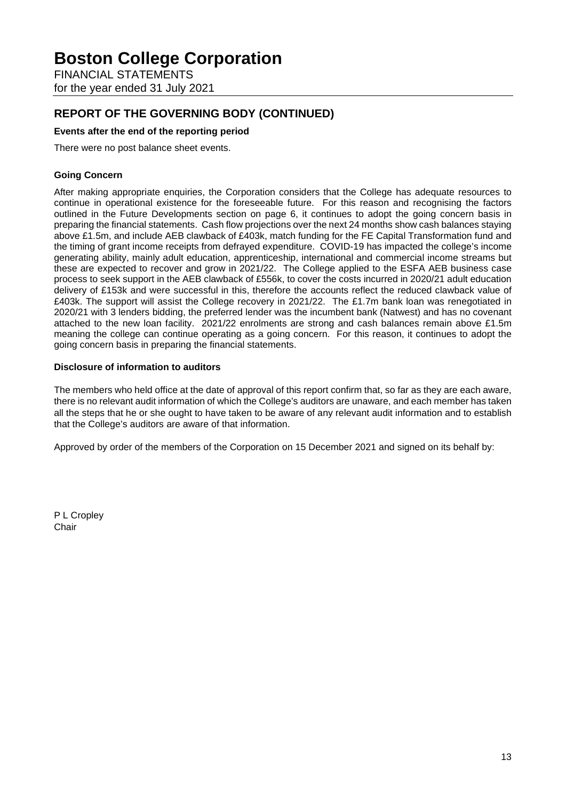FINANCIAL STATEMENTS for the year ended 31 July 2021

# **REPORT OF THE GOVERNING BODY (CONTINUED)**

## **Events after the end of the reporting period**

There were no post balance sheet events.

## **Going Concern**

After making appropriate enquiries, the Corporation considers that the College has adequate resources to continue in operational existence for the foreseeable future. For this reason and recognising the factors outlined in the Future Developments section on page 6, it continues to adopt the going concern basis in preparing the financial statements. Cash flow projections over the next 24 months show cash balances staying above £1.5m, and include AEB clawback of £403k, match funding for the FE Capital Transformation fund and the timing of grant income receipts from defrayed expenditure. COVID-19 has impacted the college's income generating ability, mainly adult education, apprenticeship, international and commercial income streams but these are expected to recover and grow in 2021/22. The College applied to the ESFA AEB business case process to seek support in the AEB clawback of £556k, to cover the costs incurred in 2020/21 adult education delivery of £153k and were successful in this, therefore the accounts reflect the reduced clawback value of £403k. The support will assist the College recovery in 2021/22. The £1.7m bank loan was renegotiated in 2020/21 with 3 lenders bidding, the preferred lender was the incumbent bank (Natwest) and has no covenant attached to the new loan facility. 2021/22 enrolments are strong and cash balances remain above £1.5m meaning the college can continue operating as a going concern. For this reason, it continues to adopt the going concern basis in preparing the financial statements.

### **Disclosure of information to auditors**

The members who held office at the date of approval of this report confirm that, so far as they are each aware, there is no relevant audit information of which the College's auditors are unaware, and each member has taken all the steps that he or she ought to have taken to be aware of any relevant audit information and to establish that the College's auditors are aware of that information.

Approved by order of the members of the Corporation on 15 December 2021 and signed on its behalf by:

P L Cropley Chair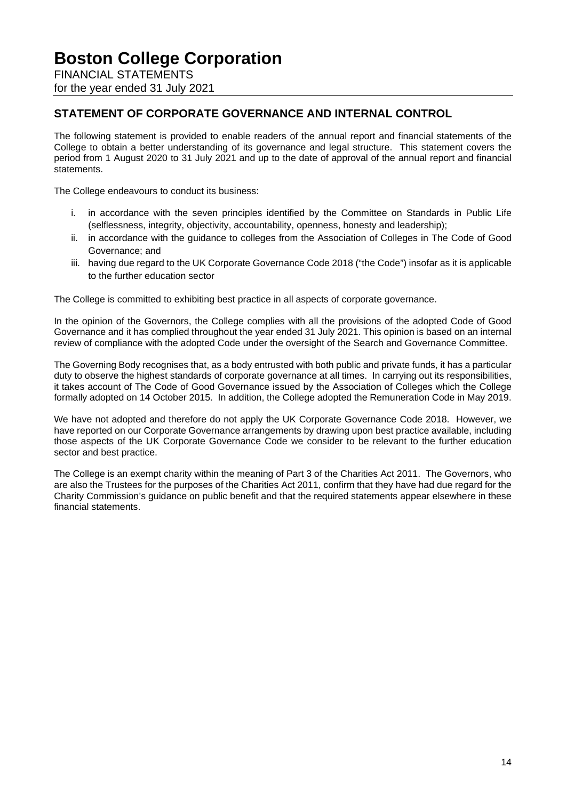FINANCIAL STATEMENTS for the year ended 31 July 2021

# **STATEMENT OF CORPORATE GOVERNANCE AND INTERNAL CONTROL**

The following statement is provided to enable readers of the annual report and financial statements of the College to obtain a better understanding of its governance and legal structure. This statement covers the period from 1 August 2020 to 31 July 2021 and up to the date of approval of the annual report and financial statements.

The College endeavours to conduct its business:

- i. in accordance with the seven principles identified by the Committee on Standards in Public Life (selflessness, integrity, objectivity, accountability, openness, honesty and leadership);
- ii. in accordance with the guidance to colleges from the Association of Colleges in The Code of Good Governance; and
- iii. having due regard to the UK Corporate Governance Code 2018 ("the Code") insofar as it is applicable to the further education sector

The College is committed to exhibiting best practice in all aspects of corporate governance.

In the opinion of the Governors, the College complies with all the provisions of the adopted Code of Good Governance and it has complied throughout the year ended 31 July 2021. This opinion is based on an internal review of compliance with the adopted Code under the oversight of the Search and Governance Committee.

The Governing Body recognises that, as a body entrusted with both public and private funds, it has a particular duty to observe the highest standards of corporate governance at all times. In carrying out its responsibilities, it takes account of The Code of Good Governance issued by the Association of Colleges which the College formally adopted on 14 October 2015. In addition, the College adopted the Remuneration Code in May 2019.

We have not adopted and therefore do not apply the UK Corporate Governance Code 2018. However, we have reported on our Corporate Governance arrangements by drawing upon best practice available, including those aspects of the UK Corporate Governance Code we consider to be relevant to the further education sector and best practice.

The College is an exempt charity within the meaning of Part 3 of the Charities Act 2011. The Governors, who are also the Trustees for the purposes of the Charities Act 2011, confirm that they have had due regard for the Charity Commission's guidance on public benefit and that the required statements appear elsewhere in these financial statements.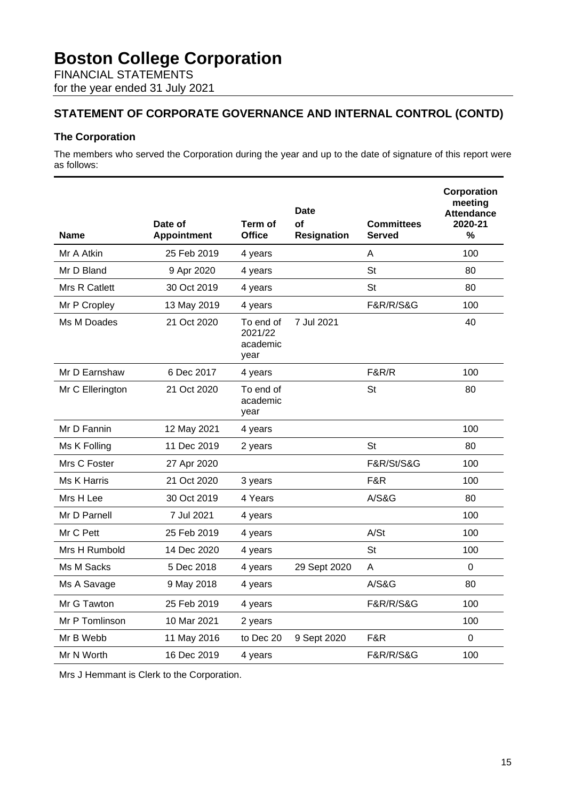FINANCIAL STATEMENTS for the year ended 31 July 2021

# **STATEMENT OF CORPORATE GOVERNANCE AND INTERNAL CONTROL (CONTD)**

## **The Corporation**

The members who served the Corporation during the year and up to the date of signature of this report were as follows:

| Name             | Date of<br><b>Appointment</b> | Term of<br><b>Office</b>                 | Date<br>of<br><b>Resignation</b> | <b>Committees</b><br><b>Served</b> | Corporation<br>meeting<br><b>Attendance</b><br>2020-21<br>% |
|------------------|-------------------------------|------------------------------------------|----------------------------------|------------------------------------|-------------------------------------------------------------|
| Mr A Atkin       | 25 Feb 2019                   | 4 years                                  |                                  | A                                  | 100                                                         |
| Mr D Bland       | 9 Apr 2020                    | 4 years                                  |                                  | <b>St</b>                          | 80                                                          |
| Mrs R Catlett    | 30 Oct 2019                   | 4 years                                  |                                  | <b>St</b>                          | 80                                                          |
| Mr P Cropley     | 13 May 2019                   | 4 years                                  |                                  | <b>F&amp;R/R/S&amp;G</b>           | 100                                                         |
| Ms M Doades      | 21 Oct 2020                   | To end of<br>2021/22<br>academic<br>year | 7 Jul 2021                       |                                    | 40                                                          |
| Mr D Earnshaw    | 6 Dec 2017                    | 4 years                                  |                                  | <b>F&amp;R/R</b>                   | 100                                                         |
| Mr C Ellerington | 21 Oct 2020                   | To end of<br>academic<br>year            |                                  | St                                 | 80                                                          |
| Mr D Fannin      | 12 May 2021                   | 4 years                                  |                                  |                                    | 100                                                         |
| Ms K Folling     | 11 Dec 2019                   | 2 years                                  |                                  | St                                 | 80                                                          |
| Mrs C Foster     | 27 Apr 2020                   |                                          |                                  | <b>F&amp;R/St/S&amp;G</b>          | 100                                                         |
| Ms K Harris      | 21 Oct 2020                   | 3 years                                  |                                  | F&R                                | 100                                                         |
| Mrs H Lee        | 30 Oct 2019                   | 4 Years                                  |                                  | A/S&G                              | 80                                                          |
| Mr D Parnell     | 7 Jul 2021                    | 4 years                                  |                                  |                                    | 100                                                         |
| Mr C Pett        | 25 Feb 2019                   | 4 years                                  |                                  | A/St                               | 100                                                         |
| Mrs H Rumbold    | 14 Dec 2020                   | 4 years                                  |                                  | <b>St</b>                          | 100                                                         |
| Ms M Sacks       | 5 Dec 2018                    | 4 years                                  | 29 Sept 2020                     | A                                  | $\Omega$                                                    |
| Ms A Savage      | 9 May 2018                    | 4 years                                  |                                  | <b>A/S&amp;G</b>                   | 80                                                          |
| Mr G Tawton      | 25 Feb 2019                   | 4 years                                  |                                  | <b>F&amp;R/R/S&amp;G</b>           | 100                                                         |
| Mr P Tomlinson   | 10 Mar 2021                   | 2 years                                  |                                  |                                    | 100                                                         |
| Mr B Webb        | 11 May 2016                   | to Dec 20                                | 9 Sept 2020                      | F&R                                | $\mathbf 0$                                                 |
| Mr N Worth       | 16 Dec 2019                   | 4 years                                  |                                  | <b>F&amp;R/R/S&amp;G</b>           | 100                                                         |

Mrs J Hemmant is Clerk to the Corporation.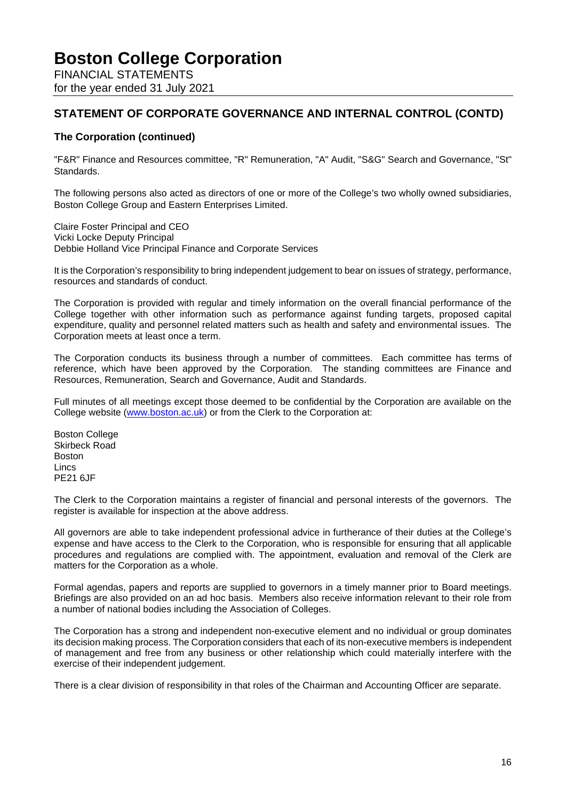FINANCIAL STATEMENTS for the year ended 31 July 2021

# **STATEMENT OF CORPORATE GOVERNANCE AND INTERNAL CONTROL (CONTD)**

# **The Corporation (continued)**

"F&R" Finance and Resources committee, "R" Remuneration, "A" Audit, "S&G" Search and Governance, "St" Standards.

The following persons also acted as directors of one or more of the College's two wholly owned subsidiaries, Boston College Group and Eastern Enterprises Limited.

Claire Foster Principal and CEO Vicki Locke Deputy Principal Debbie Holland Vice Principal Finance and Corporate Services

It is the Corporation's responsibility to bring independent judgement to bear on issues of strategy, performance, resources and standards of conduct.

The Corporation is provided with regular and timely information on the overall financial performance of the College together with other information such as performance against funding targets, proposed capital expenditure, quality and personnel related matters such as health and safety and environmental issues. The Corporation meets at least once a term.

The Corporation conducts its business through a number of committees. Each committee has terms of reference, which have been approved by the Corporation. The standing committees are Finance and Resources, Remuneration, Search and Governance, Audit and Standards.

Full minutes of all meetings except those deemed to be confidential by the Corporation are available on the College website [\(www.boston.ac.uk\)](http://www.boston.ac.uk/) or from the Clerk to the Corporation at:

Boston College Skirbeck Road Boston Lincs PE21 6JF

The Clerk to the Corporation maintains a register of financial and personal interests of the governors. The register is available for inspection at the above address.

All governors are able to take independent professional advice in furtherance of their duties at the College's expense and have access to the Clerk to the Corporation, who is responsible for ensuring that all applicable procedures and regulations are complied with. The appointment, evaluation and removal of the Clerk are matters for the Corporation as a whole.

Formal agendas, papers and reports are supplied to governors in a timely manner prior to Board meetings. Briefings are also provided on an ad hoc basis. Members also receive information relevant to their role from a number of national bodies including the Association of Colleges.

The Corporation has a strong and independent non-executive element and no individual or group dominates its decision making process. The Corporation considers that each of its non-executive members is independent of management and free from any business or other relationship which could materially interfere with the exercise of their independent judgement.

There is a clear division of responsibility in that roles of the Chairman and Accounting Officer are separate.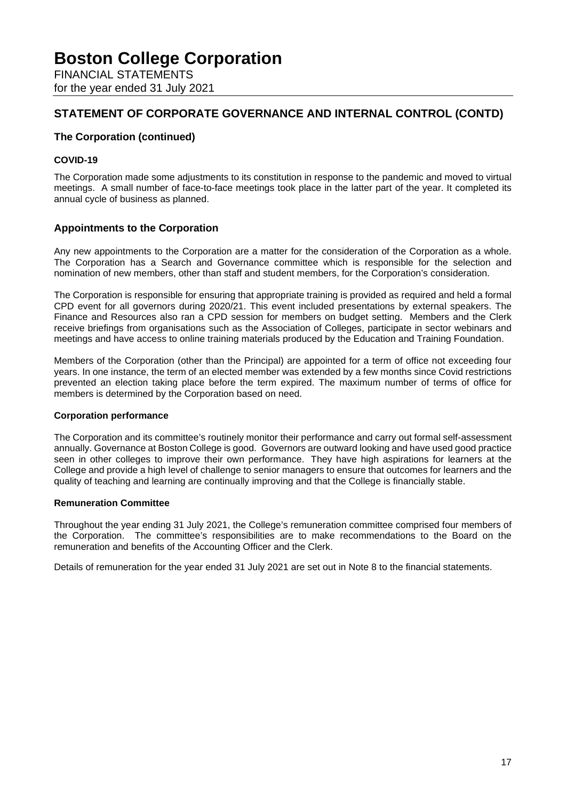FINANCIAL STATEMENTS for the year ended 31 July 2021

# **STATEMENT OF CORPORATE GOVERNANCE AND INTERNAL CONTROL (CONTD)**

# **The Corporation (continued)**

## **COVID-19**

The Corporation made some adjustments to its constitution in response to the pandemic and moved to virtual meetings. A small number of face-to-face meetings took place in the latter part of the year. It completed its annual cycle of business as planned.

## **Appointments to the Corporation**

Any new appointments to the Corporation are a matter for the consideration of the Corporation as a whole. The Corporation has a Search and Governance committee which is responsible for the selection and nomination of new members, other than staff and student members, for the Corporation's consideration.

The Corporation is responsible for ensuring that appropriate training is provided as required and held a formal CPD event for all governors during 2020/21. This event included presentations by external speakers. The Finance and Resources also ran a CPD session for members on budget setting. Members and the Clerk receive briefings from organisations such as the Association of Colleges, participate in sector webinars and meetings and have access to online training materials produced by the Education and Training Foundation.

Members of the Corporation (other than the Principal) are appointed for a term of office not exceeding four years. In one instance, the term of an elected member was extended by a few months since Covid restrictions prevented an election taking place before the term expired. The maximum number of terms of office for members is determined by the Corporation based on need.

### **Corporation performance**

The Corporation and its committee's routinely monitor their performance and carry out formal self-assessment annually. Governance at Boston College is good. Governors are outward looking and have used good practice seen in other colleges to improve their own performance. They have high aspirations for learners at the College and provide a high level of challenge to senior managers to ensure that outcomes for learners and the quality of teaching and learning are continually improving and that the College is financially stable.

### **Remuneration Committee**

Throughout the year ending 31 July 2021, the College's remuneration committee comprised four members of the Corporation. The committee's responsibilities are to make recommendations to the Board on the remuneration and benefits of the Accounting Officer and the Clerk.

Details of remuneration for the year ended 31 July 2021 are set out in Note 8 to the financial statements.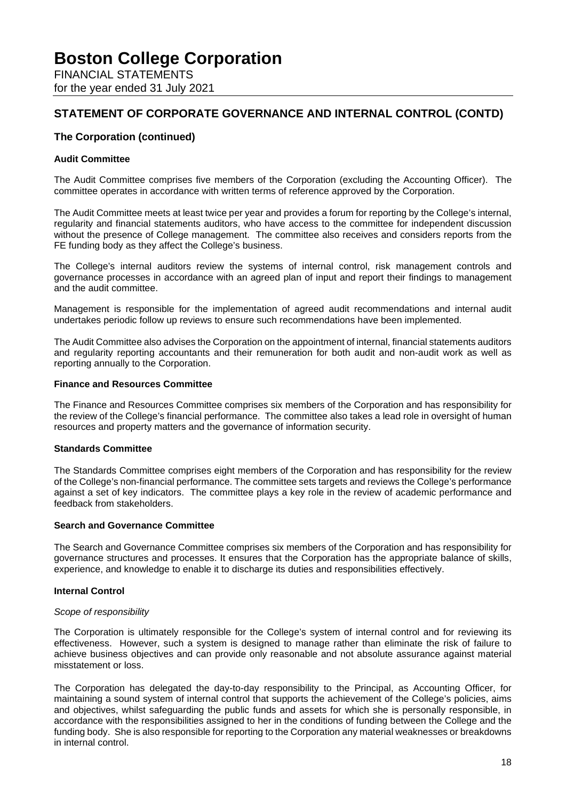FINANCIAL STATEMENTS for the year ended 31 July 2021

# **STATEMENT OF CORPORATE GOVERNANCE AND INTERNAL CONTROL (CONTD)**

# **The Corporation (continued)**

## **Audit Committee**

The Audit Committee comprises five members of the Corporation (excluding the Accounting Officer). The committee operates in accordance with written terms of reference approved by the Corporation.

The Audit Committee meets at least twice per year and provides a forum for reporting by the College's internal, regularity and financial statements auditors, who have access to the committee for independent discussion without the presence of College management. The committee also receives and considers reports from the FE funding body as they affect the College's business.

The College's internal auditors review the systems of internal control, risk management controls and governance processes in accordance with an agreed plan of input and report their findings to management and the audit committee.

Management is responsible for the implementation of agreed audit recommendations and internal audit undertakes periodic follow up reviews to ensure such recommendations have been implemented.

The Audit Committee also advises the Corporation on the appointment of internal, financial statements auditors and regularity reporting accountants and their remuneration for both audit and non-audit work as well as reporting annually to the Corporation.

#### **Finance and Resources Committee**

The Finance and Resources Committee comprises six members of the Corporation and has responsibility for the review of the College's financial performance. The committee also takes a lead role in oversight of human resources and property matters and the governance of information security.

### **Standards Committee**

The Standards Committee comprises eight members of the Corporation and has responsibility for the review of the College's non-financial performance. The committee sets targets and reviews the College's performance against a set of key indicators. The committee plays a key role in the review of academic performance and feedback from stakeholders.

#### **Search and Governance Committee**

The Search and Governance Committee comprises six members of the Corporation and has responsibility for governance structures and processes. It ensures that the Corporation has the appropriate balance of skills, experience, and knowledge to enable it to discharge its duties and responsibilities effectively.

### **Internal Control**

#### *Scope of responsibility*

The Corporation is ultimately responsible for the College's system of internal control and for reviewing its effectiveness. However, such a system is designed to manage rather than eliminate the risk of failure to achieve business objectives and can provide only reasonable and not absolute assurance against material misstatement or loss.

The Corporation has delegated the day-to-day responsibility to the Principal, as Accounting Officer, for maintaining a sound system of internal control that supports the achievement of the College's policies, aims and objectives, whilst safeguarding the public funds and assets for which she is personally responsible, in accordance with the responsibilities assigned to her in the conditions of funding between the College and the funding body. She is also responsible for reporting to the Corporation any material weaknesses or breakdowns in internal control.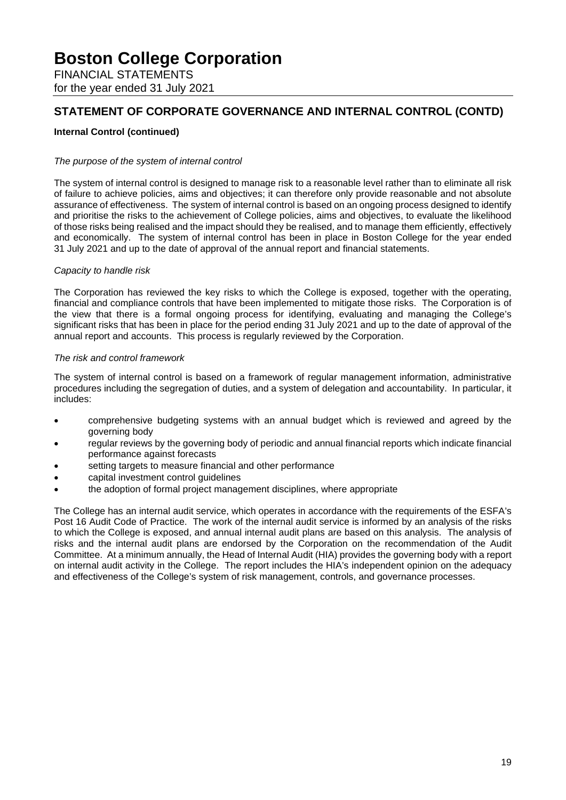FINANCIAL STATEMENTS for the year ended 31 July 2021

# **STATEMENT OF CORPORATE GOVERNANCE AND INTERNAL CONTROL (CONTD)**

## **Internal Control (continued)**

#### *The purpose of the system of internal control*

The system of internal control is designed to manage risk to a reasonable level rather than to eliminate all risk of failure to achieve policies, aims and objectives; it can therefore only provide reasonable and not absolute assurance of effectiveness. The system of internal control is based on an ongoing process designed to identify and prioritise the risks to the achievement of College policies, aims and objectives, to evaluate the likelihood of those risks being realised and the impact should they be realised, and to manage them efficiently, effectively and economically. The system of internal control has been in place in Boston College for the year ended 31 July 2021 and up to the date of approval of the annual report and financial statements.

#### *Capacity to handle risk*

The Corporation has reviewed the key risks to which the College is exposed, together with the operating, financial and compliance controls that have been implemented to mitigate those risks. The Corporation is of the view that there is a formal ongoing process for identifying, evaluating and managing the College's significant risks that has been in place for the period ending 31 July 2021 and up to the date of approval of the annual report and accounts. This process is regularly reviewed by the Corporation.

#### *The risk and control framework*

The system of internal control is based on a framework of regular management information, administrative procedures including the segregation of duties, and a system of delegation and accountability. In particular, it includes:

- comprehensive budgeting systems with an annual budget which is reviewed and agreed by the governing body
- regular reviews by the governing body of periodic and annual financial reports which indicate financial performance against forecasts
- setting targets to measure financial and other performance
- capital investment control guidelines
- the adoption of formal project management disciplines, where appropriate

The College has an internal audit service, which operates in accordance with the requirements of the ESFA's Post 16 Audit Code of Practice. The work of the internal audit service is informed by an analysis of the risks to which the College is exposed, and annual internal audit plans are based on this analysis. The analysis of risks and the internal audit plans are endorsed by the Corporation on the recommendation of the Audit Committee. At a minimum annually, the Head of Internal Audit (HIA) provides the governing body with a report on internal audit activity in the College. The report includes the HIA's independent opinion on the adequacy and effectiveness of the College's system of risk management, controls, and governance processes.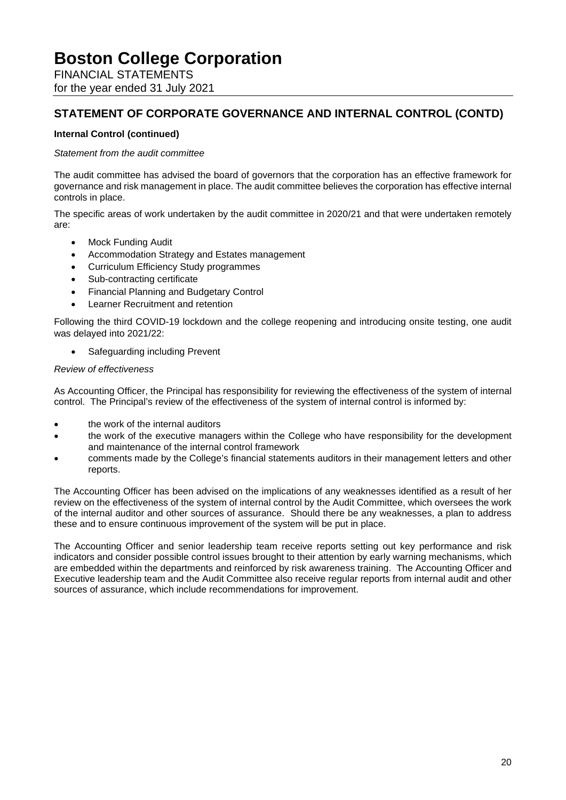FINANCIAL STATEMENTS for the year ended 31 July 2021

# **STATEMENT OF CORPORATE GOVERNANCE AND INTERNAL CONTROL (CONTD)**

## **Internal Control (continued)**

#### *Statement from the audit committee*

The audit committee has advised the board of governors that the corporation has an effective framework for governance and risk management in place. The audit committee believes the corporation has effective internal controls in place.

The specific areas of work undertaken by the audit committee in 2020/21 and that were undertaken remotely are:

- Mock Funding Audit
- Accommodation Strategy and Estates management
- Curriculum Efficiency Study programmes
- Sub-contracting certificate
- Financial Planning and Budgetary Control
- Learner Recruitment and retention

Following the third COVID-19 lockdown and the college reopening and introducing onsite testing, one audit was delayed into 2021/22:

Safeguarding including Prevent

#### *Review of effectiveness*

As Accounting Officer, the Principal has responsibility for reviewing the effectiveness of the system of internal control. The Principal's review of the effectiveness of the system of internal control is informed by:

- the work of the internal auditors
- the work of the executive managers within the College who have responsibility for the development and maintenance of the internal control framework
- comments made by the College's financial statements auditors in their management letters and other reports.

The Accounting Officer has been advised on the implications of any weaknesses identified as a result of her review on the effectiveness of the system of internal control by the Audit Committee, which oversees the work of the internal auditor and other sources of assurance. Should there be any weaknesses, a plan to address these and to ensure continuous improvement of the system will be put in place.

The Accounting Officer and senior leadership team receive reports setting out key performance and risk indicators and consider possible control issues brought to their attention by early warning mechanisms, which are embedded within the departments and reinforced by risk awareness training. The Accounting Officer and Executive leadership team and the Audit Committee also receive regular reports from internal audit and other sources of assurance, which include recommendations for improvement.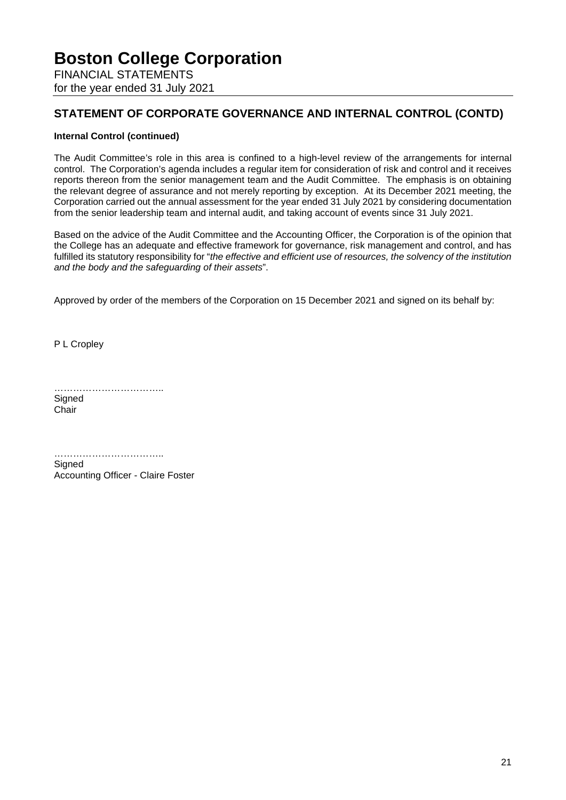FINANCIAL STATEMENTS for the year ended 31 July 2021

# **STATEMENT OF CORPORATE GOVERNANCE AND INTERNAL CONTROL (CONTD)**

## **Internal Control (continued)**

The Audit Committee's role in this area is confined to a high-level review of the arrangements for internal control. The Corporation's agenda includes a regular item for consideration of risk and control and it receives reports thereon from the senior management team and the Audit Committee. The emphasis is on obtaining the relevant degree of assurance and not merely reporting by exception. At its December 2021 meeting, the Corporation carried out the annual assessment for the year ended 31 July 2021 by considering documentation from the senior leadership team and internal audit, and taking account of events since 31 July 2021.

Based on the advice of the Audit Committee and the Accounting Officer, the Corporation is of the opinion that the College has an adequate and effective framework for governance, risk management and control, and has fulfilled its statutory responsibility for "*the effective and efficient use of resources, the solvency of the institution and the body and the safeguarding of their assets*".

Approved by order of the members of the Corporation on 15 December 2021 and signed on its behalf by:

P L Cropley

…………………………….. **Signed** 

Chair

………………………………………… **Signed** Accounting Officer - Claire Foster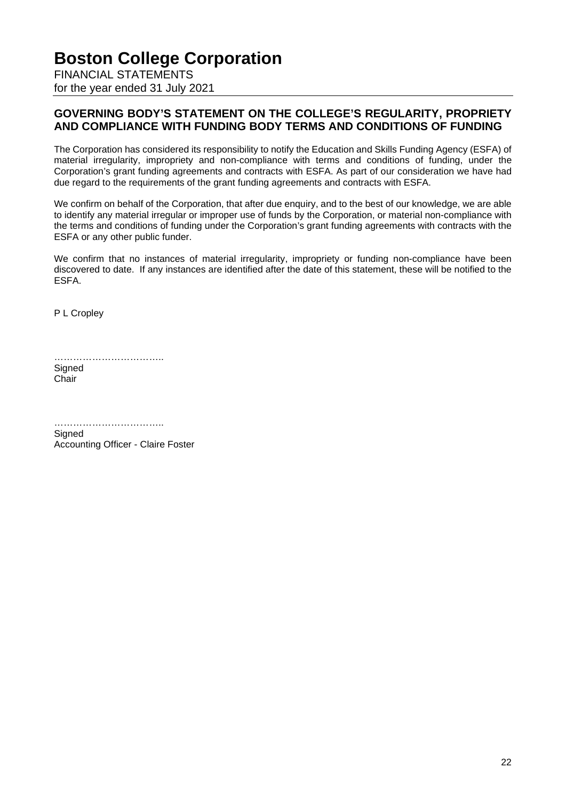FINANCIAL STATEMENTS for the year ended 31 July 2021

# **GOVERNING BODY'S STATEMENT ON THE COLLEGE'S REGULARITY, PROPRIETY AND COMPLIANCE WITH FUNDING BODY TERMS AND CONDITIONS OF FUNDING**

The Corporation has considered its responsibility to notify the Education and Skills Funding Agency (ESFA) of material irregularity, impropriety and non-compliance with terms and conditions of funding, under the Corporation's grant funding agreements and contracts with ESFA. As part of our consideration we have had due regard to the requirements of the grant funding agreements and contracts with ESFA.

We confirm on behalf of the Corporation, that after due enquiry, and to the best of our knowledge, we are able to identify any material irregular or improper use of funds by the Corporation, or material non-compliance with the terms and conditions of funding under the Corporation's grant funding agreements with contracts with the ESFA or any other public funder.

We confirm that no instances of material irregularity, impropriety or funding non-compliance have been discovered to date. If any instances are identified after the date of this statement, these will be notified to the ESFA.

P L Cropley

………………………………… **Signed** Chair

……………………………………… **Signed** Accounting Officer - Claire Foster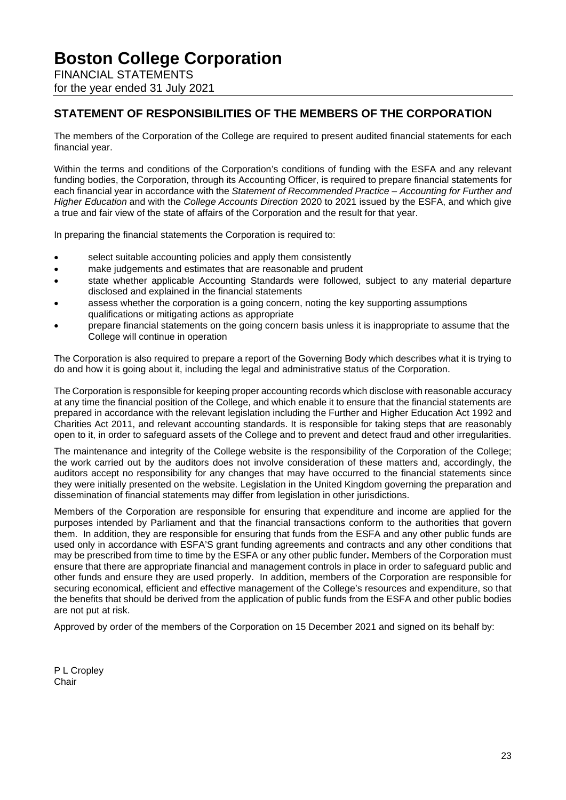FINANCIAL STATEMENTS for the year ended 31 July 2021

# **STATEMENT OF RESPONSIBILITIES OF THE MEMBERS OF THE CORPORATION**

The members of the Corporation of the College are required to present audited financial statements for each financial year.

Within the terms and conditions of the Corporation's conditions of funding with the ESFA and any relevant funding bodies, the Corporation, through its Accounting Officer, is required to prepare financial statements for each financial year in accordance with the *Statement of Recommended Practice – Accounting for Further and Higher Education* and with the *College Accounts Direction* 2020 to 2021 issued by the ESFA, and which give a true and fair view of the state of affairs of the Corporation and the result for that year.

In preparing the financial statements the Corporation is required to:

- select suitable accounting policies and apply them consistently
- make judgements and estimates that are reasonable and prudent
- state whether applicable Accounting Standards were followed, subject to any material departure disclosed and explained in the financial statements
- assess whether the corporation is a going concern, noting the key supporting assumptions qualifications or mitigating actions as appropriate
- prepare financial statements on the going concern basis unless it is inappropriate to assume that the College will continue in operation

The Corporation is also required to prepare a report of the Governing Body which describes what it is trying to do and how it is going about it, including the legal and administrative status of the Corporation.

The Corporation is responsible for keeping proper accounting records which disclose with reasonable accuracy at any time the financial position of the College, and which enable it to ensure that the financial statements are prepared in accordance with the relevant legislation including the Further and Higher Education Act 1992 and Charities Act 2011, and relevant accounting standards. It is responsible for taking steps that are reasonably open to it, in order to safeguard assets of the College and to prevent and detect fraud and other irregularities.

The maintenance and integrity of the College website is the responsibility of the Corporation of the College; the work carried out by the auditors does not involve consideration of these matters and, accordingly, the auditors accept no responsibility for any changes that may have occurred to the financial statements since they were initially presented on the website. Legislation in the United Kingdom governing the preparation and dissemination of financial statements may differ from legislation in other jurisdictions.

Members of the Corporation are responsible for ensuring that expenditure and income are applied for the purposes intended by Parliament and that the financial transactions conform to the authorities that govern them. In addition, they are responsible for ensuring that funds from the ESFA and any other public funds are used only in accordance with ESFA'S grant funding agreements and contracts and any other conditions that may be prescribed from time to time by the ESFA or any other public funder**.** Members of the Corporation must ensure that there are appropriate financial and management controls in place in order to safeguard public and other funds and ensure they are used properly. In addition, members of the Corporation are responsible for securing economical, efficient and effective management of the College's resources and expenditure, so that the benefits that should be derived from the application of public funds from the ESFA and other public bodies are not put at risk.

Approved by order of the members of the Corporation on 15 December 2021 and signed on its behalf by:

P L Cropley Chair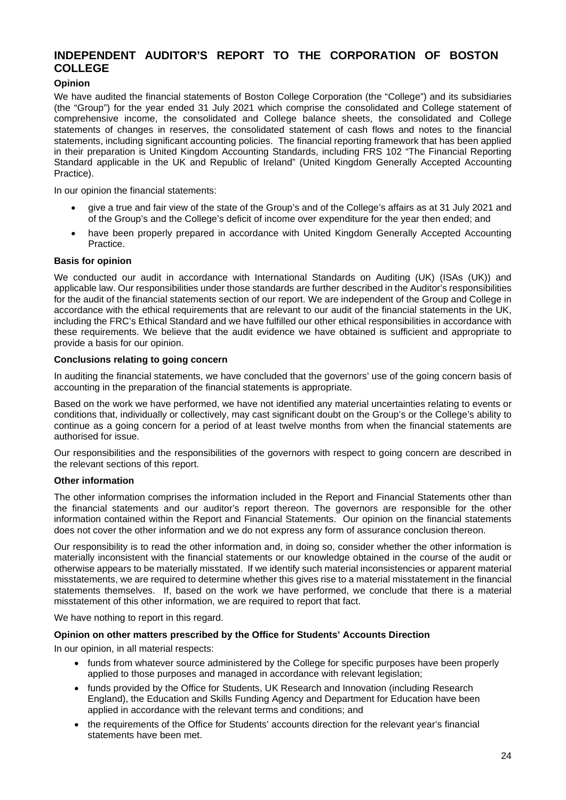# **INDEPENDENT AUDITOR'S REPORT TO THE CORPORATION OF BOSTON COLLEGE**

## **Opinion**

We have audited the financial statements of Boston College Corporation (the "College") and its subsidiaries (the "Group") for the year ended 31 July 2021 which comprise the consolidated and College statement of comprehensive income, the consolidated and College balance sheets, the consolidated and College statements of changes in reserves, the consolidated statement of cash flows and notes to the financial statements, including significant accounting policies. The financial reporting framework that has been applied in their preparation is United Kingdom Accounting Standards, including FRS 102 "The Financial Reporting Standard applicable in the UK and Republic of Ireland" (United Kingdom Generally Accepted Accounting Practice).

In our opinion the financial statements:

- give a true and fair view of the state of the Group's and of the College's affairs as at 31 July 2021 and of the Group's and the College's deficit of income over expenditure for the year then ended; and
- have been properly prepared in accordance with United Kingdom Generally Accepted Accounting Practice.

#### **Basis for opinion**

We conducted our audit in accordance with International Standards on Auditing (UK) (ISAs (UK)) and applicable law. Our responsibilities under those standards are further described in the Auditor's responsibilities for the audit of the financial statements section of our report. We are independent of the Group and College in accordance with the ethical requirements that are relevant to our audit of the financial statements in the UK, including the FRC's Ethical Standard and we have fulfilled our other ethical responsibilities in accordance with these requirements. We believe that the audit evidence we have obtained is sufficient and appropriate to provide a basis for our opinion.

#### **Conclusions relating to going concern**

In auditing the financial statements, we have concluded that the governors' use of the going concern basis of accounting in the preparation of the financial statements is appropriate.

Based on the work we have performed, we have not identified any material uncertainties relating to events or conditions that, individually or collectively, may cast significant doubt on the Group's or the College's ability to continue as a going concern for a period of at least twelve months from when the financial statements are authorised for issue.

Our responsibilities and the responsibilities of the governors with respect to going concern are described in the relevant sections of this report.

#### **Other information**

The other information comprises the information included in the Report and Financial Statements other than the financial statements and our auditor's report thereon. The governors are responsible for the other information contained within the Report and Financial Statements. Our opinion on the financial statements does not cover the other information and we do not express any form of assurance conclusion thereon.

Our responsibility is to read the other information and, in doing so, consider whether the other information is materially inconsistent with the financial statements or our knowledge obtained in the course of the audit or otherwise appears to be materially misstated. If we identify such material inconsistencies or apparent material misstatements, we are required to determine whether this gives rise to a material misstatement in the financial statements themselves. If, based on the work we have performed, we conclude that there is a material misstatement of this other information, we are required to report that fact.

We have nothing to report in this regard.

#### **Opinion on other matters prescribed by the Office for Students' Accounts Direction**

In our opinion, in all material respects:

- funds from whatever source administered by the College for specific purposes have been properly applied to those purposes and managed in accordance with relevant legislation;
- funds provided by the Office for Students, UK Research and Innovation (including Research England), the Education and Skills Funding Agency and Department for Education have been applied in accordance with the relevant terms and conditions; and
- the requirements of the Office for Students' accounts direction for the relevant year's financial statements have been met.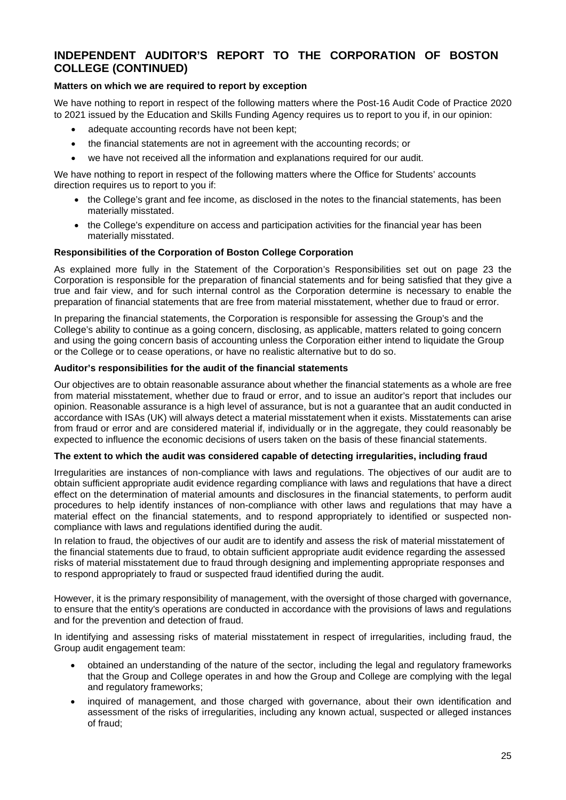# **INDEPENDENT AUDITOR'S REPORT TO THE CORPORATION OF BOSTON COLLEGE (CONTINUED)**

## **Matters on which we are required to report by exception**

We have nothing to report in respect of the following matters where the Post-16 Audit Code of Practice 2020 to 2021 issued by the Education and Skills Funding Agency requires us to report to you if, in our opinion:

- adequate accounting records have not been kept;
- the financial statements are not in agreement with the accounting records; or
- we have not received all the information and explanations required for our audit.

We have nothing to report in respect of the following matters where the Office for Students' accounts direction requires us to report to you if:

- the College's grant and fee income, as disclosed in the notes to the financial statements, has been materially misstated.
- the College's expenditure on access and participation activities for the financial year has been materially misstated.

#### **Responsibilities of the Corporation of Boston College Corporation**

As explained more fully in the Statement of the Corporation's Responsibilities set out on page 23 the Corporation is responsible for the preparation of financial statements and for being satisfied that they give a true and fair view, and for such internal control as the Corporation determine is necessary to enable the preparation of financial statements that are free from material misstatement, whether due to fraud or error.

In preparing the financial statements, the Corporation is responsible for assessing the Group's and the College's ability to continue as a going concern, disclosing, as applicable, matters related to going concern and using the going concern basis of accounting unless the Corporation either intend to liquidate the Group or the College or to cease operations, or have no realistic alternative but to do so.

#### **Auditor's responsibilities for the audit of the financial statements**

Our objectives are to obtain reasonable assurance about whether the financial statements as a whole are free from material misstatement, whether due to fraud or error, and to issue an auditor's report that includes our opinion. Reasonable assurance is a high level of assurance, but is not a guarantee that an audit conducted in accordance with ISAs (UK) will always detect a material misstatement when it exists. Misstatements can arise from fraud or error and are considered material if, individually or in the aggregate, they could reasonably be expected to influence the economic decisions of users taken on the basis of these financial statements.

#### **The extent to which the audit was considered capable of detecting irregularities, including fraud**

Irregularities are instances of non-compliance with laws and regulations. The objectives of our audit are to obtain sufficient appropriate audit evidence regarding compliance with laws and regulations that have a direct effect on the determination of material amounts and disclosures in the financial statements, to perform audit procedures to help identify instances of non-compliance with other laws and regulations that may have a material effect on the financial statements, and to respond appropriately to identified or suspected noncompliance with laws and regulations identified during the audit.

In relation to fraud, the objectives of our audit are to identify and assess the risk of material misstatement of the financial statements due to fraud, to obtain sufficient appropriate audit evidence regarding the assessed risks of material misstatement due to fraud through designing and implementing appropriate responses and to respond appropriately to fraud or suspected fraud identified during the audit.

However, it is the primary responsibility of management, with the oversight of those charged with governance, to ensure that the entity's operations are conducted in accordance with the provisions of laws and regulations and for the prevention and detection of fraud.

In identifying and assessing risks of material misstatement in respect of irregularities, including fraud, the Group audit engagement team:

- obtained an understanding of the nature of the sector, including the legal and regulatory frameworks that the Group and College operates in and how the Group and College are complying with the legal and regulatory frameworks;
- inquired of management, and those charged with governance, about their own identification and assessment of the risks of irregularities, including any known actual, suspected or alleged instances of fraud;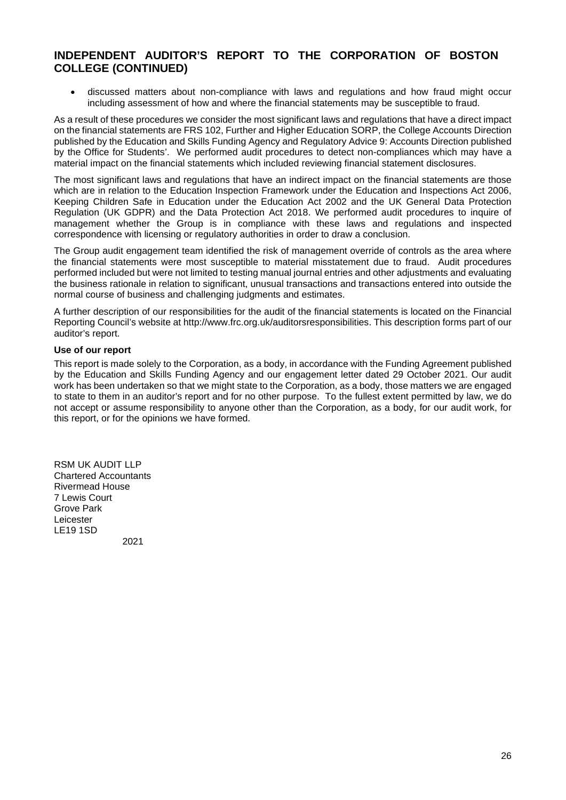# **INDEPENDENT AUDITOR'S REPORT TO THE CORPORATION OF BOSTON COLLEGE (CONTINUED)**

• discussed matters about non-compliance with laws and regulations and how fraud might occur including assessment of how and where the financial statements may be susceptible to fraud.

As a result of these procedures we consider the most significant laws and regulations that have a direct impact on the financial statements are FRS 102, Further and Higher Education SORP, the College Accounts Direction published by the Education and Skills Funding Agency and Regulatory Advice 9: Accounts Direction published by the Office for Students'. We performed audit procedures to detect non-compliances which may have a material impact on the financial statements which included reviewing financial statement disclosures.

The most significant laws and regulations that have an indirect impact on the financial statements are those which are in relation to the Education Inspection Framework under the Education and Inspections Act 2006, Keeping Children Safe in Education under the Education Act 2002 and the UK General Data Protection Regulation (UK GDPR) and the Data Protection Act 2018. We performed audit procedures to inquire of management whether the Group is in compliance with these laws and regulations and inspected correspondence with licensing or regulatory authorities in order to draw a conclusion.

The Group audit engagement team identified the risk of management override of controls as the area where the financial statements were most susceptible to material misstatement due to fraud. Audit procedures performed included but were not limited to testing manual journal entries and other adjustments and evaluating the business rationale in relation to significant, unusual transactions and transactions entered into outside the normal course of business and challenging judgments and estimates.

A further description of our responsibilities for the audit of the financial statements is located on the Financial Reporting Council's website at [http://www.frc.org.uk/auditorsresponsibilities.](http://www.frc.org.uk/auditorsresponsibilities) This description forms part of our auditor's report.

#### **Use of our report**

This report is made solely to the Corporation, as a body, in accordance with the Funding Agreement published by the Education and Skills Funding Agency and our engagement letter dated 29 October 2021. Our audit work has been undertaken so that we might state to the Corporation, as a body, those matters we are engaged to state to them in an auditor's report and for no other purpose. To the fullest extent permitted by law, we do not accept or assume responsibility to anyone other than the Corporation, as a body, for our audit work, for this report, or for the opinions we have formed.

RSM UK AUDIT LLP Chartered Accountants Rivermead House 7 Lewis Court Grove Park Leicester LE19 1SD

2021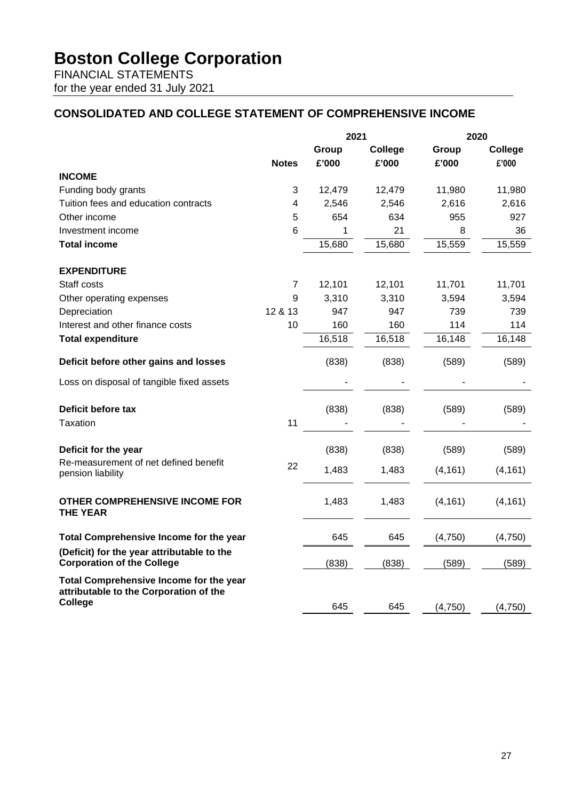FINANCIAL STATEMENTS for the year ended 31 July 2021

# **CONSOLIDATED AND COLLEGE STATEMENT OF COMPREHENSIVE INCOME**

|                                                                                   |                | 2021   |         | 2020     |          |
|-----------------------------------------------------------------------------------|----------------|--------|---------|----------|----------|
|                                                                                   |                | Group  | College | Group    | College  |
|                                                                                   | <b>Notes</b>   | £'000  | £'000   | £'000    | £'000    |
| <b>INCOME</b>                                                                     |                |        |         |          |          |
| Funding body grants                                                               | 3              | 12,479 | 12,479  | 11,980   | 11,980   |
| Tuition fees and education contracts                                              | 4              | 2,546  | 2,546   | 2,616    | 2,616    |
| Other income                                                                      | 5              | 654    | 634     | 955      | 927      |
| Investment income                                                                 | 6              | 1      | 21      | 8        | 36       |
| <b>Total income</b>                                                               |                | 15,680 | 15,680  | 15,559   | 15,559   |
| <b>EXPENDITURE</b>                                                                |                |        |         |          |          |
| Staff costs                                                                       | $\overline{7}$ | 12,101 | 12,101  | 11,701   | 11,701   |
| Other operating expenses                                                          | 9              | 3,310  | 3,310   | 3,594    | 3,594    |
| Depreciation                                                                      | 12 & 13        | 947    | 947     | 739      | 739      |
| Interest and other finance costs                                                  | 10             | 160    | 160     | 114      | 114      |
| <b>Total expenditure</b>                                                          |                | 16,518 | 16,518  | 16,148   | 16,148   |
| Deficit before other gains and losses                                             |                | (838)  | (838)   | (589)    | (589)    |
| Loss on disposal of tangible fixed assets                                         |                |        |         |          |          |
| Deficit before tax                                                                |                | (838)  | (838)   | (589)    | (589)    |
| Taxation                                                                          | 11             |        |         |          |          |
| Deficit for the year                                                              |                | (838)  | (838)   | (589)    | (589)    |
| Re-measurement of net defined benefit<br>pension liability                        | 22             | 1,483  | 1,483   | (4, 161) | (4, 161) |
| <b>OTHER COMPREHENSIVE INCOME FOR</b><br><b>THE YEAR</b>                          |                | 1,483  | 1,483   | (4, 161) | (4, 161) |
| <b>Total Comprehensive Income for the year</b>                                    |                | 645    | 645     | (4,750)  | (4,750)  |
| (Deficit) for the year attributable to the<br><b>Corporation of the College</b>   |                | (838)  | (838)   | (589)    | (589)    |
| Total Comprehensive Income for the year<br>attributable to the Corporation of the |                |        |         |          |          |
| College                                                                           |                | 645    | 645     | (4,750)  | (4,750)  |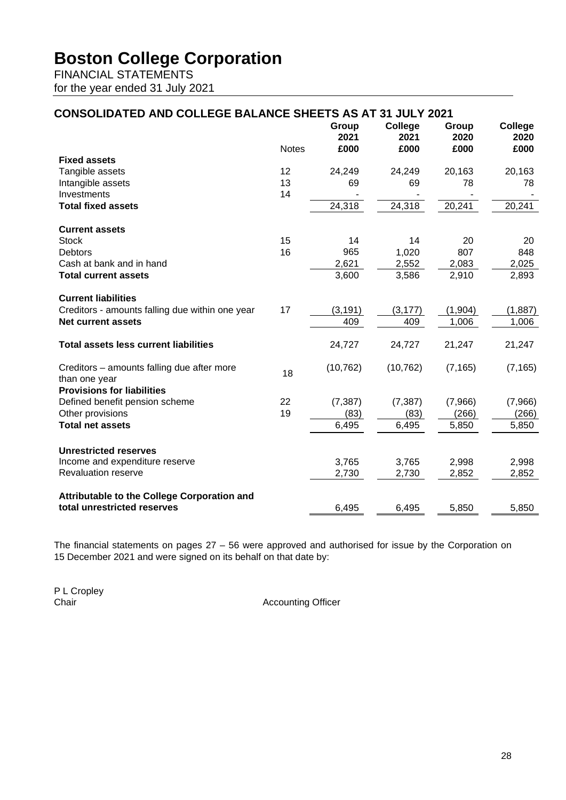FINANCIAL STATEMENTS for the year ended 31 July 2021

#### **CONSOLIDATED AND COLLEGE BALANCE SHEETS AS AT 31 JULY 2021** Notes **Group 2021 £000 College 2021 £000 Group 2020 £000 College 2020 £000 Fixed assets** Tangible assets 12 24,249 24,249 20,163 20,163 Intangible assets 13 69 69 78 78<br>
Investments 14 14 1 Investments 14 - - - - **Total fixed assets** 24,318 24,318 20,241 20,241 **Current assets** Stock 15 14 14 20 20 Debtors 16 965 1,020 807 848 Cash at bank and in hand<br> **Cash at bank and in hand**<br>  $\frac{2,621}{3.600}$   $\frac{2,552}{3.586}$   $\frac{2,083}{2.910}$   $\frac{2,025}{2.893}$ **Total current assets Current liabilities** Creditors - amounts falling due within one year  $17$  (3,191)  $(3,177)$  (1,904) (1,887) **Net current assets** 1,006 1,006 1,006 1,006 1,006 1,006 1,006 1,006 1,006 1,006 1,006 1,006 1,006 1,006 1,006 1,006 1,006 1,006 1,006 1,006 1,006 1,006 1,006 1,000 1,000 1,000 1,000 1,000 1,000 1,000 1,000 1,000 1,000 1,0 **Total assets less current liabilities** 24,727 24,727 21,247 21,247 Creditors – amounts falling due after more (10,762) (10,762) (7,165) (7,165)<br>than one year **Provisions for liabilities**  Defined benefit pension scheme 22 (7,387) (7,387) (7,966) (7,966) Other provisions (266) (266) (266) (266) (266) (266) (266) **Total net assets** 6,495 6,495 6,495 5,850 5,850 **Unrestricted reserves** Income and expenditure reserve 3,765 3,765 2,998 2,998 Revaluation reserve 2,730 2,730 **Attributable to the College Corporation and total unrestricted reserves** 6,495 6,495 6,495 5,850 5,850

The financial statements on pages 27 – 56 were approved and authorised for issue by the Corporation on 15 December 2021 and were signed on its behalf on that date by:

P L Cropley<br>Chair

**Accounting Officer**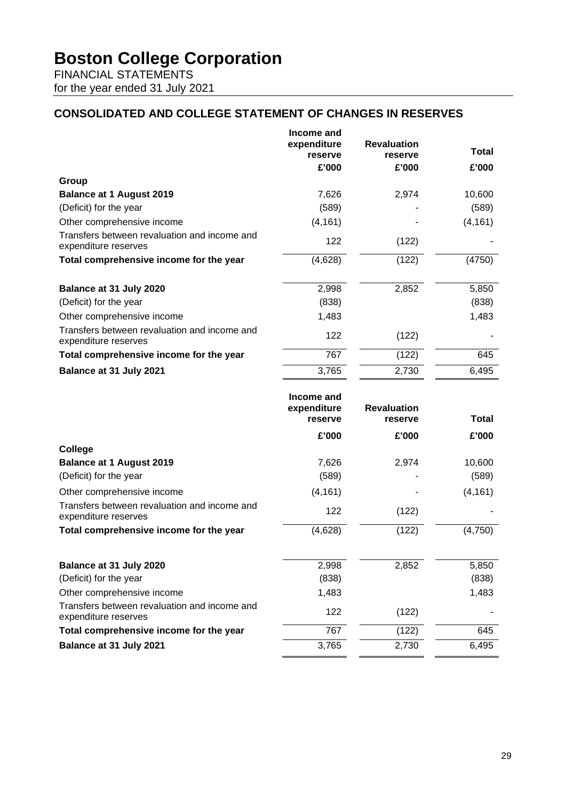FINANCIAL STATEMENTS for the year ended 31 July 2021

# **CONSOLIDATED AND COLLEGE STATEMENT OF CHANGES IN RESERVES**

|                                                                                                    | Income and<br>expenditure<br>reserve<br>£'000 | <b>Revaluation</b><br>reserve<br>£'000 | <b>Total</b><br>£'000 |
|----------------------------------------------------------------------------------------------------|-----------------------------------------------|----------------------------------------|-----------------------|
| Group                                                                                              |                                               |                                        |                       |
| <b>Balance at 1 August 2019</b>                                                                    | 7,626                                         | 2,974                                  | 10,600                |
| (Deficit) for the year                                                                             | (589)                                         |                                        | (589)                 |
| Other comprehensive income                                                                         | (4, 161)                                      |                                        | (4, 161)              |
| Transfers between revaluation and income and<br>expenditure reserves                               | 122                                           | (122)                                  |                       |
| Total comprehensive income for the year                                                            | (4,628)                                       | (122)                                  | (4750)                |
| Balance at 31 July 2020                                                                            | 2,998                                         | 2,852                                  | 5,850                 |
| (Deficit) for the year                                                                             | (838)                                         |                                        | (838)                 |
| Other comprehensive income                                                                         | 1,483                                         |                                        | 1,483                 |
| Transfers between revaluation and income and<br>expenditure reserves                               | 122                                           | (122)                                  |                       |
| Total comprehensive income for the year                                                            | 767                                           | (122)                                  | 645                   |
| Balance at 31 July 2021                                                                            | 3,765                                         | 2,730                                  | 6,495                 |
|                                                                                                    |                                               |                                        |                       |
|                                                                                                    | Income and<br>expenditure<br>reserve          | <b>Revaluation</b><br>reserve          | <b>Total</b>          |
|                                                                                                    | £'000                                         | £'000                                  | £'000                 |
| <b>College</b>                                                                                     |                                               |                                        |                       |
| <b>Balance at 1 August 2019</b>                                                                    | 7,626                                         | 2,974                                  | 10,600                |
| (Deficit) for the year                                                                             | (589)                                         |                                        | (589)                 |
| Other comprehensive income                                                                         | (4, 161)                                      |                                        | (4, 161)              |
| Transfers between revaluation and income and<br>expenditure reserves                               | 122                                           | (122)                                  |                       |
| Total comprehensive income for the year                                                            | (4,628)                                       | (122)                                  | (4,750)               |
|                                                                                                    |                                               |                                        |                       |
| Balance at 31 July 2020<br>(Deficit) for the year                                                  | 2,998<br>(838)                                | 2,852                                  | 5,850<br>(838)        |
|                                                                                                    | 1,483                                         |                                        |                       |
| Other comprehensive income<br>Transfers between revaluation and income and<br>expenditure reserves | 122                                           | (122)                                  | 1,483                 |
| Total comprehensive income for the year                                                            | 767                                           | (122)                                  | 645                   |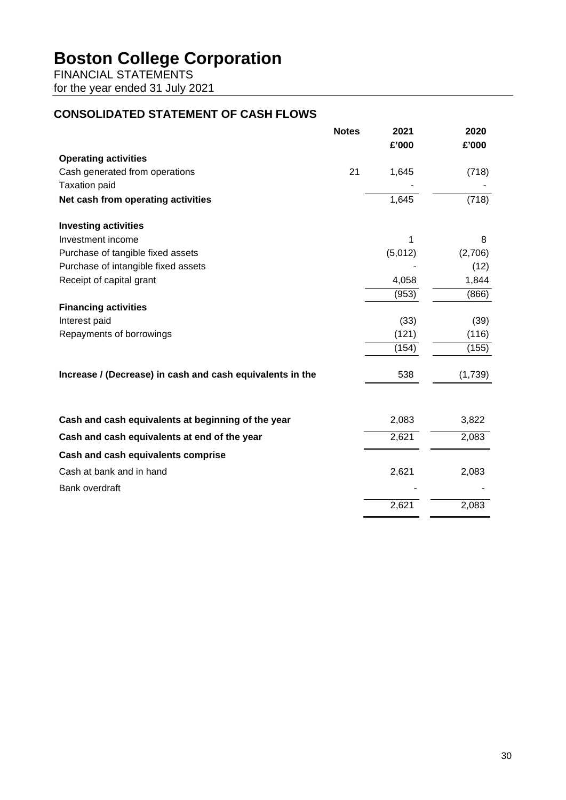FINANCIAL STATEMENTS for the year ended 31 July 2021

# **CONSOLIDATED STATEMENT OF CASH FLOWS**

|                                                           | <b>Notes</b> | 2021<br>£'000 | 2020<br>£'000 |
|-----------------------------------------------------------|--------------|---------------|---------------|
| <b>Operating activities</b>                               |              |               |               |
| Cash generated from operations                            | 21           | 1,645         | (718)         |
| <b>Taxation paid</b>                                      |              |               |               |
| Net cash from operating activities                        |              | 1,645         | (718)         |
| <b>Investing activities</b>                               |              |               |               |
| Investment income                                         |              | 1             | 8             |
| Purchase of tangible fixed assets                         |              | (5,012)       | (2,706)       |
| Purchase of intangible fixed assets                       |              |               | (12)          |
| Receipt of capital grant                                  |              | 4,058         | 1,844         |
|                                                           |              | (953)         | (866)         |
| <b>Financing activities</b>                               |              |               |               |
| Interest paid                                             |              | (33)          | (39)          |
| Repayments of borrowings                                  |              | (121)         | (116)         |
|                                                           |              | (154)         | (155)         |
| Increase / (Decrease) in cash and cash equivalents in the |              | 538           | (1,739)       |
| Cash and cash equivalents at beginning of the year        |              | 2,083         | 3,822         |
| Cash and cash equivalents at end of the year              |              | 2,621         | 2,083         |
| Cash and cash equivalents comprise                        |              |               |               |
| Cash at bank and in hand                                  |              | 2,621         | 2,083         |
| <b>Bank overdraft</b>                                     |              |               |               |
|                                                           |              | 2,621         | 2,083         |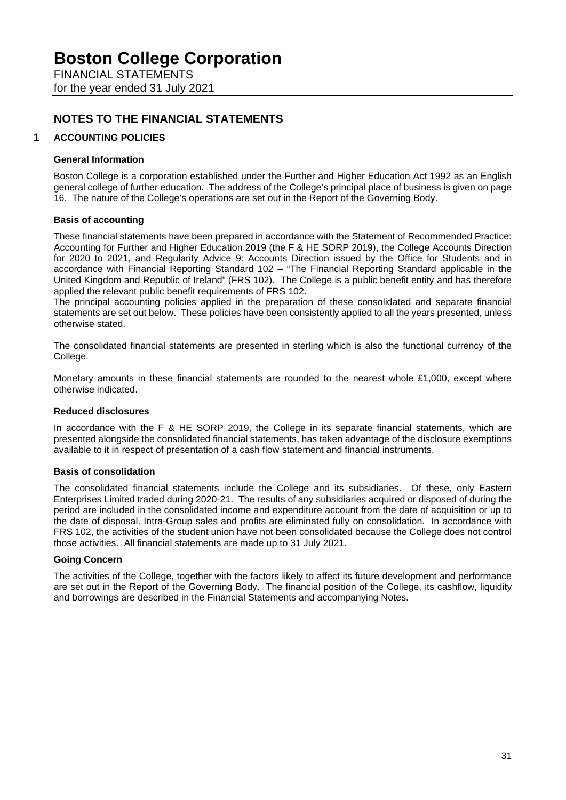FINANCIAL STATEMENTS for the year ended 31 July 2021

# **NOTES TO THE FINANCIAL STATEMENTS**

## **1 ACCOUNTING POLICIES**

#### **General Information**

Boston College is a corporation established under the Further and Higher Education Act 1992 as an English general college of further education. The address of the College's principal place of business is given on page 16. The nature of the College's operations are set out in the Report of the Governing Body.

#### **Basis of accounting**

These financial statements have been prepared in accordance with the Statement of Recommended Practice: Accounting for Further and Higher Education 2019 (the F & HE SORP 2019), the College Accounts Direction for 2020 to 2021, and Regularity Advice 9: Accounts Direction issued by the Office for Students and in accordance with Financial Reporting Standard 102 – "The Financial Reporting Standard applicable in the United Kingdom and Republic of Ireland" (FRS 102). The College is a public benefit entity and has therefore applied the relevant public benefit requirements of FRS 102.

The principal accounting policies applied in the preparation of these consolidated and separate financial statements are set out below. These policies have been consistently applied to all the years presented, unless otherwise stated.

The consolidated financial statements are presented in sterling which is also the functional currency of the College.

Monetary amounts in these financial statements are rounded to the nearest whole £1,000, except where otherwise indicated.

#### **Reduced disclosures**

In accordance with the F & HE SORP 2019, the College in its separate financial statements, which are presented alongside the consolidated financial statements, has taken advantage of the disclosure exemptions available to it in respect of presentation of a cash flow statement and financial instruments.

#### **Basis of consolidation**

The consolidated financial statements include the College and its subsidiaries. Of these, only Eastern Enterprises Limited traded during 2020-21. The results of any subsidiaries acquired or disposed of during the period are included in the consolidated income and expenditure account from the date of acquisition or up to the date of disposal. Intra-Group sales and profits are eliminated fully on consolidation. In accordance with FRS 102, the activities of the student union have not been consolidated because the College does not control those activities. All financial statements are made up to 31 July 2021.

#### **Going Concern**

The activities of the College, together with the factors likely to affect its future development and performance are set out in the Report of the Governing Body. The financial position of the College, its cashflow, liquidity and borrowings are described in the Financial Statements and accompanying Notes.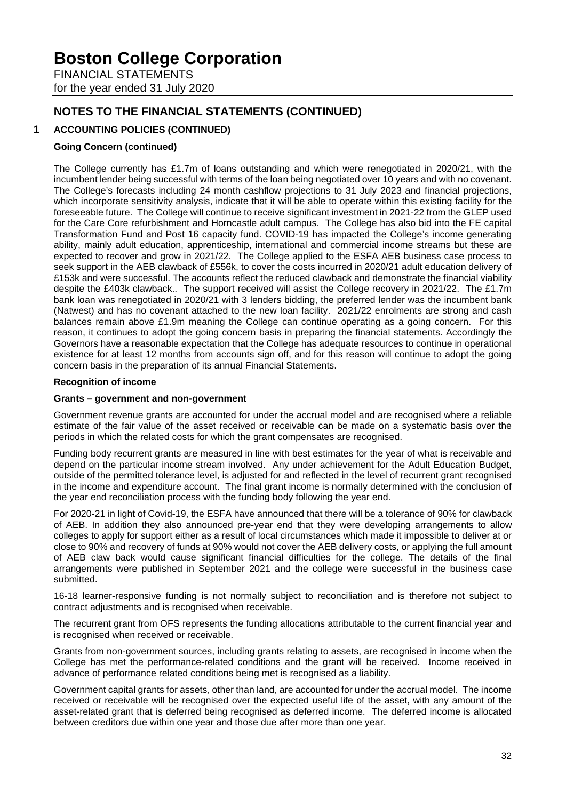FINANCIAL STATEMENTS for the year ended 31 July 2020

# **NOTES TO THE FINANCIAL STATEMENTS (CONTINUED)**

# **1 ACCOUNTING POLICIES (CONTINUED)**

## **Going Concern (continued)**

The College currently has £1.7m of loans outstanding and which were renegotiated in 2020/21, with the incumbent lender being successful with terms of the loan being negotiated over 10 years and with no covenant. The College's forecasts including 24 month cashflow projections to 31 July 2023 and financial projections, which incorporate sensitivity analysis, indicate that it will be able to operate within this existing facility for the foreseeable future. The College will continue to receive significant investment in 2021-22 from the GLEP used for the Care Core refurbishment and Horncastle adult campus. The College has also bid into the FE capital Transformation Fund and Post 16 capacity fund. COVID-19 has impacted the College's income generating ability, mainly adult education, apprenticeship, international and commercial income streams but these are expected to recover and grow in 2021/22. The College applied to the ESFA AEB business case process to seek support in the AEB clawback of £556k, to cover the costs incurred in 2020/21 adult education delivery of £153k and were successful. The accounts reflect the reduced clawback and demonstrate the financial viability despite the £403k clawback.. The support received will assist the College recovery in 2021/22. The £1.7m bank loan was renegotiated in 2020/21 with 3 lenders bidding, the preferred lender was the incumbent bank (Natwest) and has no covenant attached to the new loan facility. 2021/22 enrolments are strong and cash balances remain above £1.9m meaning the College can continue operating as a going concern. For this reason, it continues to adopt the going concern basis in preparing the financial statements. Accordingly the Governors have a reasonable expectation that the College has adequate resources to continue in operational existence for at least 12 months from accounts sign off, and for this reason will continue to adopt the going concern basis in the preparation of its annual Financial Statements.

## **Recognition of income**

## **Grants – government and non-government**

Government revenue grants are accounted for under the accrual model and are recognised where a reliable estimate of the fair value of the asset received or receivable can be made on a systematic basis over the periods in which the related costs for which the grant compensates are recognised.

Funding body recurrent grants are measured in line with best estimates for the year of what is receivable and depend on the particular income stream involved. Any under achievement for the Adult Education Budget, outside of the permitted tolerance level, is adjusted for and reflected in the level of recurrent grant recognised in the income and expenditure account. The final grant income is normally determined with the conclusion of the year end reconciliation process with the funding body following the year end.

For 2020-21 in light of Covid-19, the ESFA have announced that there will be a tolerance of 90% for clawback of AEB. In addition they also announced pre-year end that they were developing arrangements to allow colleges to apply for support either as a result of local circumstances which made it impossible to deliver at or close to 90% and recovery of funds at 90% would not cover the AEB delivery costs, or applying the full amount of AEB claw back would cause significant financial difficulties for the college. The details of the final arrangements were published in September 2021 and the college were successful in the business case submitted.

16-18 learner-responsive funding is not normally subject to reconciliation and is therefore not subject to contract adjustments and is recognised when receivable.

The recurrent grant from OFS represents the funding allocations attributable to the current financial year and is recognised when received or receivable.

Grants from non-government sources, including grants relating to assets, are recognised in income when the College has met the performance-related conditions and the grant will be received. Income received in advance of performance related conditions being met is recognised as a liability.

Government capital grants for assets, other than land, are accounted for under the accrual model. The income received or receivable will be recognised over the expected useful life of the asset, with any amount of the asset-related grant that is deferred being recognised as deferred income. The deferred income is allocated between creditors due within one year and those due after more than one year.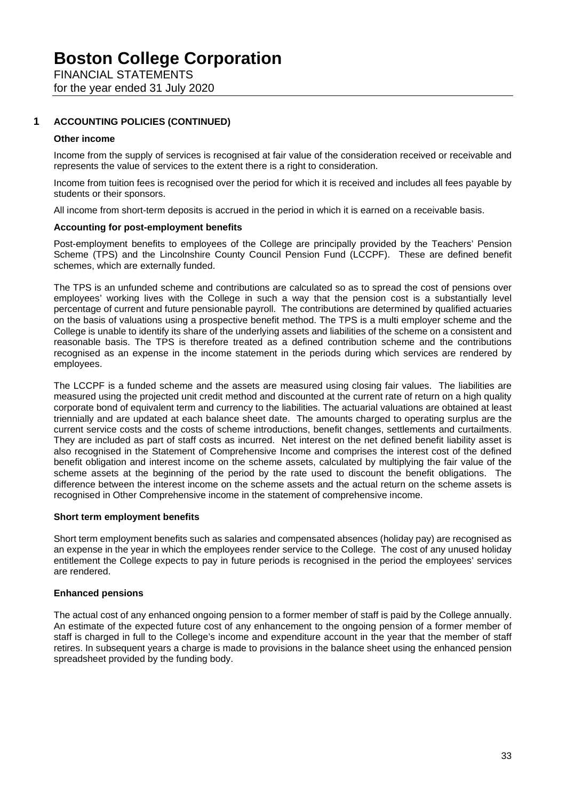FINANCIAL STATEMENTS for the year ended 31 July 2020

## **1 ACCOUNTING POLICIES (CONTINUED)**

#### **Other income**

Income from the supply of services is recognised at fair value of the consideration received or receivable and represents the value of services to the extent there is a right to consideration.

Income from tuition fees is recognised over the period for which it is received and includes all fees payable by students or their sponsors.

All income from short-term deposits is accrued in the period in which it is earned on a receivable basis.

#### **Accounting for post-employment benefits**

Post-employment benefits to employees of the College are principally provided by the Teachers' Pension Scheme (TPS) and the Lincolnshire County Council Pension Fund (LCCPF). These are defined benefit schemes, which are externally funded.

The TPS is an unfunded scheme and contributions are calculated so as to spread the cost of pensions over employees' working lives with the College in such a way that the pension cost is a substantially level percentage of current and future pensionable payroll. The contributions are determined by qualified actuaries on the basis of valuations using a prospective benefit method. The TPS is a multi employer scheme and the College is unable to identify its share of the underlying assets and liabilities of the scheme on a consistent and reasonable basis. The TPS is therefore treated as a defined contribution scheme and the contributions recognised as an expense in the income statement in the periods during which services are rendered by employees.

The LCCPF is a funded scheme and the assets are measured using closing fair values. The liabilities are measured using the projected unit credit method and discounted at the current rate of return on a high quality corporate bond of equivalent term and currency to the liabilities. The actuarial valuations are obtained at least triennially and are updated at each balance sheet date. The amounts charged to operating surplus are the current service costs and the costs of scheme introductions, benefit changes, settlements and curtailments. They are included as part of staff costs as incurred. Net interest on the net defined benefit liability asset is also recognised in the Statement of Comprehensive Income and comprises the interest cost of the defined benefit obligation and interest income on the scheme assets, calculated by multiplying the fair value of the scheme assets at the beginning of the period by the rate used to discount the benefit obligations. The difference between the interest income on the scheme assets and the actual return on the scheme assets is recognised in Other Comprehensive income in the statement of comprehensive income.

### **Short term employment benefits**

Short term employment benefits such as salaries and compensated absences (holiday pay) are recognised as an expense in the year in which the employees render service to the College. The cost of any unused holiday entitlement the College expects to pay in future periods is recognised in the period the employees' services are rendered.

### **Enhanced pensions**

The actual cost of any enhanced ongoing pension to a former member of staff is paid by the College annually. An estimate of the expected future cost of any enhancement to the ongoing pension of a former member of staff is charged in full to the College's income and expenditure account in the year that the member of staff retires. In subsequent years a charge is made to provisions in the balance sheet using the enhanced pension spreadsheet provided by the funding body.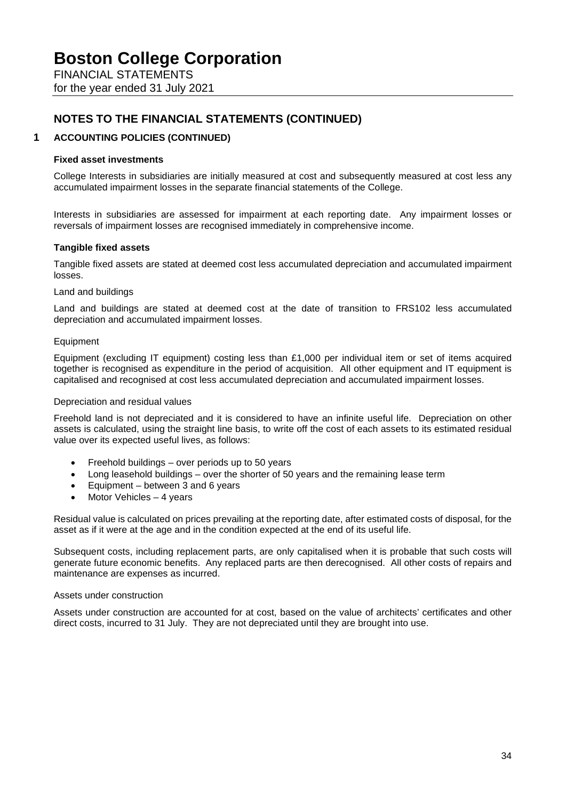FINANCIAL STATEMENTS for the year ended 31 July 2021

# **NOTES TO THE FINANCIAL STATEMENTS (CONTINUED)**

## **1 ACCOUNTING POLICIES (CONTINUED)**

#### **Fixed asset investments**

College Interests in subsidiaries are initially measured at cost and subsequently measured at cost less any accumulated impairment losses in the separate financial statements of the College.

Interests in subsidiaries are assessed for impairment at each reporting date. Any impairment losses or reversals of impairment losses are recognised immediately in comprehensive income.

### **Tangible fixed assets**

Tangible fixed assets are stated at deemed cost less accumulated depreciation and accumulated impairment losses.

#### Land and buildings

Land and buildings are stated at deemed cost at the date of transition to FRS102 less accumulated depreciation and accumulated impairment losses.

#### Equipment

Equipment (excluding IT equipment) costing less than £1,000 per individual item or set of items acquired together is recognised as expenditure in the period of acquisition. All other equipment and IT equipment is capitalised and recognised at cost less accumulated depreciation and accumulated impairment losses.

#### Depreciation and residual values

Freehold land is not depreciated and it is considered to have an infinite useful life. Depreciation on other assets is calculated, using the straight line basis, to write off the cost of each assets to its estimated residual value over its expected useful lives, as follows:

- Freehold buildings over periods up to 50 years
- Long leasehold buildings over the shorter of 50 years and the remaining lease term
- Equipment between 3 and 6 years
- Motor Vehicles 4 years

Residual value is calculated on prices prevailing at the reporting date, after estimated costs of disposal, for the asset as if it were at the age and in the condition expected at the end of its useful life.

Subsequent costs, including replacement parts, are only capitalised when it is probable that such costs will generate future economic benefits. Any replaced parts are then derecognised. All other costs of repairs and maintenance are expenses as incurred.

#### Assets under construction

Assets under construction are accounted for at cost, based on the value of architects' certificates and other direct costs, incurred to 31 July. They are not depreciated until they are brought into use.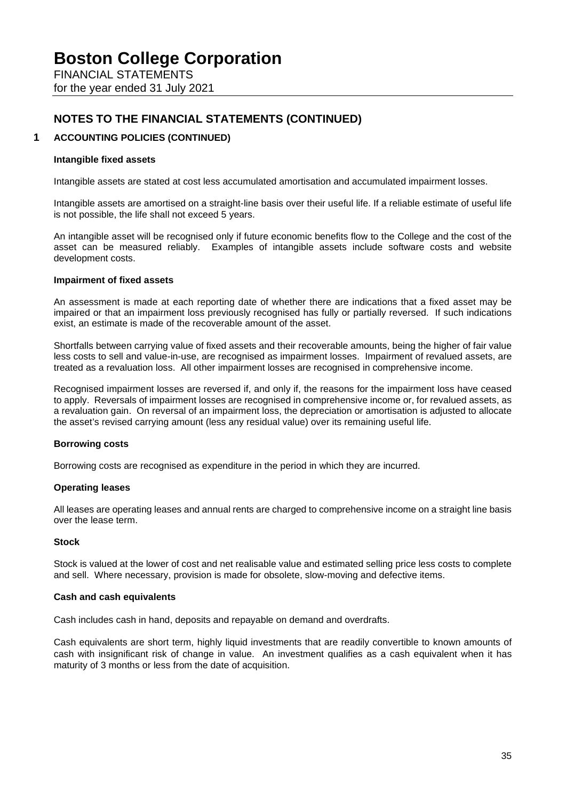FINANCIAL STATEMENTS for the year ended 31 July 2021

# **NOTES TO THE FINANCIAL STATEMENTS (CONTINUED)**

## **1 ACCOUNTING POLICIES (CONTINUED)**

#### **Intangible fixed assets**

Intangible assets are stated at cost less accumulated amortisation and accumulated impairment losses.

Intangible assets are amortised on a straight-line basis over their useful life. If a reliable estimate of useful life is not possible, the life shall not exceed 5 years.

An intangible asset will be recognised only if future economic benefits flow to the College and the cost of the asset can be measured reliably. Examples of intangible assets include software costs and website development costs.

#### **Impairment of fixed assets**

An assessment is made at each reporting date of whether there are indications that a fixed asset may be impaired or that an impairment loss previously recognised has fully or partially reversed. If such indications exist, an estimate is made of the recoverable amount of the asset.

Shortfalls between carrying value of fixed assets and their recoverable amounts, being the higher of fair value less costs to sell and value-in-use, are recognised as impairment losses. Impairment of revalued assets, are treated as a revaluation loss. All other impairment losses are recognised in comprehensive income.

Recognised impairment losses are reversed if, and only if, the reasons for the impairment loss have ceased to apply. Reversals of impairment losses are recognised in comprehensive income or, for revalued assets, as a revaluation gain. On reversal of an impairment loss, the depreciation or amortisation is adjusted to allocate the asset's revised carrying amount (less any residual value) over its remaining useful life.

#### **Borrowing costs**

Borrowing costs are recognised as expenditure in the period in which they are incurred.

#### **Operating leases**

All leases are operating leases and annual rents are charged to comprehensive income on a straight line basis over the lease term.

#### **Stock**

Stock is valued at the lower of cost and net realisable value and estimated selling price less costs to complete and sell. Where necessary, provision is made for obsolete, slow-moving and defective items.

#### **Cash and cash equivalents**

Cash includes cash in hand, deposits and repayable on demand and overdrafts.

Cash equivalents are short term, highly liquid investments that are readily convertible to known amounts of cash with insignificant risk of change in value. An investment qualifies as a cash equivalent when it has maturity of 3 months or less from the date of acquisition.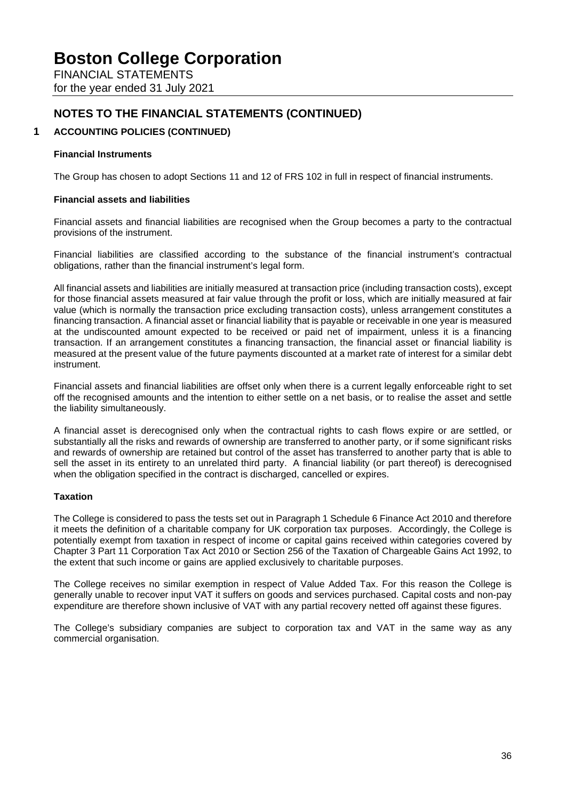FINANCIAL STATEMENTS for the year ended 31 July 2021

# **NOTES TO THE FINANCIAL STATEMENTS (CONTINUED)**

## **1 ACCOUNTING POLICIES (CONTINUED)**

### **Financial Instruments**

The Group has chosen to adopt Sections 11 and 12 of FRS 102 in full in respect of financial instruments.

#### **Financial assets and liabilities**

Financial assets and financial liabilities are recognised when the Group becomes a party to the contractual provisions of the instrument.

Financial liabilities are classified according to the substance of the financial instrument's contractual obligations, rather than the financial instrument's legal form.

All financial assets and liabilities are initially measured at transaction price (including transaction costs), except for those financial assets measured at fair value through the profit or loss, which are initially measured at fair value (which is normally the transaction price excluding transaction costs), unless arrangement constitutes a financing transaction. A financial asset or financial liability that is payable or receivable in one year is measured at the undiscounted amount expected to be received or paid net of impairment, unless it is a financing transaction. If an arrangement constitutes a financing transaction, the financial asset or financial liability is measured at the present value of the future payments discounted at a market rate of interest for a similar debt instrument.

Financial assets and financial liabilities are offset only when there is a current legally enforceable right to set off the recognised amounts and the intention to either settle on a net basis, or to realise the asset and settle the liability simultaneously.

A financial asset is derecognised only when the contractual rights to cash flows expire or are settled, or substantially all the risks and rewards of ownership are transferred to another party, or if some significant risks and rewards of ownership are retained but control of the asset has transferred to another party that is able to sell the asset in its entirety to an unrelated third party. A financial liability (or part thereof) is derecognised when the obligation specified in the contract is discharged, cancelled or expires.

### **Taxation**

The College is considered to pass the tests set out in Paragraph 1 Schedule 6 Finance Act 2010 and therefore it meets the definition of a charitable company for UK corporation tax purposes. Accordingly, the College is potentially exempt from taxation in respect of income or capital gains received within categories covered by Chapter 3 Part 11 Corporation Tax Act 2010 or Section 256 of the Taxation of Chargeable Gains Act 1992, to the extent that such income or gains are applied exclusively to charitable purposes.

The College receives no similar exemption in respect of Value Added Tax. For this reason the College is generally unable to recover input VAT it suffers on goods and services purchased. Capital costs and non-pay expenditure are therefore shown inclusive of VAT with any partial recovery netted off against these figures.

The College's subsidiary companies are subject to corporation tax and VAT in the same way as any commercial organisation.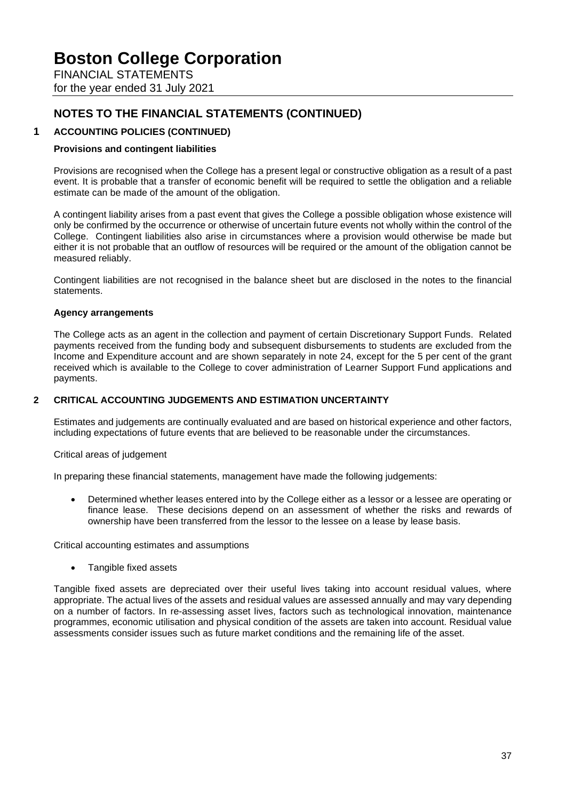FINANCIAL STATEMENTS for the year ended 31 July 2021

# **NOTES TO THE FINANCIAL STATEMENTS (CONTINUED)**

# **1 ACCOUNTING POLICIES (CONTINUED)**

## **Provisions and contingent liabilities**

Provisions are recognised when the College has a present legal or constructive obligation as a result of a past event. It is probable that a transfer of economic benefit will be required to settle the obligation and a reliable estimate can be made of the amount of the obligation.

A contingent liability arises from a past event that gives the College a possible obligation whose existence will only be confirmed by the occurrence or otherwise of uncertain future events not wholly within the control of the College. Contingent liabilities also arise in circumstances where a provision would otherwise be made but either it is not probable that an outflow of resources will be required or the amount of the obligation cannot be measured reliably.

Contingent liabilities are not recognised in the balance sheet but are disclosed in the notes to the financial statements.

### **Agency arrangements**

The College acts as an agent in the collection and payment of certain Discretionary Support Funds. Related payments received from the funding body and subsequent disbursements to students are excluded from the Income and Expenditure account and are shown separately in note 24, except for the 5 per cent of the grant received which is available to the College to cover administration of Learner Support Fund applications and payments.

### **2 CRITICAL ACCOUNTING JUDGEMENTS AND ESTIMATION UNCERTAINTY**

Estimates and judgements are continually evaluated and are based on historical experience and other factors, including expectations of future events that are believed to be reasonable under the circumstances.

Critical areas of judgement

In preparing these financial statements, management have made the following judgements:

• Determined whether leases entered into by the College either as a lessor or a lessee are operating or finance lease. These decisions depend on an assessment of whether the risks and rewards of ownership have been transferred from the lessor to the lessee on a lease by lease basis.

Critical accounting estimates and assumptions

• Tangible fixed assets

Tangible fixed assets are depreciated over their useful lives taking into account residual values, where appropriate. The actual lives of the assets and residual values are assessed annually and may vary depending on a number of factors. In re-assessing asset lives, factors such as technological innovation, maintenance programmes, economic utilisation and physical condition of the assets are taken into account. Residual value assessments consider issues such as future market conditions and the remaining life of the asset.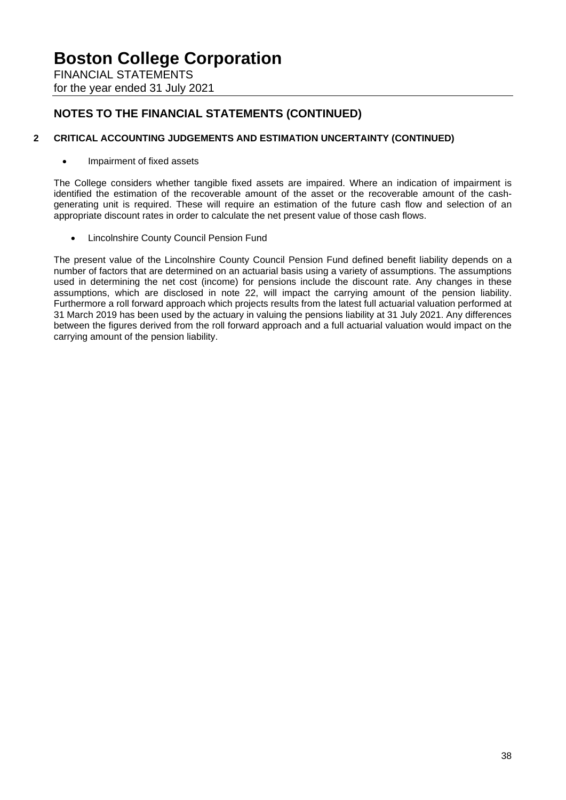FINANCIAL STATEMENTS for the year ended 31 July 2021

# **NOTES TO THE FINANCIAL STATEMENTS (CONTINUED)**

## **2 CRITICAL ACCOUNTING JUDGEMENTS AND ESTIMATION UNCERTAINTY (CONTINUED)**

• Impairment of fixed assets

The College considers whether tangible fixed assets are impaired. Where an indication of impairment is identified the estimation of the recoverable amount of the asset or the recoverable amount of the cashgenerating unit is required. These will require an estimation of the future cash flow and selection of an appropriate discount rates in order to calculate the net present value of those cash flows.

• Lincolnshire County Council Pension Fund

The present value of the Lincolnshire County Council Pension Fund defined benefit liability depends on a number of factors that are determined on an actuarial basis using a variety of assumptions. The assumptions used in determining the net cost (income) for pensions include the discount rate. Any changes in these assumptions, which are disclosed in note 22, will impact the carrying amount of the pension liability. Furthermore a roll forward approach which projects results from the latest full actuarial valuation performed at 31 March 2019 has been used by the actuary in valuing the pensions liability at 31 July 2021. Any differences between the figures derived from the roll forward approach and a full actuarial valuation would impact on the carrying amount of the pension liability.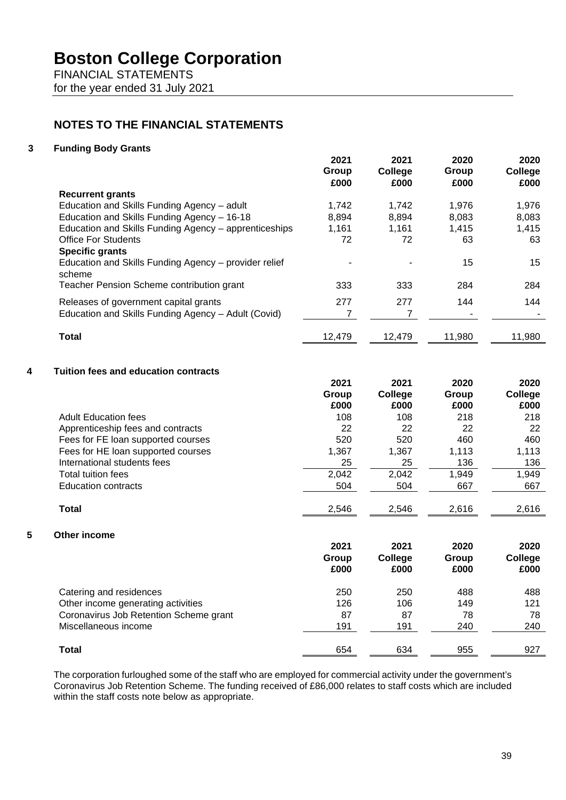FINANCIAL STATEMENTS for the year ended 31 July 2021

# **NOTES TO THE FINANCIAL STATEMENTS**

### **3 Funding Body Grants**

|                                                                 | 2021<br>Group<br>£000 | 2021<br><b>College</b><br>£000 | 2020<br>Group<br>£000 | 2020<br>College<br>£000 |
|-----------------------------------------------------------------|-----------------------|--------------------------------|-----------------------|-------------------------|
| <b>Recurrent grants</b>                                         |                       |                                |                       |                         |
| Education and Skills Funding Agency - adult                     | 1.742                 | 1.742                          | 1.976                 | 1,976                   |
| Education and Skills Funding Agency - 16-18                     | 8,894                 | 8,894                          | 8.083                 | 8,083                   |
| Education and Skills Funding Agency - apprenticeships           | 1,161                 | 1.161                          | 1.415                 | 1,415                   |
| <b>Office For Students</b>                                      | 72                    | 72                             | 63                    | 63                      |
| <b>Specific grants</b>                                          |                       |                                |                       |                         |
| Education and Skills Funding Agency – provider relief<br>scheme |                       |                                | 15                    | 15                      |
| Teacher Pension Scheme contribution grant                       | 333                   | 333                            | 284                   | 284                     |
| Releases of government capital grants                           | 277                   | 277                            | 144                   | 144                     |
| Education and Skills Funding Agency - Adult (Covid)             |                       |                                |                       |                         |
| <b>Total</b>                                                    | 12,479                | 12,479                         | 11,980                | 11,980                  |

## **4 Tuition fees and education contracts**

|   |                                        | 2021<br>Group<br>£000 | 2021<br>College<br>£000 | 2020<br>Group<br>£000 | 2020<br>College<br>£000 |
|---|----------------------------------------|-----------------------|-------------------------|-----------------------|-------------------------|
|   | <b>Adult Education fees</b>            | 108                   | 108                     | 218                   | 218                     |
|   | Apprenticeship fees and contracts      | 22                    | 22                      | 22                    | 22                      |
|   | Fees for FE loan supported courses     | 520                   | 520                     | 460                   | 460                     |
|   | Fees for HE loan supported courses     | 1,367                 | 1,367                   | 1,113                 | 1,113                   |
|   | International students fees            | 25                    | 25                      | 136                   | 136                     |
|   | <b>Total tuition fees</b>              | 2,042                 | 2,042                   | 1,949                 | 1,949                   |
|   | <b>Education contracts</b>             | 504                   | 504                     | 667                   | 667                     |
|   | Total                                  | 2,546                 | 2,546                   | 2,616                 | 2,616                   |
| 5 | Other income                           |                       |                         |                       |                         |
|   |                                        | 2021                  | 2021                    | 2020                  | 2020                    |
|   |                                        | Group                 | College                 | Group                 | College                 |
|   |                                        | £000                  | £000                    | £000                  | £000                    |
|   | Catering and residences                | 250                   | 250                     | 488                   | 488                     |
|   | Other income generating activities     | 126                   | 106                     | 149                   | 121                     |
|   | Coronavirus Job Retention Scheme grant | 87                    | 87                      | 78                    | 78                      |
|   | Miscellaneous income                   | 191                   | 191                     | 240                   | 240                     |
|   | <b>Total</b>                           | 654                   | 634                     | 955                   | 927                     |

The corporation furloughed some of the staff who are employed for commercial activity under the government's Coronavirus Job Retention Scheme. The funding received of £86,000 relates to staff costs which are included within the staff costs note below as appropriate.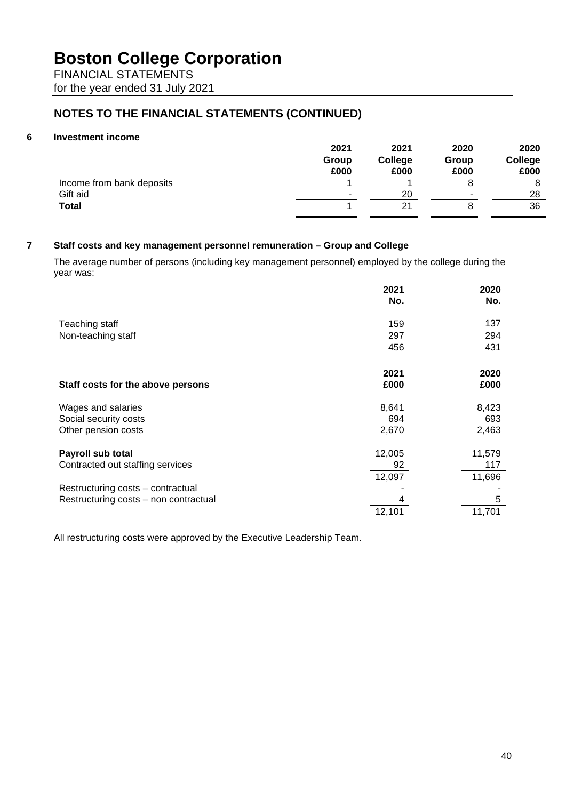FINANCIAL STATEMENTS for the year ended 31 July 2021

# **NOTES TO THE FINANCIAL STATEMENTS (CONTINUED)**

## **6 Investment income**

|                           | 2021  | 2021    | 2020                     | 2020    |
|---------------------------|-------|---------|--------------------------|---------|
|                           | Group | College | Group                    | College |
|                           | £000  | £000    | £000                     | £000    |
| Income from bank deposits |       |         |                          | 8       |
| Gift aid                  | -     | 20      | $\overline{\phantom{a}}$ | 28      |
| <b>Total</b>              |       | 21      |                          | 36      |

# **7 Staff costs and key management personnel remuneration – Group and College**

The average number of persons (including key management personnel) employed by the college during the year was:

|                                                       | 2021         | 2020          |
|-------------------------------------------------------|--------------|---------------|
|                                                       | No.          | No.           |
| Teaching staff                                        | 159          | 137           |
| Non-teaching staff                                    | 297          | 294           |
|                                                       | 456          | 431           |
| Staff costs for the above persons                     | 2021<br>£000 | 2020<br>£000  |
| Wages and salaries                                    | 8,641        | 8,423         |
| Social security costs                                 | 694          | 693           |
| Other pension costs                                   | 2,670        | 2,463         |
| Payroll sub total<br>Contracted out staffing services | 12,005<br>92 | 11,579<br>117 |
|                                                       | 12,097       | 11,696        |
| Restructuring costs - contractual                     |              |               |
| Restructuring costs - non contractual                 |              | 5             |
|                                                       | 12,101       | 11,701        |

All restructuring costs were approved by the Executive Leadership Team.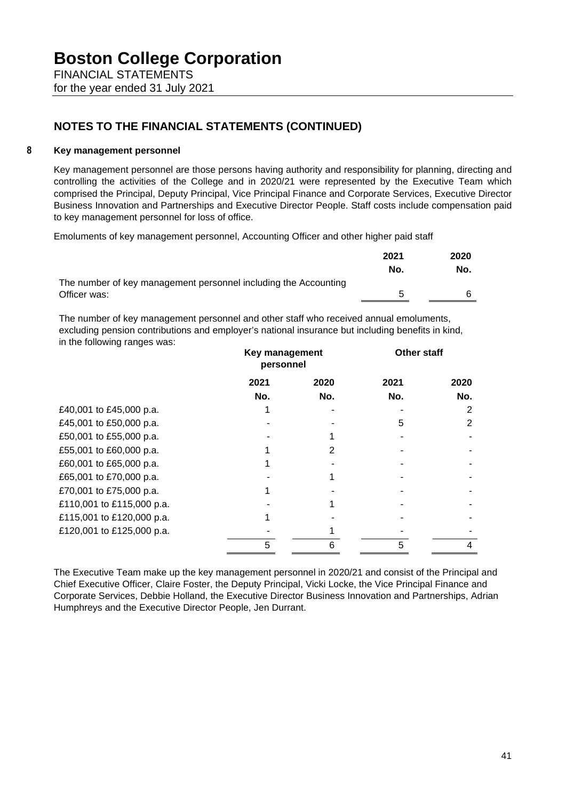for the year ended 31 July 2021

# **NOTES TO THE FINANCIAL STATEMENTS (CONTINUED)**

## **8 Key management personnel**

Key management personnel are those persons having authority and responsibility for planning, directing and controlling the activities of the College and in 2020/21 were represented by the Executive Team which comprised the Principal, Deputy Principal, Vice Principal Finance and Corporate Services, Executive Director Business Innovation and Partnerships and Executive Director People. Staff costs include compensation paid to key management personnel for loss of office.

Emoluments of key management personnel, Accounting Officer and other higher paid staff

|                                                                 | 2021 | 2020 |
|-----------------------------------------------------------------|------|------|
|                                                                 | No.  | No.  |
| The number of key management personnel including the Accounting |      |      |
| Officer was:                                                    |      |      |

The number of key management personnel and other staff who received annual emoluments, excluding pension contributions and employer's national insurance but including benefits in kind, in the following ranges was:

|                           | Key management<br>personnel |      | <b>Other staff</b> |      |
|---------------------------|-----------------------------|------|--------------------|------|
|                           | 2021                        | 2020 | 2021               | 2020 |
|                           | No.                         | No.  | No.                | No.  |
| £40,001 to £45,000 p.a.   |                             |      |                    | 2    |
| £45,001 to £50,000 p.a.   |                             |      | 5                  | 2    |
| £50,001 to £55,000 p.a.   |                             |      |                    |      |
| £55,001 to £60,000 p.a.   |                             | 2    |                    |      |
| £60,001 to £65,000 p.a.   |                             |      |                    |      |
| £65,001 to £70,000 p.a.   |                             |      |                    |      |
| £70,001 to £75,000 p.a.   |                             |      |                    |      |
| £110,001 to £115,000 p.a. |                             |      |                    |      |
| £115,001 to £120,000 p.a. |                             |      |                    |      |
| £120,001 to £125,000 p.a. |                             |      |                    |      |
|                           | 5                           | 6    | 5                  | 4    |

The Executive Team make up the key management personnel in 2020/21 and consist of the Principal and Chief Executive Officer, Claire Foster, the Deputy Principal, Vicki Locke, the Vice Principal Finance and Corporate Services, Debbie Holland, the Executive Director Business Innovation and Partnerships, Adrian Humphreys and the Executive Director People, Jen Durrant.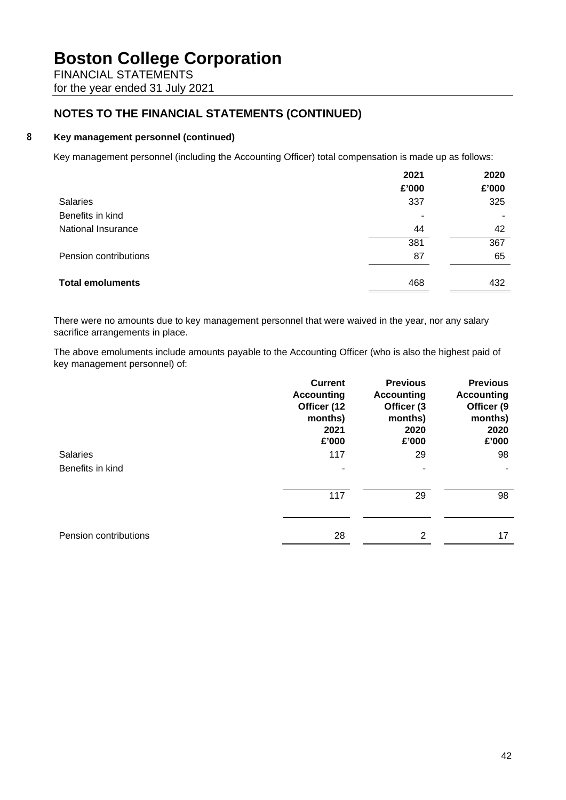FINANCIAL STATEMENTS for the year ended 31 July 2021

# **NOTES TO THE FINANCIAL STATEMENTS (CONTINUED)**

## **8 Key management personnel (continued)**

Key management personnel (including the Accounting Officer) total compensation is made up as follows:

|                         | 2021<br>£'000 | 2020<br>£'000 |
|-------------------------|---------------|---------------|
| Salaries                | 337           | 325           |
| Benefits in kind        | ٠             |               |
| National Insurance      | 44            | 42            |
|                         | 381           | 367           |
| Pension contributions   | 87            | 65            |
|                         |               |               |
| <b>Total emoluments</b> | 468           | 432           |

There were no amounts due to key management personnel that were waived in the year, nor any salary sacrifice arrangements in place.

The above emoluments include amounts payable to the Accounting Officer (who is also the highest paid of key management personnel) of:

|                       | <b>Current</b><br><b>Accounting</b><br>Officer (12<br>months)<br>2021<br>£'000 | <b>Previous</b><br><b>Accounting</b><br>Officer (3<br>months)<br>2020<br>£'000 | <b>Previous</b><br><b>Accounting</b><br>Officer (9<br>months)<br>2020<br>£'000 |
|-----------------------|--------------------------------------------------------------------------------|--------------------------------------------------------------------------------|--------------------------------------------------------------------------------|
| <b>Salaries</b>       | 117                                                                            | 29                                                                             | 98                                                                             |
| Benefits in kind      | ۰                                                                              | ٠                                                                              |                                                                                |
|                       | 117                                                                            | 29                                                                             | 98                                                                             |
| Pension contributions | 28                                                                             | 2                                                                              | 17                                                                             |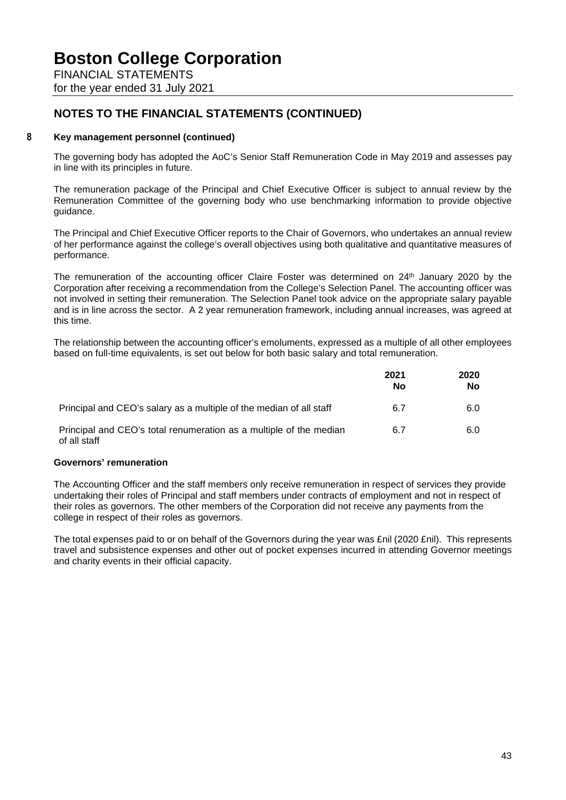FINANCIAL STATEMENTS for the year ended 31 July 2021

# **NOTES TO THE FINANCIAL STATEMENTS (CONTINUED)**

## **8 Key management personnel (continued)**

The governing body has adopted the AoC's Senior Staff Remuneration Code in May 2019 and assesses pay in line with its principles in future.

The remuneration package of the Principal and Chief Executive Officer is subject to annual review by the Remuneration Committee of the governing body who use benchmarking information to provide objective guidance.

The Principal and Chief Executive Officer reports to the Chair of Governors, who undertakes an annual review of her performance against the college's overall objectives using both qualitative and quantitative measures of performance.

The remuneration of the accounting officer Claire Foster was determined on 24<sup>th</sup> January 2020 by the Corporation after receiving a recommendation from the College's Selection Panel. The accounting officer was not involved in setting their remuneration. The Selection Panel took advice on the appropriate salary payable and is in line across the sector. A 2 year remuneration framework, including annual increases, was agreed at this time.

The relationship between the accounting officer's emoluments, expressed as a multiple of all other employees based on full-time equivalents, is set out below for both basic salary and total remuneration.

|                                                                                    | 2021<br>No | 2020<br>No |
|------------------------------------------------------------------------------------|------------|------------|
| Principal and CEO's salary as a multiple of the median of all staff                | 6.7        | 6.0        |
| Principal and CEO's total renumeration as a multiple of the median<br>of all staff | 6.7        | 6.0        |

### **Governors' remuneration**

The Accounting Officer and the staff members only receive remuneration in respect of services they provide undertaking their roles of Principal and staff members under contracts of employment and not in respect of their roles as governors. The other members of the Corporation did not receive any payments from the college in respect of their roles as governors.

The total expenses paid to or on behalf of the Governors during the year was £nil (2020 £nil). This represents travel and subsistence expenses and other out of pocket expenses incurred in attending Governor meetings and charity events in their official capacity.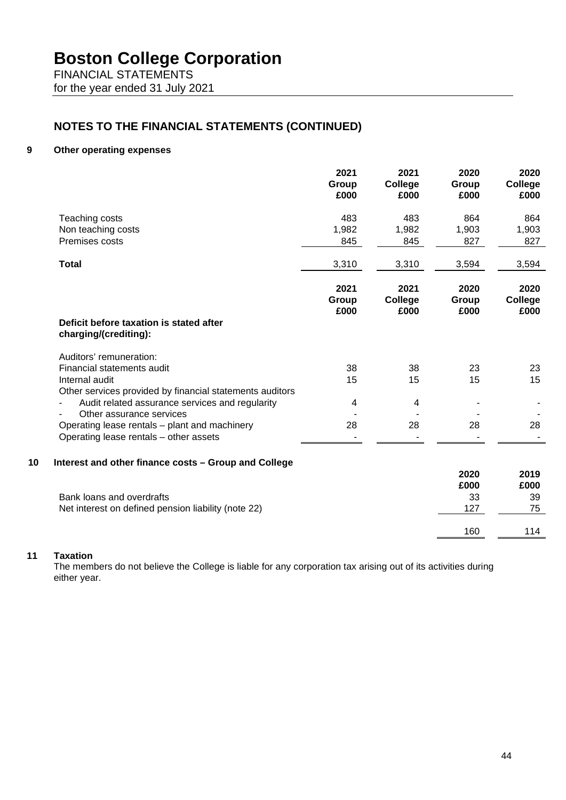FINANCIAL STATEMENTS for the year ended 31 July 2021

# **NOTES TO THE FINANCIAL STATEMENTS (CONTINUED)**

#### **9 Other operating expenses**

|    |                                                                  | 2021<br>Group<br>£000 | 2021<br>College<br>£000 | 2020<br>Group<br>£000 | 2020<br>College<br>£000 |
|----|------------------------------------------------------------------|-----------------------|-------------------------|-----------------------|-------------------------|
|    | Teaching costs                                                   | 483                   | 483                     | 864                   | 864                     |
|    | Non teaching costs                                               | 1,982                 | 1,982                   | 1,903                 | 1,903                   |
|    | Premises costs                                                   | 845                   | 845                     | 827                   | 827                     |
|    | <b>Total</b>                                                     | 3,310                 | 3,310                   | 3,594                 | 3,594                   |
|    |                                                                  | 2021<br>Group<br>£000 | 2021<br>College<br>£000 | 2020<br>Group<br>£000 | 2020<br>College<br>£000 |
|    | Deficit before taxation is stated after<br>charging/(crediting): |                       |                         |                       |                         |
|    | Auditors' remuneration:                                          |                       |                         |                       |                         |
|    | Financial statements audit                                       | 38                    | 38                      | 23                    | 23                      |
|    | Internal audit                                                   | 15                    | 15                      | 15                    | 15                      |
|    | Other services provided by financial statements auditors         |                       |                         |                       |                         |
|    | Audit related assurance services and regularity                  | 4                     | 4                       |                       |                         |
|    | Other assurance services                                         |                       |                         |                       |                         |
|    | Operating lease rentals - plant and machinery                    | 28                    | 28                      | 28                    | 28                      |
|    | Operating lease rentals - other assets                           |                       |                         |                       |                         |
| 10 | Interest and other finance costs - Group and College             |                       |                         |                       |                         |
|    |                                                                  |                       |                         | 2020                  | 2019                    |
|    |                                                                  |                       |                         | £000                  | £000                    |
|    | Bank loans and overdrafts                                        |                       |                         | 33                    | 39                      |
|    | Net interest on defined pension liability (note 22)              |                       |                         | 127                   | 75                      |
|    |                                                                  |                       |                         | 160                   | 114                     |
|    |                                                                  |                       |                         |                       |                         |

## **11 Taxation**

The members do not believe the College is liable for any corporation tax arising out of its activities during either year.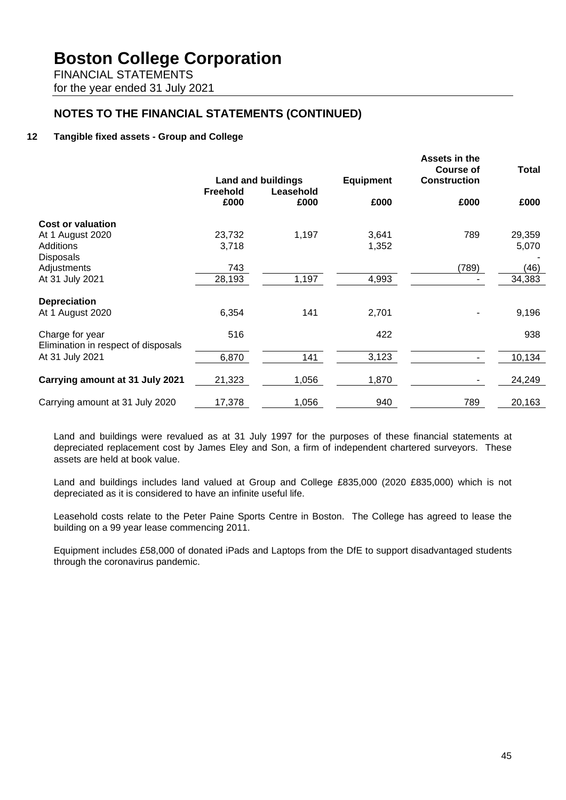FINANCIAL STATEMENTS for the year ended 31 July 2021

# **NOTES TO THE FINANCIAL STATEMENTS (CONTINUED)**

## **12 Tangible fixed assets - Group and College**

|                                                        |                         | <b>Land and buildings</b> | <b>Equipment</b> | Assets in the<br><b>Course of</b><br><b>Construction</b> | <b>Total</b> |
|--------------------------------------------------------|-------------------------|---------------------------|------------------|----------------------------------------------------------|--------------|
|                                                        | <b>Freehold</b><br>£000 | Leasehold<br>£000         | £000             | £000                                                     | £000         |
| <b>Cost or valuation</b>                               |                         |                           |                  |                                                          |              |
| At 1 August 2020                                       | 23,732                  | 1,197                     | 3,641            | 789                                                      | 29,359       |
| Additions                                              | 3,718                   |                           | 1,352            |                                                          | 5,070        |
| <b>Disposals</b>                                       |                         |                           |                  |                                                          |              |
| Adjustments                                            | 743                     |                           |                  | (789)                                                    | (46)         |
| At 31 July 2021                                        | 28,193                  | 1,197                     | 4,993            |                                                          | 34,383       |
| <b>Depreciation</b>                                    |                         |                           |                  |                                                          |              |
| At 1 August 2020                                       | 6,354                   | 141                       | 2,701            |                                                          | 9,196        |
| Charge for year<br>Elimination in respect of disposals | 516                     |                           | 422              |                                                          | 938          |
| At 31 July 2021                                        | 6,870                   | 141                       | 3,123            |                                                          | 10,134       |
| Carrying amount at 31 July 2021                        | 21,323                  | 1,056                     | 1,870            |                                                          | 24,249       |
| Carrying amount at 31 July 2020                        | 17,378                  | 1,056                     | 940              | 789                                                      | 20,163       |

Land and buildings were revalued as at 31 July 1997 for the purposes of these financial statements at depreciated replacement cost by James Eley and Son, a firm of independent chartered surveyors. These assets are held at book value.

Land and buildings includes land valued at Group and College £835,000 (2020 £835,000) which is not depreciated as it is considered to have an infinite useful life.

Leasehold costs relate to the Peter Paine Sports Centre in Boston. The College has agreed to lease the building on a 99 year lease commencing 2011.

Equipment includes £58,000 of donated iPads and Laptops from the DfE to support disadvantaged students through the coronavirus pandemic.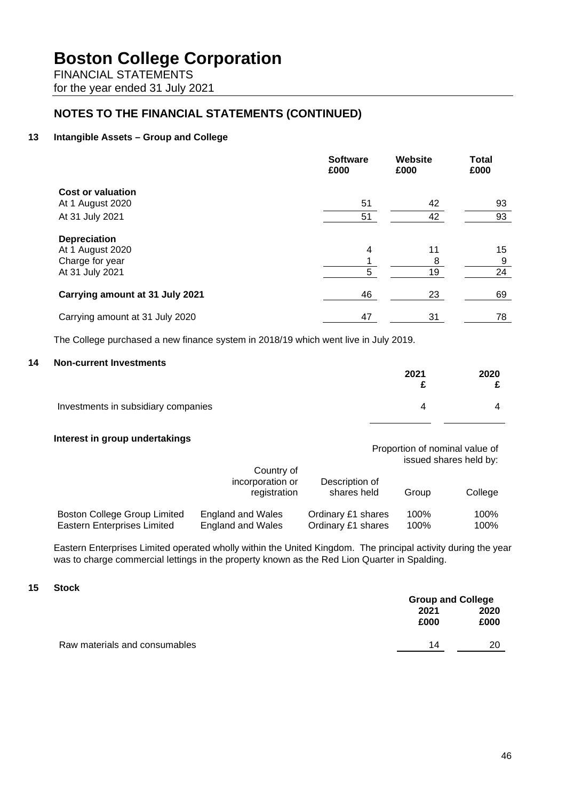FINANCIAL STATEMENTS for the year ended 31 July 2021

# **NOTES TO THE FINANCIAL STATEMENTS (CONTINUED)**

## **13 Intangible Assets – Group and College**

|                                 | <b>Software</b><br>£000 | <b>Website</b><br>£000 | <b>Total</b><br>£000 |
|---------------------------------|-------------------------|------------------------|----------------------|
| <b>Cost or valuation</b>        |                         |                        |                      |
| At 1 August 2020                | 51                      | 42                     | 93                   |
| At 31 July 2021                 | 51                      | 42                     | 93                   |
| <b>Depreciation</b>             |                         |                        |                      |
| At 1 August 2020                | 4                       | 11                     | 15                   |
| Charge for year                 |                         | 8                      | 9                    |
| At 31 July 2021                 | 5                       | 19                     | 24                   |
| Carrying amount at 31 July 2021 | 46                      | 23                     | 69                   |
| Carrying amount at 31 July 2020 | 47                      | 31                     | 78                   |

The College purchased a new finance system in 2018/19 which went live in July 2019.

#### **14 Non-current Investments**

|                                     | 2021 | 2020 |
|-------------------------------------|------|------|
| Investments in subsidiary companies | 4    |      |

### **Interest in group undertakings**

Proportion of nominal value of issued shares held by:

|                                     | Country of<br>incorporation or<br>registration | Description of<br>shares held | Group | College |
|-------------------------------------|------------------------------------------------|-------------------------------|-------|---------|
| <b>Boston College Group Limited</b> | <b>England and Wales</b>                       | Ordinary £1 shares            | 100%  | 100%    |
| <b>Eastern Enterprises Limited</b>  | <b>England and Wales</b>                       | Ordinary £1 shares            | 100%  | 100%    |

Eastern Enterprises Limited operated wholly within the United Kingdom. The principal activity during the year was to charge commercial lettings in the property known as the Red Lion Quarter in Spalding.

### **15 Stock**

|                               | <b>Group and College</b> |      |  |
|-------------------------------|--------------------------|------|--|
|                               | 2021                     | 2020 |  |
|                               | £000                     | £000 |  |
| Raw materials and consumables | 14                       | 20   |  |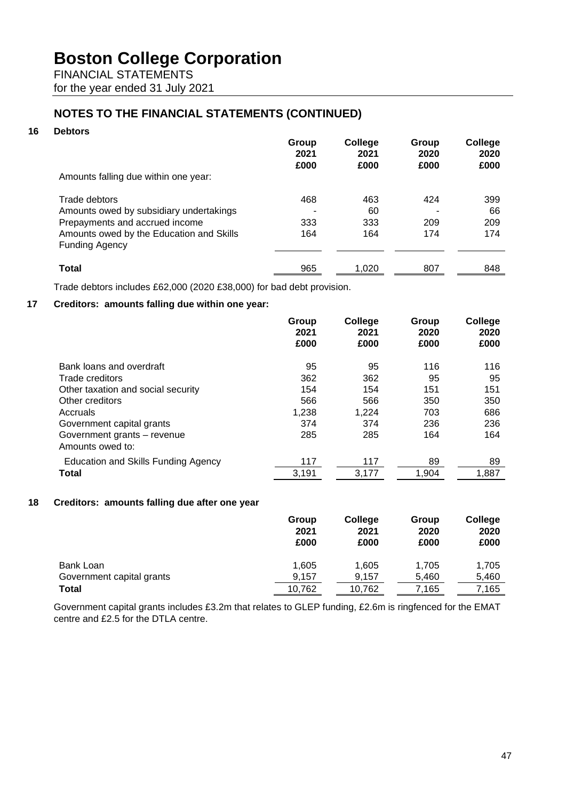FINANCIAL STATEMENTS for the year ended 31 July 2021

# **NOTES TO THE FINANCIAL STATEMENTS (CONTINUED)**

## **16 Debtors**

|                                          | Group<br>2021 | College<br>2021 | Group<br>2020 | College<br>2020 |
|------------------------------------------|---------------|-----------------|---------------|-----------------|
| Amounts falling due within one year:     | £000          | £000            | £000          | £000            |
|                                          |               |                 |               |                 |
| Trade debtors                            | 468           | 463             | 424           | 399             |
| Amounts owed by subsidiary undertakings  |               | 60              |               | 66              |
| Prepayments and accrued income           | 333           | 333             | 209           | 209             |
| Amounts owed by the Education and Skills | 164           | 164             | 174           | 174             |
| <b>Funding Agency</b>                    |               |                 |               |                 |
| Total                                    | 965           | 1,020           | 807           | 848             |
|                                          |               |                 |               |                 |

Trade debtors includes £62,000 (2020 £38,000) for bad debt provision.

# **17 Creditors: amounts falling due within one year:**

|                                                 | Group<br>2021<br>£000 | College<br>2021<br>£000 | Group<br>2020<br>£000 | College<br>2020<br>£000 |
|-------------------------------------------------|-----------------------|-------------------------|-----------------------|-------------------------|
| Bank loans and overdraft                        | 95                    | 95                      | 116                   | 116                     |
| Trade creditors                                 | 362                   | 362                     | 95                    | 95                      |
| Other taxation and social security              | 154                   | 154                     | 151                   | 151                     |
| Other creditors                                 | 566                   | 566                     | 350                   | 350                     |
| Accruals                                        | 1,238                 | 1,224                   | 703                   | 686                     |
| Government capital grants                       | 374                   | 374                     | 236                   | 236                     |
| Government grants - revenue<br>Amounts owed to: | 285                   | 285                     | 164                   | 164                     |
| Education and Skills Funding Agency             | 117                   | 117                     | 89                    | 89                      |
| Total                                           | 3,191                 | 3,177                   | 1,904                 | 1,887                   |

### **18 Creditors: amounts falling due after one year**

|                           | Group<br>2021<br>£000 | College<br>2021<br>£000 | Group<br>2020<br>£000 | College<br>2020<br>£000 |
|---------------------------|-----------------------|-------------------------|-----------------------|-------------------------|
| Bank Loan                 | 1,605                 | 1,605                   | 1,705                 | 1.705                   |
| Government capital grants | 9,157                 | 9,157                   | 5,460                 | 5,460                   |
| Total                     | 10.762                | 10,762                  | 7,165                 | 7,165                   |

Government capital grants includes £3.2m that relates to GLEP funding, £2.6m is ringfenced for the EMAT centre and £2.5 for the DTLA centre.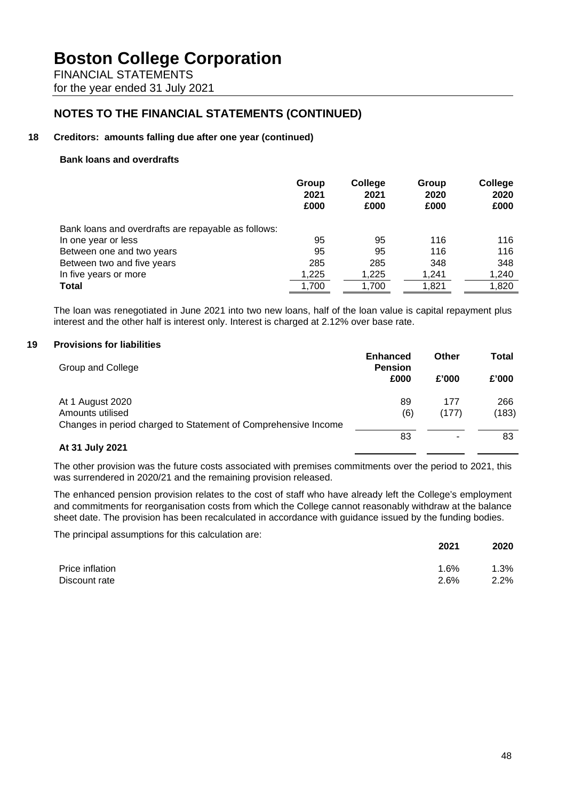FINANCIAL STATEMENTS for the year ended 31 July 2021

# **NOTES TO THE FINANCIAL STATEMENTS (CONTINUED)**

#### **18 Creditors: amounts falling due after one year (continued)**

#### **Bank loans and overdrafts**

|                                                     | Group<br>2021<br>£000 | College<br>2021<br>£000 | Group<br>2020<br>£000 | College<br>2020<br>£000 |
|-----------------------------------------------------|-----------------------|-------------------------|-----------------------|-------------------------|
| Bank loans and overdrafts are repayable as follows: |                       |                         |                       |                         |
| In one year or less                                 | 95                    | 95                      | 116                   | 116                     |
| Between one and two years                           | 95                    | 95                      | 116                   | 116                     |
| Between two and five years                          | 285                   | 285                     | 348                   | 348                     |
| In five years or more                               | 1,225                 | 1,225                   | 1,241                 | 1,240                   |
| <b>Total</b>                                        | 1,700                 | 1,700                   | 1,821                 | 1,820                   |

The loan was renegotiated in June 2021 into two new loans, half of the loan value is capital repayment plus interest and the other half is interest only. Interest is charged at 2.12% over base rate.

#### **19 Provisions for liabilities**

| Group and College                                              | <b>Enhanced</b><br><b>Pension</b> | Other | Total |
|----------------------------------------------------------------|-----------------------------------|-------|-------|
|                                                                | £000                              | £'000 | £'000 |
| At 1 August 2020                                               | 89                                | 177   | 266   |
| Amounts utilised                                               | (6)                               | (177) | (183) |
| Changes in period charged to Statement of Comprehensive Income |                                   |       |       |
|                                                                | 83                                |       | 83    |
| At 31 July 2021                                                |                                   |       |       |

The other provision was the future costs associated with premises commitments over the period to 2021, this was surrendered in 2020/21 and the remaining provision released.

The enhanced pension provision relates to the cost of staff who have already left the College's employment and commitments for reorganisation costs from which the College cannot reasonably withdraw at the balance sheet date. The provision has been recalculated in accordance with guidance issued by the funding bodies.

The principal assumptions for this calculation are:

|                 | 2021 | 2020 |
|-----------------|------|------|
| Price inflation | 1.6% | 1.3% |
| Discount rate   | 2.6% | 2.2% |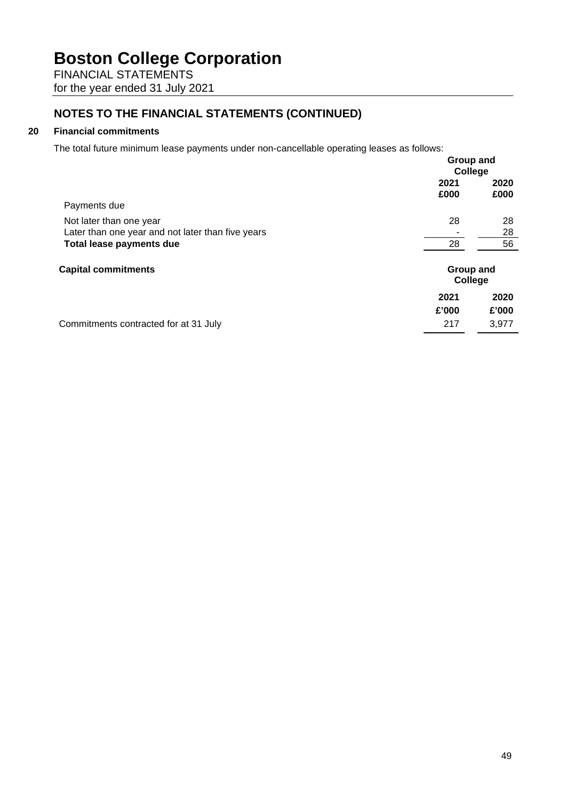FINANCIAL STATEMENTS for the year ended 31 July 2021

# **NOTES TO THE FINANCIAL STATEMENTS (CONTINUED)**

## **20 Financial commitments**

The total future minimum lease payments under non-cancellable operating leases as follows:

|                                                   | Group and<br>College |                      |  |
|---------------------------------------------------|----------------------|----------------------|--|
|                                                   | 2021<br>£000         | 2020<br>£000         |  |
| Payments due                                      |                      |                      |  |
| Not later than one year                           | 28                   | 28                   |  |
| Later than one year and not later than five years |                      | 28                   |  |
| Total lease payments due                          | 28                   | 56                   |  |
| <b>Capital commitments</b>                        |                      | Group and<br>College |  |
|                                                   | 2021                 | 2020                 |  |
|                                                   | £'000                | £'000                |  |
| Commitments contracted for at 31 July             | 217                  | 3.977                |  |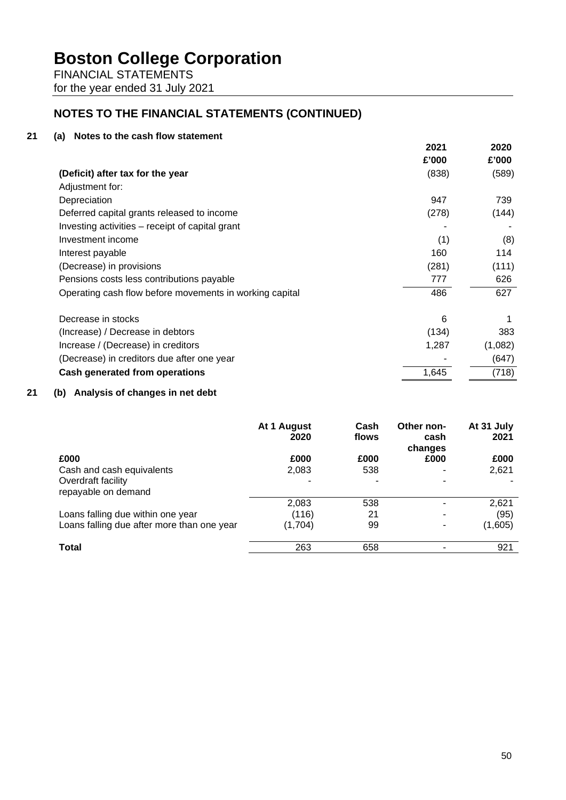FINANCIAL STATEMENTS for the year ended 31 July 2021

# **NOTES TO THE FINANCIAL STATEMENTS (CONTINUED)**

## **21 (a) Notes to the cash flow statement**

|                                                         | 2021  | 2020    |
|---------------------------------------------------------|-------|---------|
|                                                         | £'000 | £'000   |
| (Deficit) after tax for the year                        | (838) | (589)   |
| Adjustment for:                                         |       |         |
| Depreciation                                            | 947   | 739     |
| Deferred capital grants released to income              | (278) | (144)   |
| Investing activities – receipt of capital grant         |       |         |
| Investment income                                       | (1)   | (8)     |
| Interest payable                                        | 160   | 114     |
| (Decrease) in provisions                                | (281) | (111)   |
| Pensions costs less contributions payable               | 777   | 626     |
| Operating cash flow before movements in working capital | 486   | 627     |
| Decrease in stocks                                      | 6     |         |
| (Increase) / Decrease in debtors                        | (134) | 383     |
| Increase / (Decrease) in creditors                      | 1,287 | (1,082) |
| (Decrease) in creditors due after one year              |       | (647)   |
| Cash generated from operations                          | 1,645 | (718)   |
|                                                         |       |         |

# **21 (b) Analysis of changes in net debt**

|                                            | At 1 August<br>2020 | Cash<br>flows | Other non-<br>cash<br>changes | At 31 July<br>2021 |
|--------------------------------------------|---------------------|---------------|-------------------------------|--------------------|
| £000                                       | £000                | £000          | £000                          | £000               |
| Cash and cash equivalents                  | 2,083               | 538           |                               | 2,621              |
| Overdraft facility<br>repayable on demand  |                     |               |                               |                    |
|                                            | 2,083               | 538           |                               | 2,621              |
| Loans falling due within one year          | (116)               | 21            |                               | (95)               |
| Loans falling due after more than one year | (1,704)             | 99            | ۰                             | (1,605)            |
| <b>Total</b>                               | 263                 | 658           |                               | 921                |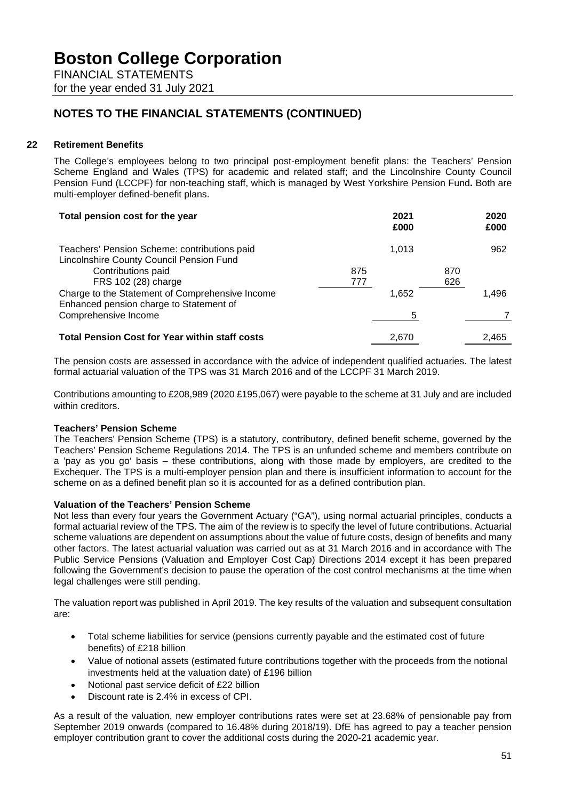FINANCIAL STATEMENTS for the year ended 31 July 2021

# **NOTES TO THE FINANCIAL STATEMENTS (CONTINUED)**

## **22 Retirement Benefits**

The College's employees belong to two principal post-employment benefit plans: the Teachers' Pension Scheme England and Wales (TPS) for academic and related staff; and the Lincolnshire County Council Pension Fund (LCCPF) for non-teaching staff, which is managed by West Yorkshire Pension Fund**.** Both are multi-employer defined-benefit plans.

| Total pension cost for the year                                                            |     | 2021<br>£000 |     | 2020<br>£000 |
|--------------------------------------------------------------------------------------------|-----|--------------|-----|--------------|
| Teachers' Pension Scheme: contributions paid<br>Lincolnshire County Council Pension Fund   |     | 1,013        |     | 962          |
| Contributions paid                                                                         | 875 |              | 870 |              |
| FRS 102 (28) charge                                                                        | 777 |              | 626 |              |
| Charge to the Statement of Comprehensive Income<br>Enhanced pension charge to Statement of |     | 1,652        |     | 1.496        |
| Comprehensive Income                                                                       |     | 5            |     |              |
| <b>Total Pension Cost for Year within staff costs</b>                                      |     | 2,670        |     | 2.465        |

The pension costs are assessed in accordance with the advice of independent qualified actuaries. The latest formal actuarial valuation of the TPS was 31 March 2016 and of the LCCPF 31 March 2019.

Contributions amounting to £208,989 (2020 £195,067) were payable to the scheme at 31 July and are included within creditors.

### **Teachers' Pension Scheme**

The Teachers' Pension Scheme (TPS) is a statutory, contributory, defined benefit scheme, governed by the Teachers' Pension Scheme Regulations 2014. The TPS is an unfunded scheme and members contribute on a 'pay as you go' basis – these contributions, along with those made by employers, are credited to the Exchequer. The TPS is a multi-employer pension plan and there is insufficient information to account for the scheme on as a defined benefit plan so it is accounted for as a defined contribution plan.

### **Valuation of the Teachers' Pension Scheme**

Not less than every four years the Government Actuary ("GA"), using normal actuarial principles, conducts a formal actuarial review of the TPS. The aim of the review is to specify the level of future contributions. Actuarial scheme valuations are dependent on assumptions about the value of future costs, design of benefits and many other factors. The latest actuarial valuation was carried out as at 31 March 2016 and in accordance with The Public Service Pensions (Valuation and Employer Cost Cap) Directions 2014 except it has been prepared following the Government's decision to pause the operation of the cost control mechanisms at the time when legal challenges were still pending.

The valuation report was published in April 2019. The key results of the valuation and subsequent consultation are:

- Total scheme liabilities for service (pensions currently payable and the estimated cost of future benefits) of £218 billion
- Value of notional assets (estimated future contributions together with the proceeds from the notional investments held at the valuation date) of £196 billion
- Notional past service deficit of £22 billion
- Discount rate is 2.4% in excess of CPI.

As a result of the valuation, new employer contributions rates were set at 23.68% of pensionable pay from September 2019 onwards (compared to 16.48% during 2018/19). DfE has agreed to pay a teacher pension employer contribution grant to cover the additional costs during the 2020-21 academic year.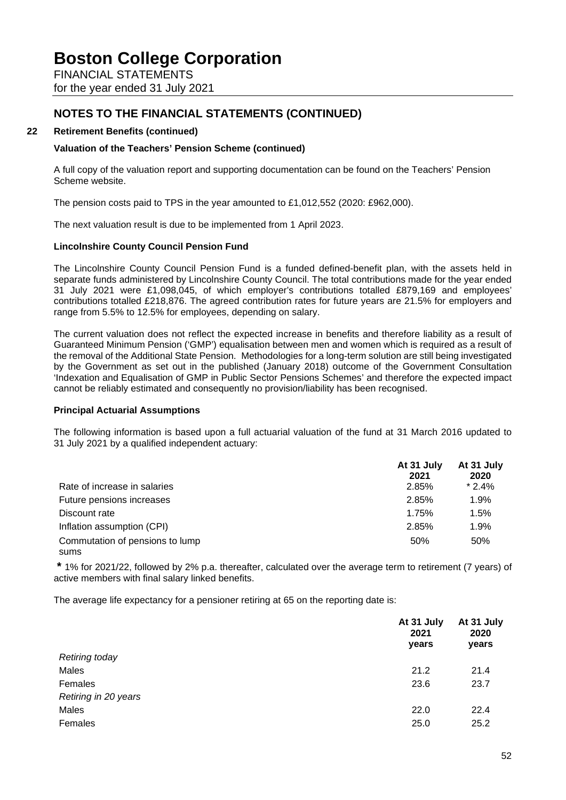FINANCIAL STATEMENTS for the year ended 31 July 2021

# **NOTES TO THE FINANCIAL STATEMENTS (CONTINUED)**

### **22 Retirement Benefits (continued)**

### **Valuation of the Teachers' Pension Scheme (continued)**

A full copy of the valuation report and supporting documentation can be found on the Teachers' Pension Scheme website.

The pension costs paid to TPS in the year amounted to £1,012,552 (2020: £962,000).

The next valuation result is due to be implemented from 1 April 2023.

### **Lincolnshire County Council Pension Fund**

The Lincolnshire County Council Pension Fund is a funded defined-benefit plan, with the assets held in separate funds administered by Lincolnshire County Council. The total contributions made for the year ended 31 July 2021 were £1,098,045, of which employer's contributions totalled £879,169 and employees' contributions totalled £218,876. The agreed contribution rates for future years are 21.5% for employers and range from 5.5% to 12.5% for employees, depending on salary.

The current valuation does not reflect the expected increase in benefits and therefore liability as a result of Guaranteed Minimum Pension ('GMP') equalisation between men and women which is required as a result of the removal of the Additional State Pension. Methodologies for a long-term solution are still being investigated by the Government as set out in the published (January 2018) outcome of the Government Consultation 'Indexation and Equalisation of GMP in Public Sector Pensions Schemes' and therefore the expected impact cannot be reliably estimated and consequently no provision/liability has been recognised.

#### **Principal Actuarial Assumptions**

The following information is based upon a full actuarial valuation of the fund at 31 March 2016 updated to 31 July 2021 by a qualified independent actuary:

|                                          | At 31 July<br>2021 | At 31 July<br>2020 |
|------------------------------------------|--------------------|--------------------|
| Rate of increase in salaries             | 2.85%              | $*2.4%$            |
| Future pensions increases                | 2.85%              | 1.9%               |
| Discount rate                            | 1.75%              | 1.5%               |
| Inflation assumption (CPI)               | 2.85%              | 1.9%               |
| Commutation of pensions to lump<br>sums. | 50%                | 50%                |

**\*** 1% for 2021/22, followed by 2% p.a. thereafter, calculated over the average term to retirement (7 years) of active members with final salary linked benefits.

The average life expectancy for a pensioner retiring at 65 on the reporting date is:

|                       | At 31 July<br>2021<br>years | At 31 July<br>2020<br>years |
|-----------------------|-----------------------------|-----------------------------|
| <b>Retiring today</b> |                             |                             |
| Males                 | 21.2                        | 21.4                        |
| Females               | 23.6                        | 23.7                        |
| Retiring in 20 years  |                             |                             |
| Males                 | 22.0                        | 22.4                        |
| Females               | 25.0                        | 25.2                        |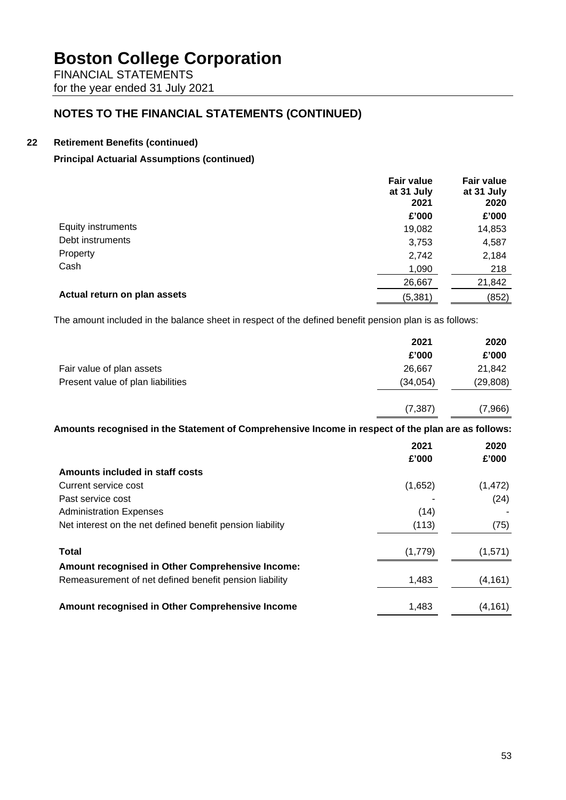FINANCIAL STATEMENTS for the year ended 31 July 2021

# **NOTES TO THE FINANCIAL STATEMENTS (CONTINUED)**

## **22 Retirement Benefits (continued)**

## **Principal Actuarial Assumptions (continued)**

|                              | <b>Fair value</b><br>at 31 July<br>2021 | <b>Fair value</b><br>at 31 July<br>2020 |
|------------------------------|-----------------------------------------|-----------------------------------------|
|                              | £'000                                   | £'000                                   |
| Equity instruments           | 19,082                                  | 14,853                                  |
| Debt instruments             | 3,753                                   | 4,587                                   |
| Property                     | 2,742                                   | 2,184                                   |
| Cash                         | 1,090                                   | 218                                     |
|                              | 26,667                                  | 21,842                                  |
| Actual return on plan assets | (5, 381)                                | (852)                                   |

The amount included in the balance sheet in respect of the defined benefit pension plan is as follows:

|                                                                                                    | 2021     | 2020      |
|----------------------------------------------------------------------------------------------------|----------|-----------|
|                                                                                                    | £'000    | £'000     |
| Fair value of plan assets                                                                          | 26,667   | 21,842    |
| Present value of plan liabilities                                                                  | (34,054) | (29, 808) |
|                                                                                                    | (7, 387) | (7,966)   |
| Amounts recognised in the Statement of Comprehensive Income in respect of the plan are as follows: |          |           |
|                                                                                                    | 2021     | 2020      |
|                                                                                                    | £'000    | £'000     |
| Amounts included in staff costs                                                                    |          |           |
| Current service cost                                                                               | (1,652)  | (1, 472)  |
| Past service cost                                                                                  |          | (24)      |
| <b>Administration Expenses</b>                                                                     | (14)     |           |
| Net interest on the net defined benefit pension liability                                          | (113)    | (75)      |
| <b>Total</b>                                                                                       | (1,779)  | (1,571)   |
| Amount recognised in Other Comprehensive Income:                                                   |          |           |
| Remeasurement of net defined benefit pension liability                                             | 1,483    | (4, 161)  |
| Amount recognised in Other Comprehensive Income                                                    | 1,483    | (4, 161)  |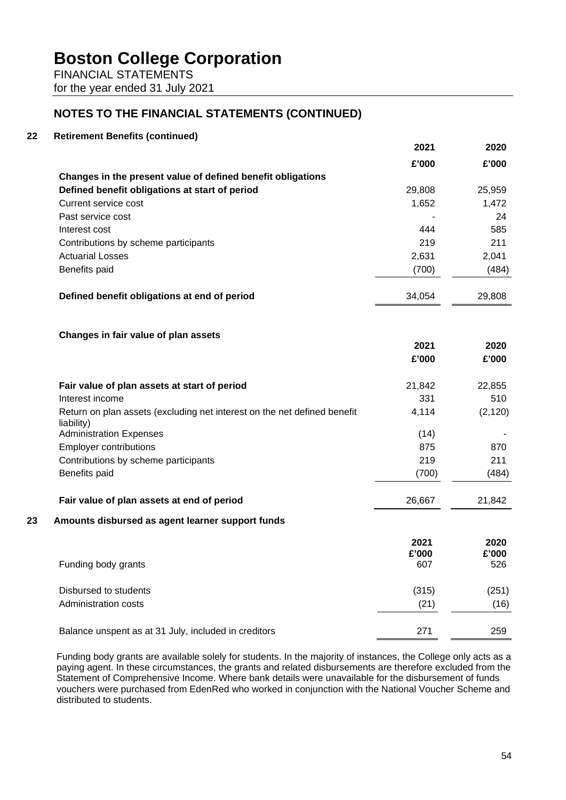FINANCIAL STATEMENTS for the year ended 31 July 2021

# **NOTES TO THE FINANCIAL STATEMENTS (CONTINUED)**

## **22 Retirement Benefits (continued)**

|    |                                                                                        | 2021          | 2020          |
|----|----------------------------------------------------------------------------------------|---------------|---------------|
|    |                                                                                        | £'000         | £'000         |
|    | Changes in the present value of defined benefit obligations                            |               |               |
|    | Defined benefit obligations at start of period                                         | 29,808        | 25,959        |
|    | Current service cost                                                                   | 1,652         | 1,472         |
|    | Past service cost                                                                      |               | 24            |
|    | Interest cost                                                                          | 444           | 585           |
|    | Contributions by scheme participants                                                   | 219           | 211           |
|    | <b>Actuarial Losses</b>                                                                | 2,631         | 2,041         |
|    | Benefits paid                                                                          | (700)         | (484)         |
|    | Defined benefit obligations at end of period                                           | 34,054        | 29,808        |
|    | Changes in fair value of plan assets                                                   |               |               |
|    |                                                                                        | 2021          | 2020          |
|    |                                                                                        | £'000         | £'000         |
|    | Fair value of plan assets at start of period                                           | 21,842        | 22,855        |
|    | Interest income                                                                        | 331           | 510           |
|    | Return on plan assets (excluding net interest on the net defined benefit<br>liability) | 4,114         | (2, 120)      |
|    | <b>Administration Expenses</b>                                                         | (14)          |               |
|    | <b>Employer contributions</b>                                                          | 875           | 870           |
|    | Contributions by scheme participants                                                   | 219           | 211           |
|    | Benefits paid                                                                          | (700)         | (484)         |
|    | Fair value of plan assets at end of period                                             | 26,667        | 21,842        |
| 23 | Amounts disbursed as agent learner support funds                                       |               |               |
|    |                                                                                        | 2021<br>£'000 | 2020<br>£'000 |
|    | Funding body grants                                                                    | 607           | 526           |
|    | Disbursed to students                                                                  | (315)         | (251)         |
|    | Administration costs                                                                   | (21)          | (16)          |
|    | Balance unspent as at 31 July, included in creditors                                   | 271           | 259           |

Funding body grants are available solely for students. In the majority of instances, the College only acts as a paying agent. In these circumstances, the grants and related disbursements are therefore excluded from the Statement of Comprehensive Income. Where bank details were unavailable for the disbursement of funds vouchers were purchased from EdenRed who worked in conjunction with the National Voucher Scheme and distributed to students.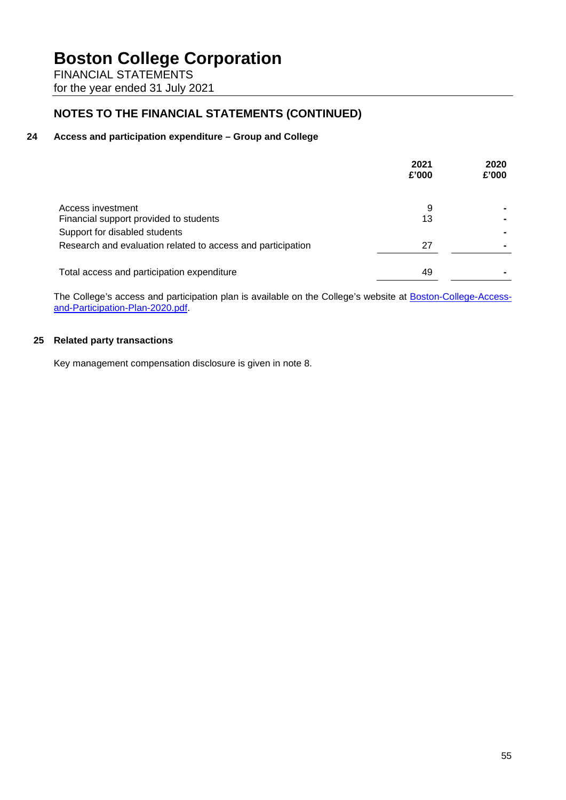FINANCIAL STATEMENTS for the year ended 31 July 2021

# **NOTES TO THE FINANCIAL STATEMENTS (CONTINUED)**

## **24 Access and participation expenditure – Group and College**

|                                                             | 2021<br>£'000 | 2020<br>£'000 |
|-------------------------------------------------------------|---------------|---------------|
| Access investment                                           | 9             |               |
| Financial support provided to students                      | 13            |               |
| Support for disabled students                               |               |               |
| Research and evaluation related to access and participation | 27            |               |
| Total access and participation expenditure                  | 49            |               |

The College's access and participation plan is available on the College's website at [Boston-College-Access](https://www.boston.ac.uk/app/uploads/2018/06/Boston-College-Access-and-Participation-Plan-2020.pdf)[and-Participation-Plan-2020.pdf.](https://www.boston.ac.uk/app/uploads/2018/06/Boston-College-Access-and-Participation-Plan-2020.pdf)

## **25 Related party transactions**

Key management compensation disclosure is given in note 8.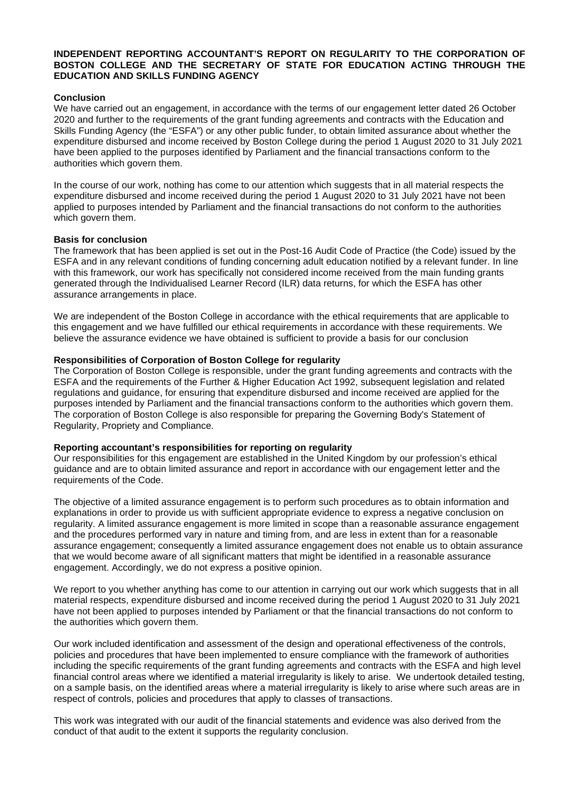#### **INDEPENDENT REPORTING ACCOUNTANT'S REPORT ON REGULARITY TO THE CORPORATION OF BOSTON COLLEGE AND THE SECRETARY OF STATE FOR EDUCATION ACTING THROUGH THE EDUCATION AND SKILLS FUNDING AGENCY**

#### **Conclusion**

We have carried out an engagement, in accordance with the terms of our engagement letter dated 26 October 2020 and further to the requirements of the grant funding agreements and contracts with the Education and Skills Funding Agency (the "ESFA") or any other public funder, to obtain limited assurance about whether the expenditure disbursed and income received by Boston College during the period 1 August 2020 to 31 July 2021 have been applied to the purposes identified by Parliament and the financial transactions conform to the authorities which govern them.

In the course of our work, nothing has come to our attention which suggests that in all material respects the expenditure disbursed and income received during the period 1 August 2020 to 31 July 2021 have not been applied to purposes intended by Parliament and the financial transactions do not conform to the authorities which govern them.

#### **Basis for conclusion**

The framework that has been applied is set out in the Post-16 Audit Code of Practice (the Code) issued by the ESFA and in any relevant conditions of funding concerning adult education notified by a relevant funder. In line with this framework, our work has specifically not considered income received from the main funding grants generated through the Individualised Learner Record (ILR) data returns, for which the ESFA has other assurance arrangements in place.

We are independent of the Boston College in accordance with the ethical requirements that are applicable to this engagement and we have fulfilled our ethical requirements in accordance with these requirements. We believe the assurance evidence we have obtained is sufficient to provide a basis for our conclusion

#### **Responsibilities of Corporation of Boston College for regularity**

The Corporation of Boston College is responsible, under the grant funding agreements and contracts with the ESFA and the requirements of the Further & Higher Education Act 1992, subsequent legislation and related regulations and guidance, for ensuring that expenditure disbursed and income received are applied for the purposes intended by Parliament and the financial transactions conform to the authorities which govern them. The corporation of Boston College is also responsible for preparing the Governing Body's Statement of Regularity, Propriety and Compliance.

#### **Reporting accountant's responsibilities for reporting on regularity**

Our responsibilities for this engagement are established in the United Kingdom by our profession's ethical guidance and are to obtain limited assurance and report in accordance with our engagement letter and the requirements of the Code.

The objective of a limited assurance engagement is to perform such procedures as to obtain information and explanations in order to provide us with sufficient appropriate evidence to express a negative conclusion on regularity. A limited assurance engagement is more limited in scope than a reasonable assurance engagement and the procedures performed vary in nature and timing from, and are less in extent than for a reasonable assurance engagement; consequently a limited assurance engagement does not enable us to obtain assurance that we would become aware of all significant matters that might be identified in a reasonable assurance engagement. Accordingly, we do not express a positive opinion.

We report to you whether anything has come to our attention in carrying out our work which suggests that in all material respects, expenditure disbursed and income received during the period 1 August 2020 to 31 July 2021 have not been applied to purposes intended by Parliament or that the financial transactions do not conform to the authorities which govern them.

Our work included identification and assessment of the design and operational effectiveness of the controls, policies and procedures that have been implemented to ensure compliance with the framework of authorities including the specific requirements of the grant funding agreements and contracts with the ESFA and high level financial control areas where we identified a material irregularity is likely to arise. We undertook detailed testing, on a sample basis, on the identified areas where a material irregularity is likely to arise where such areas are in respect of controls, policies and procedures that apply to classes of transactions.

This work was integrated with our audit of the financial statements and evidence was also derived from the conduct of that audit to the extent it supports the regularity conclusion.